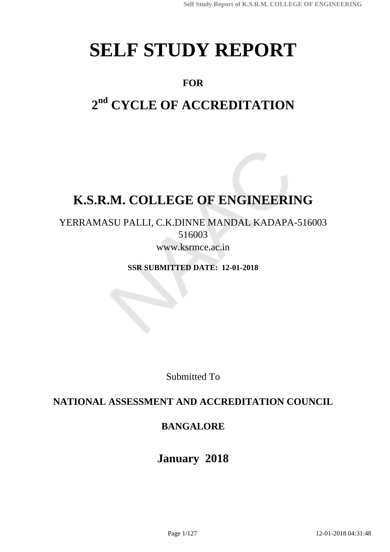# **SELF STUDY REPORT**

## **FOR**

## **2 nd CYCLE OF ACCREDITATION**

## **K.S.R.M. COLLEGE OF ENGINEERING**

## YERRAMASU PALLI, C.K.DINNE MANDAL KADAPA-516003 516003 www.ksrmce.ac.in

**SSR SUBMITTED DATE: 12-01-2018**

Submitted To

## **NATIONAL ASSESSMENT AND ACCREDITATION COUNCIL**

## **BANGALORE**

## **January 2018**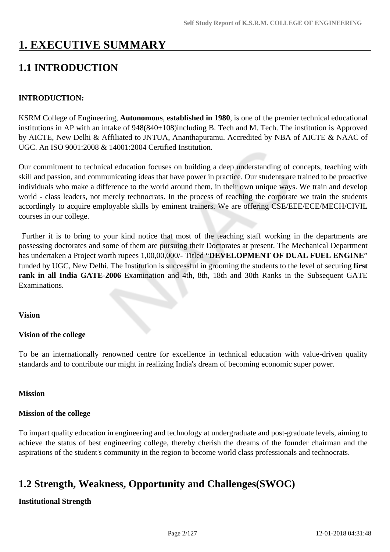## **1. EXECUTIVE SUMMARY**

## **1.1 INTRODUCTION**

#### **INTRODUCTION:**

KSRM College of Engineering, **Autonomous**, **established in 1980**, is one of the premier technical educational institutions in AP with an intake of 948(840+108)including B. Tech and M. Tech. The institution is Approved by AICTE, New Delhi & Affiliated to JNTUA, Ananthapuramu. Accredited by NBA of AICTE & NAAC of UGC. An ISO 9001:2008 & 14001:2004 Certified Institution.

Our commitment to technical education focuses on building a deep understanding of concepts, teaching with skill and passion, and communicating ideas that have power in practice. Our students are trained to be proactive individuals who make a difference to the world around them, in their own unique ways. We train and develop world - class leaders, not merely technocrats. In the process of reaching the corporate we train the students accordingly to acquire employable skills by eminent trainers. We are offering CSE/EEE/ECE/MECH/CIVIL courses in our college.

 Further it is to bring to your kind notice that most of the teaching staff working in the departments are possessing doctorates and some of them are pursuing their Doctorates at present. The Mechanical Department has undertaken a Project worth rupees 1,00,00,000/- Titled "**DEVELOPMENT OF DUAL FUEL ENGINE**" funded by UGC, New Delhi. The Institution is successful in grooming the students to the level of securing **first rank in all India GATE-2006** Examination and 4th, 8th, 18th and 30th Ranks in the Subsequent GATE Examinations.

#### **Vision**

#### **Vision of the college**

To be an internationally renowned centre for excellence in technical education with value-driven quality standards and to contribute our might in realizing India's dream of becoming economic super power.

#### **Mission**

#### **Mission of the college**

To impart quality education in engineering and technology at undergraduate and post-graduate levels, aiming to achieve the status of best engineering college, thereby cherish the dreams of the founder chairman and the aspirations of the student's community in the region to become world class professionals and technocrats.

## **1.2 Strength, Weakness, Opportunity and Challenges(SWOC)**

#### **Institutional Strength**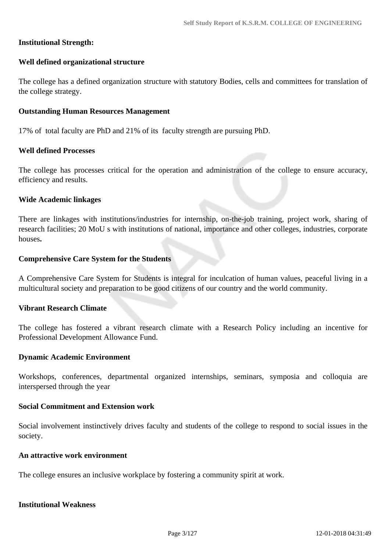#### **Institutional Strength:**

#### **Well defined organizational structure**

The college has a defined organization structure with statutory Bodies, cells and committees for translation of the college strategy.

#### **Outstanding Human Resources Management**

17% of total faculty are PhD and 21% of its faculty strength are pursuing PhD.

#### **Well defined Processes**

The college has processes critical for the operation and administration of the college to ensure accuracy, efficiency and results.

#### **Wide Academic linkages**

There are linkages with institutions/industries for internship, on-the-job training, project work, sharing of research facilities; 20 MoU s with institutions of national, importance and other colleges, industries, corporate houses**.**

#### **Comprehensive Care System for the Students**

A Comprehensive Care System for Students is integral for inculcation of human values, peaceful living in a multicultural society and preparation to be good citizens of our country and the world community.

#### **Vibrant Research Climate**

The college has fostered a vibrant research climate with a Research Policy including an incentive for Professional Development Allowance Fund.

#### **Dynamic Academic Environment**

Workshops, conferences, departmental organized internships, seminars, symposia and colloquia are interspersed through the year

#### **Social Commitment and Extension work**

Social involvement instinctively drives faculty and students of the college to respond to social issues in the society.

#### **An attractive work environment**

The college ensures an inclusive workplace by fostering a community spirit at work.

#### **Institutional Weakness**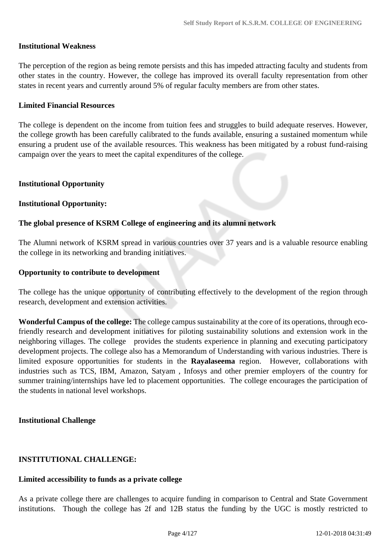#### **Institutional Weakness**

The perception of the region as being remote persists and this has impeded attracting faculty and students from other states in the country. However, the college has improved its overall faculty representation from other states in recent years and currently around 5% of regular faculty members are from other states.

#### **Limited Financial Resources**

The college is dependent on the income from tuition fees and struggles to build adequate reserves. However, the college growth has been carefully calibrated to the funds available, ensuring a sustained momentum while ensuring a prudent use of the available resources. This weakness has been mitigated by a robust fund-raising campaign over the years to meet the capital expenditures of the college.

#### **Institutional Opportunity**

#### **Institutional Opportunity:**

#### **The global presence of KSRM College of engineering and its alumni network**

The Alumni network of KSRM spread in various countries over 37 years and is a valuable resource enabling the college in its networking and branding initiatives.

#### **Opportunity to contribute to development**

The college has the unique opportunity of contributing effectively to the development of the region through research, development and extension activities.

**Wonderful Campus of the college:** The college campus sustainability at the core of its operations, through ecofriendly research and development initiatives for piloting sustainability solutions and extension work in the neighboring villages. The college provides the students experience in planning and executing participatory development projects. The college also has a Memorandum of Understanding with various industries. There is limited exposure opportunities for students in the **Rayalaseema** region. However, collaborations with industries such as TCS, IBM, Amazon, Satyam , Infosys and other premier employers of the country for summer training/internships have led to placement opportunities. The college encourages the participation of the students in national level workshops.

#### **Institutional Challenge**

#### **INSTITUTIONAL CHALLENGE:**

#### **Limited accessibility to funds as a private college**

As a private college there are challenges to acquire funding in comparison to Central and State Government institutions. Though the college has 2f and 12B status the funding by the UGC is mostly restricted to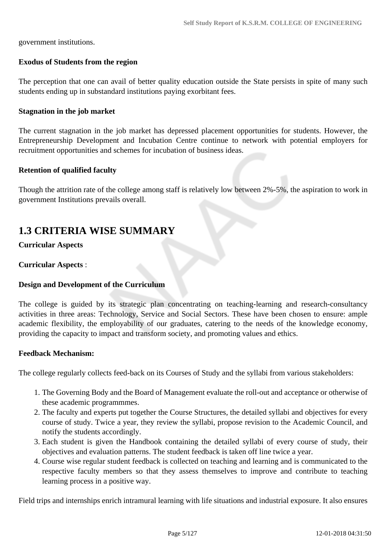government institutions.

#### **Exodus of Students from the region**

The perception that one can avail of better quality education outside the State persists in spite of many such students ending up in substandard institutions paying exorbitant fees.

#### **Stagnation in the job market**

The current stagnation in the job market has depressed placement opportunities for students. However, the Entrepreneurship Development and Incubation Centre continue to network with potential employers for recruitment opportunities and schemes for incubation of business ideas.

#### **Retention of qualified faculty**

Though the attrition rate of the college among staff is relatively low between 2%-5%, the aspiration to work in government Institutions prevails overall.

### **1.3 CRITERIA WISE SUMMARY**

#### **Curricular Aspects**

**Curricular Aspects** :

#### **Design and Development of the Curriculum**

The college is guided by its strategic plan concentrating on teaching-learning and research-consultancy activities in three areas: Technology, Service and Social Sectors. These have been chosen to ensure: ample academic flexibility, the employability of our graduates, catering to the needs of the knowledge economy, providing the capacity to impact and transform society, and promoting values and ethics.

#### **Feedback Mechanism:**

The college regularly collects feed-back on its Courses of Study and the syllabi from various stakeholders:

- 1. The Governing Body and the Board of Management evaluate the roll-out and acceptance or otherwise of these academic programmmes.
- 2. The faculty and experts put together the Course Structures, the detailed syllabi and objectives for every course of study. Twice a year, they review the syllabi, propose revision to the Academic Council, and notify the students accordingly.
- 3. Each student is given the Handbook containing the detailed syllabi of every course of study, their objectives and evaluation patterns. The student feedback is taken off line twice a year.
- 4. Course wise regular student feedback is collected on teaching and learning and is communicated to the respective faculty members so that they assess themselves to improve and contribute to teaching learning process in a positive way.

Field trips and internships enrich intramural learning with life situations and industrial exposure. It also ensures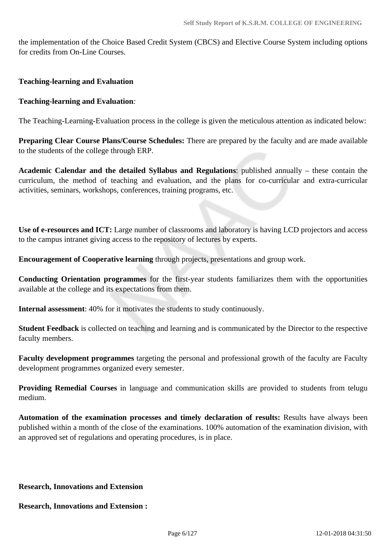the implementation of the Choice Based Credit System (CBCS) and Elective Course System including options for credits from On-Line Courses.

#### **Teaching-learning and Evaluation**

#### **Teaching-learning and Evaluation***:*

The Teaching-Learning-Evaluation process in the college is given the meticulous attention as indicated below:

**Preparing Clear Course Plans/Course Schedules:** There are prepared by the faculty and are made available to the students of the college through ERP.

**Academic Calendar and the detailed Syllabus and Regulations**: published annually – these contain the curriculum, the method of teaching and evaluation, and the plans for co-curricular and extra-curricular activities, seminars, workshops, conferences, training programs, etc.

**Use of e-resources and ICT:** Large number of classrooms and laboratory is having LCD projectors and access to the campus intranet giving access to the repository of lectures by experts.

**Encouragement of Cooperative learning** through projects, presentations and group work.

**Conducting Orientation programmes** for the first-year students familiarizes them with the opportunities available at the college and its expectations from them.

**Internal assessment**: 40% for it motivates the students to study continuously.

**Student Feedback** is collected on teaching and learning and is communicated by the Director to the respective faculty members.

**Faculty development programmes** targeting the personal and professional growth of the faculty are Faculty development programmes organized every semester.

**Providing Remedial Courses** in language and communication skills are provided to students from telugu medium.

**Automation of the examination processes and timely declaration of results:** Results have always been published within a month of the close of the examinations. 100% automation of the examination division, with an approved set of regulations and operating procedures, is in place.

#### **Research, Innovations and Extension**

**Research, Innovations and Extension :**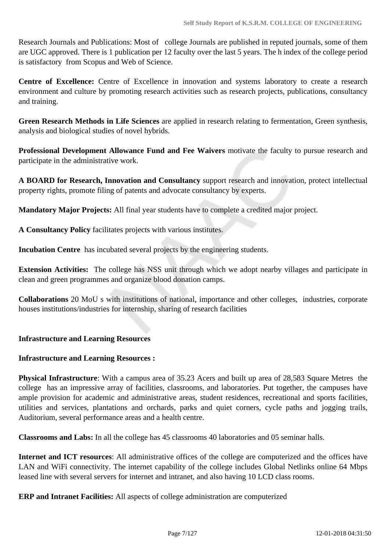Research Journals and Publications: Most of college Journals are published in reputed journals, some of them are UGC approved. There is 1 publication per 12 faculty over the last 5 years. The h index of the college period is satisfactory from Scopus and Web of Science.

**Centre of Excellence:** Centre of Excellence in innovation and systems laboratory to create a research environment and culture by promoting research activities such as research projects, publications, consultancy and training.

**Green Research Methods in Life Sciences** are applied in research relating to fermentation, Green synthesis, analysis and biological studies of novel hybrids.

**Professional Development Allowance Fund and Fee Waivers** motivate the faculty to pursue research and participate in the administrative work.

**A BOARD for Research, Innovation and Consultancy** support research and innovation, protect intellectual property rights, promote filing of patents and advocate consultancy by experts.

**Mandatory Major Projects:** All final year students have to complete a credited major project.

**A Consultancy Policy** facilitates projects with various institutes.

**Incubation Centre** has incubated several projects by the engineering students.

**Extension Activities:** The college has NSS unit through which we adopt nearby villages and participate in clean and green programmes and organize blood donation camps.

**Collaborations** 20 MoU s with institutions of national, importance and other colleges, industries, corporate houses institutions/industries for internship, sharing of research facilities

#### **Infrastructure and Learning Resources**

#### **Infrastructure and Learning Resources :**

**Physical Infrastructure**: With a campus area of 35.23 Acers and built up area of 28,583 Square Metres the college has an impressive array of facilities, classrooms, and laboratories. Put together, the campuses have ample provision for academic and administrative areas, student residences, recreational and sports facilities, utilities and services, plantations and orchards, parks and quiet corners, cycle paths and jogging trails, Auditorium, several performance areas and a health centre.

**Classrooms and Labs:** In all the college has 45 classrooms 40 laboratories and 05 seminar halls.

**Internet and ICT resources**: All administrative offices of the college are computerized and the offices have LAN and WiFi connectivity. The internet capability of the college includes Global Netlinks online 64 Mbps leased line with several servers for internet and intranet, and also having 10 LCD class rooms.

**ERP and Intranet Facilities:** All aspects of college administration are computerized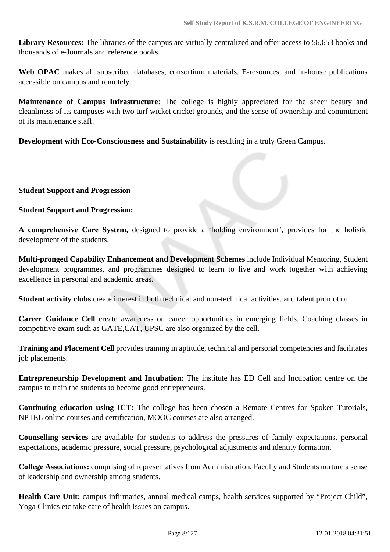**Library Resources:** The libraries of the campus are virtually centralized and offer access to 56,653 books and thousands of e-Journals and reference books.

**Web OPAC** makes all subscribed databases, consortium materials, E-resources, and in-house publications accessible on campus and remotely.

**Maintenance of Campus Infrastructure**: The college is highly appreciated for the sheer beauty and cleanliness of its campuses with two turf wicket cricket grounds, and the sense of ownership and commitment of its maintenance staff.

**Development with Eco-Consciousness and Sustainability** is resulting in a truly Green Campus.

#### **Student Support and Progression**

#### **Student Support and Progression:**

**A comprehensive Care System,** designed to provide a 'holding environment', provides for the holistic development of the students.

**Multi-pronged Capability Enhancement and Development Schemes** include Individual Mentoring, Student development programmes, and programmes designed to learn to live and work together with achieving excellence in personal and academic areas.

**Student activity clubs** create interest in both technical and non-technical activities. and talent promotion.

**Career Guidance Cell** create awareness on career opportunities in emerging fields. Coaching classes in competitive exam such as GATE,CAT, UPSC are also organized by the cell.

**Training and Placement Cell** provides training in aptitude, technical and personal competencies and facilitates job placements.

**Entrepreneurship Development and Incubation**: The institute has ED Cell and Incubation centre on the campus to train the students to become good entrepreneurs.

**Continuing education using ICT:** The college has been chosen a Remote Centres for Spoken Tutorials, NPTEL online courses and certification, MOOC courses are also arranged.

**Counselling services** are available for students to address the pressures of family expectations, personal expectations, academic pressure, social pressure, psychological adjustments and identity formation.

**College Associations:** comprising of representatives from Administration, Faculty and Students nurture a sense of leadership and ownership among students.

**Health Care Unit:** campus infirmaries, annual medical camps, health services supported by "Project Child", Yoga Clinics etc take care of health issues on campus.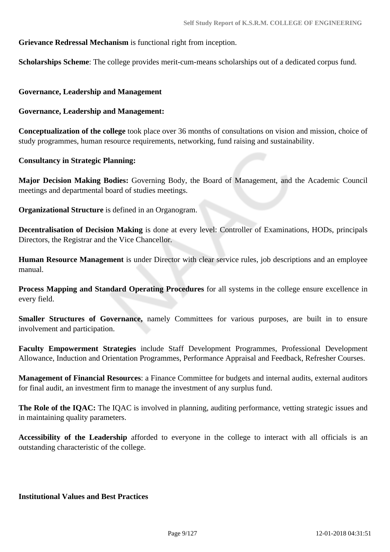#### **Grievance Redressal Mechanism** is functional right from inception.

**Scholarships Scheme**: The college provides merit-cum-means scholarships out of a dedicated corpus fund.

#### **Governance, Leadership and Management**

#### **Governance, Leadership and Management:**

**Conceptualization of the college** took place over 36 months of consultations on vision and mission, choice of study programmes, human resource requirements, networking, fund raising and sustainability.

#### **Consultancy in Strategic Planning:**

**Major Decision Making Bodies:** Governing Body, the Board of Management, and the Academic Council meetings and departmental board of studies meetings.

**Organizational Structure** is defined in an Organogram.

**Decentralisation of Decision Making** is done at every level: Controller of Examinations, HODs, principals Directors, the Registrar and the Vice Chancellor.

**Human Resource Management** is under Director with clear service rules, job descriptions and an employee manual.

**Process Mapping and Standard Operating Procedures** for all systems in the college ensure excellence in every field.

**Smaller Structures of Governance,** namely Committees for various purposes, are built in to ensure involvement and participation.

**Faculty Empowerment Strategies** include Staff Development Programmes, Professional Development Allowance, Induction and Orientation Programmes, Performance Appraisal and Feedback, Refresher Courses.

**Management of Financial Resources**: a Finance Committee for budgets and internal audits, external auditors for final audit, an investment firm to manage the investment of any surplus fund.

**The Role of the IQAC:** The IQAC is involved in planning, auditing performance, vetting strategic issues and in maintaining quality parameters.

**Accessibility of the Leadership** afforded to everyone in the college to interact with all officials is an outstanding characteristic of the college.

#### **Institutional Values and Best Practices**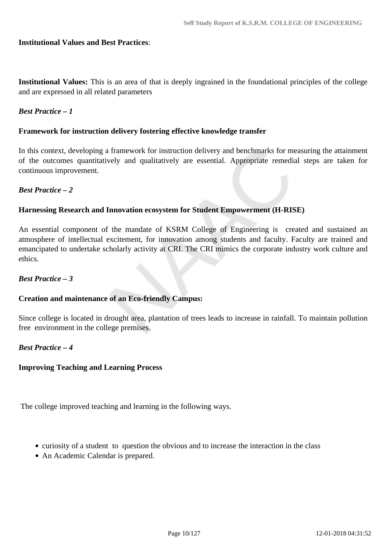#### **Institutional Values and Best Practices**:

**Institutional Values:** This is an area of that is deeply ingrained in the foundational principles of the college and are expressed in all related parameters

#### *Best Practice – 1*

#### **Framework for instruction delivery fostering effective knowledge transfer**

In this context, developing a framework for instruction delivery and benchmarks for measuring the attainment of the outcomes quantitatively and qualitatively are essential. Appropriate remedial steps are taken for continuous improvement.

#### *Best Practice – 2*

#### **Harnessing Research and Innovation ecosystem for Student Empowerment (H-RISE)**

An essential component of the mandate of KSRM College of Engineering is created and sustained an atmosphere of intellectual excitement, for innovation among students and faculty. Faculty are trained and emancipated to undertake scholarly activity at CRI. The CRI mimics the corporate industry work culture and ethics.

#### *Best Practice – 3*

#### **Creation and maintenance of an Eco-friendly Campus:**

Since college is located in drought area, plantation of trees leads to increase in rainfall. To maintain pollution free environment in the college premises.

#### *Best Practice – 4*

#### **Improving Teaching and Learning Process**

The college improved teaching and learning in the following ways.

- curiosity of a student to question the obvious and to increase the interaction in the class
- An Academic Calendar is prepared.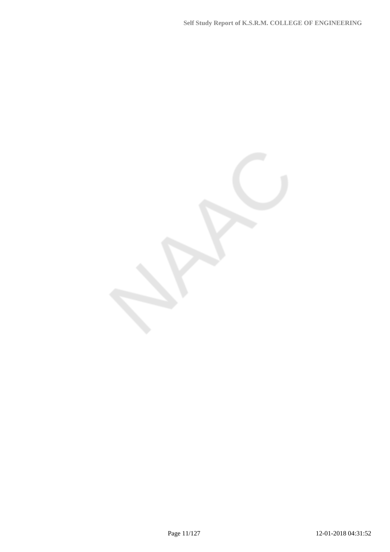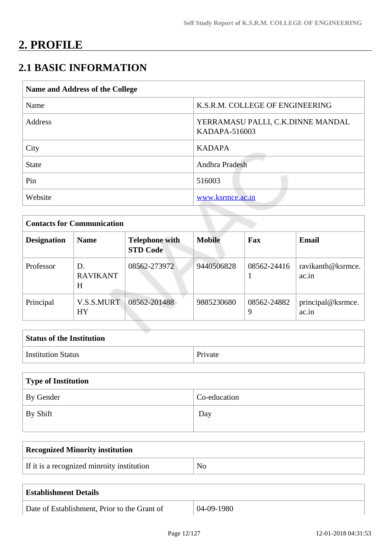## **2. PROFILE**

## **2.1 BASIC INFORMATION**

| Name and Address of the College |                                                    |  |  |
|---------------------------------|----------------------------------------------------|--|--|
| Name                            | K.S.R.M. COLLEGE OF ENGINEERING                    |  |  |
| Address                         | YERRAMASU PALLI, C.K.DINNE MANDAL<br>KADAPA-516003 |  |  |
| City                            | <b>KADAPA</b>                                      |  |  |
| <b>State</b>                    | Andhra Pradesh                                     |  |  |
| Pin                             | 516003                                             |  |  |
| Website                         | www.ksrmce.ac.in                                   |  |  |

| <b>Contacts for Communication</b> |                                |                                          |               |                  |                            |
|-----------------------------------|--------------------------------|------------------------------------------|---------------|------------------|----------------------------|
| <b>Designation</b>                | <b>Name</b>                    | <b>Telephone with</b><br><b>STD Code</b> | <b>Mobile</b> | Fax              | <b>Email</b>               |
| Professor                         | D.<br><b>RAVIKANT</b><br>H     | 08562-273972                             | 9440506828    | 08562-24416      | ravikanth@ksrmce.<br>ac.in |
| Principal                         | <b>V.S.S.MURT</b><br><b>HY</b> | 08562-201488                             | 9885230680    | 08562-24882<br>9 | principal@ksrmce.<br>ac.in |

| <b>Status of the Institution</b> |         |
|----------------------------------|---------|
| <b>Institution Status</b>        | Private |

| Type of Institution |              |  |
|---------------------|--------------|--|
| By Gender           | Co-education |  |
| $\perp$ By Shift    | Day          |  |

| <b>Establishment Details</b>                 |            |
|----------------------------------------------|------------|
| Date of Establishment, Prior to the Grant of | 04-09-1980 |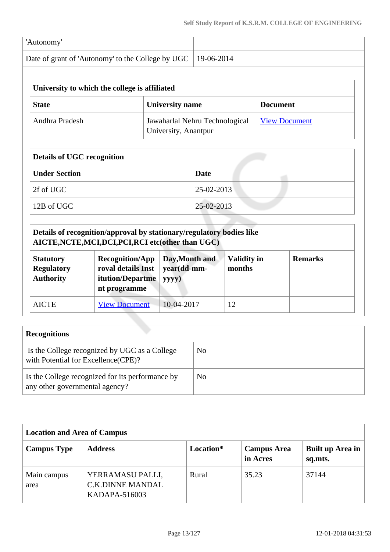| 'Autonomy'                                                     |  |
|----------------------------------------------------------------|--|
| Date of grant of 'Autonomy' to the College by UGC   19-06-2014 |  |

| University to which the college is affiliated |                                                        |                      |  |
|-----------------------------------------------|--------------------------------------------------------|----------------------|--|
| <b>State</b>                                  | University name                                        | <b>Document</b>      |  |
| Andhra Pradesh                                | Jawaharlal Nehru Technological<br>University, Anantpur | <b>View Document</b> |  |

| <b>Details of UGC recognition</b> |            |  |
|-----------------------------------|------------|--|
| <b>Under Section</b>              | Date       |  |
| 2f of UGC                         | 25-02-2013 |  |
| 12B of UGC                        | 25-02-2013 |  |

| Details of recognition/approval by stationary/regulatory bodies like<br>AICTE, NCTE, MCI, DCI, PCI, RCI etc(other than UGC)                                                                                                               |                      |            |    |  |  |
|-------------------------------------------------------------------------------------------------------------------------------------------------------------------------------------------------------------------------------------------|----------------------|------------|----|--|--|
| Day, Month and<br><b>Validity in</b><br><b>Recognition/App</b><br><b>Remarks</b><br><b>Statutory</b><br>roval details Inst<br>year(dd-mm-<br><b>Regulatory</b><br>months<br><b>Authority</b><br>itution/Departme<br>yyyy)<br>nt programme |                      |            |    |  |  |
| <b>AICTE</b>                                                                                                                                                                                                                              | <b>View Document</b> | 10-04-2017 | 12 |  |  |

| <b>Recognitions</b>                                                                   |    |
|---------------------------------------------------------------------------------------|----|
| Is the College recognized by UGC as a College<br>with Potential for Excellence (CPE)? | No |
| Is the College recognized for its performance by<br>any other governmental agency?    | No |

| <b>Location and Area of Campus</b> |                                                              |           |                                |                             |
|------------------------------------|--------------------------------------------------------------|-----------|--------------------------------|-----------------------------|
| <b>Campus Type</b>                 | <b>Address</b>                                               | Location* | <b>Campus Area</b><br>in Acres | Built up Area in<br>sq.mts. |
| Main campus<br>area                | YERRAMASU PALLI,<br><b>C.K.DINNE MANDAL</b><br>KADAPA-516003 | Rural     | 35.23                          | 37144                       |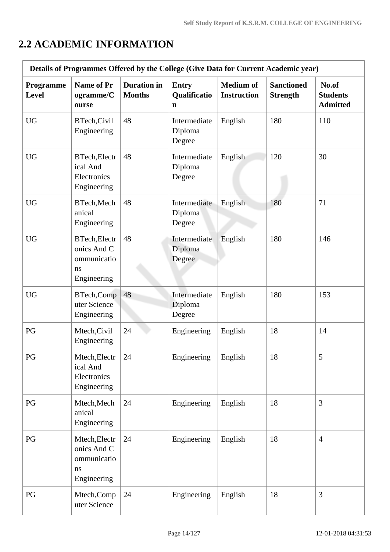## **2.2 ACADEMIC INFORMATION**

| Details of Programmes Offered by the College (Give Data for Current Academic year) |                                                                         |                                     |                                   |                                        |                                      |                                             |  |  |
|------------------------------------------------------------------------------------|-------------------------------------------------------------------------|-------------------------------------|-----------------------------------|----------------------------------------|--------------------------------------|---------------------------------------------|--|--|
| Programme<br>Level                                                                 | <b>Name of Pr</b><br>ogramme/C<br>ourse                                 | <b>Duration</b> in<br><b>Months</b> | <b>Entry</b><br>Qualificatio<br>n | <b>Medium of</b><br><b>Instruction</b> | <b>Sanctioned</b><br><b>Strength</b> | No.of<br><b>Students</b><br><b>Admitted</b> |  |  |
| <b>UG</b>                                                                          | BTech, Civil<br>Engineering                                             | 48                                  | Intermediate<br>Diploma<br>Degree | English                                | 180                                  | 110                                         |  |  |
| <b>UG</b>                                                                          | BTech, Electr<br>ical And<br>Electronics<br>Engineering                 | 48                                  | Intermediate<br>Diploma<br>Degree | English                                | 120                                  | 30                                          |  |  |
| <b>UG</b>                                                                          | BTech, Mech<br>anical<br>Engineering                                    | 48                                  | Intermediate<br>Diploma<br>Degree | English                                | 180                                  | 71                                          |  |  |
| <b>UG</b>                                                                          | <b>BTech, Electr</b><br>onics And C<br>ommunicatio<br>ns<br>Engineering | 48                                  | Intermediate<br>Diploma<br>Degree | English                                | 180                                  | 146                                         |  |  |
| <b>UG</b>                                                                          | BTech, Comp<br>uter Science<br>Engineering                              | 48                                  | Intermediate<br>Diploma<br>Degree | English                                | 180                                  | 153                                         |  |  |
| PG                                                                                 | Mtech, Civil<br>Engineering                                             | 24                                  | Engineering                       | English                                | 18                                   | 14                                          |  |  |
| PG                                                                                 | Mtech, Electr<br>ical And<br>Electronics<br>Engineering                 | 24                                  | Engineering                       | English                                | 18                                   | 5                                           |  |  |
| PG                                                                                 | Mtech, Mech<br>anical<br>Engineering                                    | 24                                  | Engineering                       | English                                | 18                                   | 3                                           |  |  |
| PG                                                                                 | Mtech, Electr<br>onics And C<br>ommunicatio<br>ns<br>Engineering        | 24                                  | Engineering                       | English                                | 18                                   | $\overline{4}$                              |  |  |
| PG                                                                                 | Mtech, Comp<br>uter Science                                             | 24                                  | Engineering                       | English                                | 18                                   | 3                                           |  |  |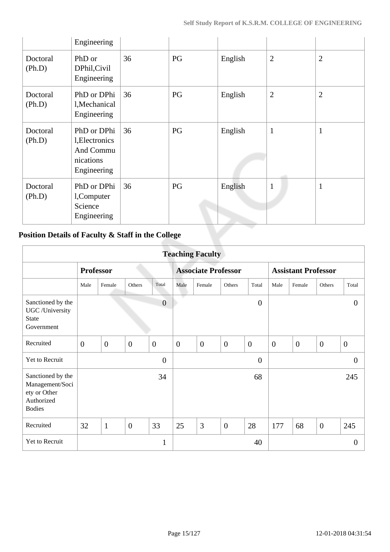|                    | Engineering                                                            |    |    |         |                |                |
|--------------------|------------------------------------------------------------------------|----|----|---------|----------------|----------------|
| Doctoral<br>(Ph.D) | PhD or<br>DPhil, Civil<br>Engineering                                  | 36 | PG | English | $\overline{2}$ | $\overline{2}$ |
| Doctoral<br>(Ph.D) | PhD or DPhi<br>l, Mechanical<br>Engineering                            | 36 | PG | English | $\overline{2}$ | $\overline{2}$ |
| Doctoral<br>(Ph.D) | PhD or DPhi<br>l, Electronics<br>And Commu<br>nications<br>Engineering | 36 | PG | English | $\mathbf{1}$   | $\bf{l}$       |
| Doctoral<br>(Ph.D) | PhD or DPhi<br>l,Computer<br>Science<br>Engineering                    | 36 | PG | English | $\mathbf{1}$   | $\mathbf{1}$   |

## **Position Details of Faculty & Staff in the College**

|                                                                                     | <b>Teaching Faculty</b> |              |                |                            |                |                |                            |                |                |                |                |                  |
|-------------------------------------------------------------------------------------|-------------------------|--------------|----------------|----------------------------|----------------|----------------|----------------------------|----------------|----------------|----------------|----------------|------------------|
|                                                                                     | <b>Professor</b>        |              |                | <b>Associate Professor</b> |                |                | <b>Assistant Professor</b> |                |                |                |                |                  |
|                                                                                     | Male                    | Female       | Others         | Total                      | Male           | Female         | Others                     | Total          | Male           | Female         | Others         | Total            |
| Sanctioned by the<br>UGC /University<br><b>State</b><br>Government                  |                         |              |                | $\overline{0}$             |                |                |                            | $\overline{0}$ |                |                |                | $\Omega$         |
| Recruited                                                                           | $\overline{0}$          | $\mathbf{0}$ | $\theta$       | $\overline{0}$             | $\overline{0}$ | $\overline{0}$ | $\overline{0}$             | $\overline{0}$ | $\overline{0}$ | $\overline{0}$ | $\overline{0}$ | $\boldsymbol{0}$ |
| Yet to Recruit                                                                      |                         |              |                | $\overline{0}$             |                |                |                            | $\overline{0}$ |                |                |                | $\theta$         |
| Sanctioned by the<br>Management/Soci<br>ety or Other<br>Authorized<br><b>Bodies</b> |                         |              |                | 34                         |                |                |                            | 68             |                |                |                | 245              |
| Recruited                                                                           | 32                      | $\mathbf{1}$ | $\overline{0}$ | 33                         | 25             | 3              | $\overline{0}$             | 28             | 177            | 68             | $\overline{0}$ | 245              |
| Yet to Recruit                                                                      |                         |              |                | $\mathbf{1}$               |                |                |                            | 40             |                |                |                | $\Omega$         |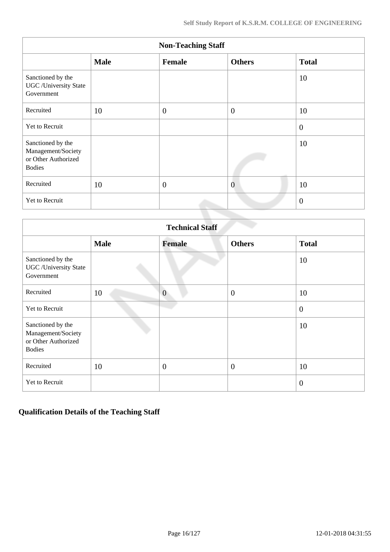| <b>Non-Teaching Staff</b>                                                       |             |                |                |                |  |  |  |  |
|---------------------------------------------------------------------------------|-------------|----------------|----------------|----------------|--|--|--|--|
|                                                                                 | <b>Male</b> | Female         | <b>Others</b>  | <b>Total</b>   |  |  |  |  |
| Sanctioned by the<br><b>UGC</b> / University State<br>Government                |             |                |                | 10             |  |  |  |  |
| Recruited                                                                       | 10          | $\overline{0}$ | $\overline{0}$ | 10             |  |  |  |  |
| Yet to Recruit                                                                  |             |                |                | $\overline{0}$ |  |  |  |  |
| Sanctioned by the<br>Management/Society<br>or Other Authorized<br><b>Bodies</b> |             |                |                | 10             |  |  |  |  |
| Recruited                                                                       | 10          | $\overline{0}$ | $\overline{0}$ | 10             |  |  |  |  |
| Yet to Recruit                                                                  |             |                |                | $\overline{0}$ |  |  |  |  |

|                                                                                 | <b>Technical Staff</b> |                |                |                |  |  |  |  |  |
|---------------------------------------------------------------------------------|------------------------|----------------|----------------|----------------|--|--|--|--|--|
|                                                                                 | <b>Male</b>            | <b>Female</b>  | <b>Others</b>  | <b>Total</b>   |  |  |  |  |  |
| Sanctioned by the<br><b>UGC</b> / University State<br>Government                |                        |                |                | 10             |  |  |  |  |  |
| Recruited                                                                       | 10                     | $\overline{0}$ | $\overline{0}$ | 10             |  |  |  |  |  |
| Yet to Recruit                                                                  |                        |                |                | $\overline{0}$ |  |  |  |  |  |
| Sanctioned by the<br>Management/Society<br>or Other Authorized<br><b>Bodies</b> |                        |                |                | 10             |  |  |  |  |  |
| Recruited                                                                       | 10                     | $\overline{0}$ | $\overline{0}$ | 10             |  |  |  |  |  |
| Yet to Recruit                                                                  |                        |                |                | $\overline{0}$ |  |  |  |  |  |

### **Qualification Details of the Teaching Staff**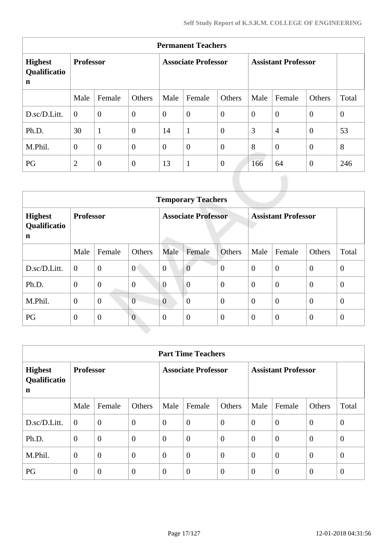| <b>Permanent Teachers</b>                     |                  |                |                            |                |                  |                            |                |                |                |                |
|-----------------------------------------------|------------------|----------------|----------------------------|----------------|------------------|----------------------------|----------------|----------------|----------------|----------------|
| <b>Highest</b><br>Qualificatio<br>$\mathbf n$ | <b>Professor</b> |                | <b>Associate Professor</b> |                |                  | <b>Assistant Professor</b> |                |                |                |                |
|                                               | Male             | Female         | Others                     | Male           | Female           | Others                     | Male           | Female         | Others         | Total          |
| D.sc/D.Litt.                                  | $\Omega$         | $\overline{0}$ | $\overline{0}$             | $\overline{0}$ | $\boldsymbol{0}$ | $\overline{0}$             | $\overline{0}$ | $\overline{0}$ | $\overline{0}$ | $\overline{0}$ |
| Ph.D.                                         | 30               | $\mathbf{1}$   | $\overline{0}$             | 14             | $\mathbf{1}$     | $\theta$                   | 3              | $\overline{4}$ | $\overline{0}$ | 53             |
| M.Phil.                                       | $\overline{0}$   | $\overline{0}$ | $\overline{0}$             | $\overline{0}$ | $\overline{0}$   | $\overline{0}$             | 8              | $\overline{0}$ | $\overline{0}$ | 8              |
| PG                                            | $\overline{2}$   | $\theta$       | $\overline{0}$             | 13             | $\mathbf{1}$     | $\overline{0}$             | 166            | 64             | $\overline{0}$ | 246            |

|                                     | <b>Temporary Teachers</b> |                |                            |                  |                  |                            |                |                |                  |              |  |
|-------------------------------------|---------------------------|----------------|----------------------------|------------------|------------------|----------------------------|----------------|----------------|------------------|--------------|--|
| <b>Highest</b><br>Qualificatio<br>n | <b>Professor</b>          |                | <b>Associate Professor</b> |                  |                  | <b>Assistant Professor</b> |                |                |                  |              |  |
|                                     | Male                      | Female         | Others                     | Male             | Female           | Others                     | Male           | Female         | Others           | Total        |  |
| D.sc/D.Litt.                        | $\boldsymbol{0}$          | $\overline{0}$ | $\overline{0}$             | $\boldsymbol{0}$ | $\overline{0}$   | $\overline{0}$             | $\overline{0}$ | $\overline{0}$ | $\mathbf{0}$     | $\mathbf{0}$ |  |
| Ph.D.                               | $\boldsymbol{0}$          | $\overline{0}$ | $\overline{0}$             | $\overline{0}$   | $\overline{0}$   | $\overline{0}$             | $\overline{0}$ | $\overline{0}$ | $\overline{0}$   | $\theta$     |  |
| M.Phil.                             | $\mathbf{0}$              | $\overline{0}$ | $\overline{0}$             | $\overline{0}$   | $\overline{0}$   | $\overline{0}$             | $\overline{0}$ | $\overline{0}$ | $\overline{0}$   | $\theta$     |  |
| PG                                  | $\mathbf{0}$              | $\mathbf{0}$   | $\overline{0}$             | $\overline{0}$   | $\boldsymbol{0}$ | $\mathbf{0}$               | $\overline{0}$ | $\theta$       | $\boldsymbol{0}$ | $\theta$     |  |

|                                     | <b>Part Time Teachers</b> |                  |                            |                |                  |                            |                |                |                |                |  |
|-------------------------------------|---------------------------|------------------|----------------------------|----------------|------------------|----------------------------|----------------|----------------|----------------|----------------|--|
| <b>Highest</b><br>Qualificatio<br>n | <b>Professor</b>          |                  | <b>Associate Professor</b> |                |                  | <b>Assistant Professor</b> |                |                |                |                |  |
|                                     | Male                      | Female           | Others                     | Male           | Female           | Others                     | Male           | Female         | Others         | Total          |  |
| D.sc/D.Litt.                        | $\overline{0}$            | $\overline{0}$   | $\overline{0}$             | $\overline{0}$ | $\overline{0}$   | $\overline{0}$             | $\overline{0}$ | $\overline{0}$ | $\theta$       | $\overline{0}$ |  |
| Ph.D.                               | $\overline{0}$            | $\overline{0}$   | $\overline{0}$             | $\overline{0}$ | $\overline{0}$   | $\theta$                   | $\overline{0}$ | $\theta$       | $\theta$       | $\overline{0}$ |  |
| M.Phil.                             | $\mathbf{0}$              | $\boldsymbol{0}$ | $\overline{0}$             | $\overline{0}$ | $\boldsymbol{0}$ | $\overline{0}$             | $\overline{0}$ | $\overline{0}$ | $\overline{0}$ | $\overline{0}$ |  |
| PG                                  | $\theta$                  | $\overline{0}$   | $\overline{0}$             | $\overline{0}$ | $\overline{0}$   | $\theta$                   | $\overline{0}$ | $\theta$       | $\overline{0}$ | $\overline{0}$ |  |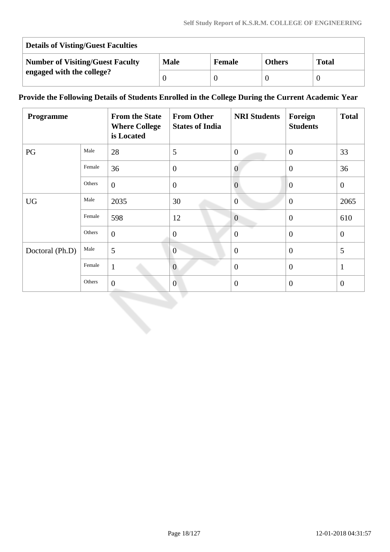| <b>Details of Visting/Guest Faculties</b> |             |               |               |              |  |  |  |
|-------------------------------------------|-------------|---------------|---------------|--------------|--|--|--|
| <b>Number of Visiting/Guest Faculty</b>   | <b>Male</b> | <b>Female</b> | <b>Others</b> | <b>Total</b> |  |  |  |
| engaged with the college?                 |             |               |               |              |  |  |  |

#### **Provide the Following Details of Students Enrolled in the College During the Current Academic Year**

| Programme       |        | <b>From the State</b><br><b>Where College</b><br>is Located | <b>From Other</b><br><b>States of India</b> | <b>NRI Students</b> | Foreign<br><b>Students</b> | <b>Total</b>   |
|-----------------|--------|-------------------------------------------------------------|---------------------------------------------|---------------------|----------------------------|----------------|
| PG              | Male   | 28                                                          | 5                                           | $\mathbf{0}$        | $\theta$                   | 33             |
|                 | Female | 36                                                          | $\overline{0}$                              | $\overline{0}$      | $\overline{0}$             | 36             |
|                 | Others | $\mathbf{0}$                                                | $\overline{0}$                              | $\overline{0}$      | $\overline{0}$             | $\overline{0}$ |
| <b>UG</b>       | Male   | 2035                                                        | 30                                          | $\overline{0}$      | $\overline{0}$             | 2065           |
|                 | Female | 598                                                         | 12                                          | $\overline{0}$      | $\overline{0}$             | 610            |
|                 | Others | $\overline{0}$                                              | $\overline{0}$                              | $\mathbf{0}$        | $\overline{0}$             | $\overline{0}$ |
| Doctoral (Ph.D) | Male   | 5                                                           | $\overline{0}$                              | $\overline{0}$      | $\overline{0}$             | 5              |
|                 | Female | $\mathbf{1}$                                                | $\overline{0}$                              | $\theta$            | $\overline{0}$             | $\mathbf{1}$   |
|                 | Others | $\mathbf{0}$                                                | $\overline{0}$                              | $\mathbf{0}$        | $\overline{0}$             | $\mathbf{0}$   |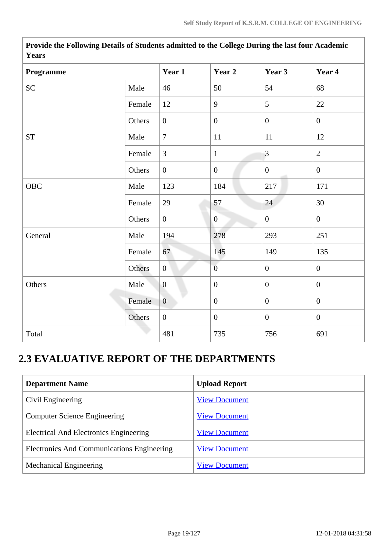| Programme |        | Year 1         | Year 2           | Year 3           | Year 4           |
|-----------|--------|----------------|------------------|------------------|------------------|
| <b>SC</b> | Male   | 46             | 50               | 54               | 68               |
|           | Female | 12             | 9                | 5                | 22               |
|           | Others | $\overline{0}$ | $\boldsymbol{0}$ | $\overline{0}$   | $\mathbf{0}$     |
| <b>ST</b> | Male   | $\overline{7}$ | 11               | 11               | 12               |
|           | Female | $\overline{3}$ | $\mathbf{1}$     | 3                | $\overline{2}$   |
|           | Others | $\overline{0}$ | $\boldsymbol{0}$ | $\overline{0}$   | $\mathbf{0}$     |
| OBC       | Male   | 123            | 184              | 217              | 171              |
|           | Female | 29             | 57               | 24               | 30               |
|           | Others | $\overline{0}$ | $\mathbf{0}$     | $\overline{0}$   | $\mathbf{0}$     |
| General   | Male   | 194            | 278              | 293              | 251              |
|           | Female | 67             | 145              | 149              | 135              |
|           | Others | $\overline{0}$ | $\overline{0}$   | $\boldsymbol{0}$ | $\boldsymbol{0}$ |
| Others    | Male   | $\overline{0}$ | $\overline{0}$   | $\overline{0}$   | $\mathbf{0}$     |
|           | Female | $\overline{0}$ | $\boldsymbol{0}$ | $\overline{0}$   | $\theta$         |
|           | Others | $\overline{0}$ | $\overline{0}$   | $\overline{0}$   | $\mathbf{0}$     |
| Total     |        | 481            | 735              | 756              | 691              |

**Provide the Following Details of Students admitted to the College During the last four Academic Years**

## **2.3 EVALUATIVE REPORT OF THE DEPARTMENTS**

| <b>Department Name</b>                        | <b>Upload Report</b> |
|-----------------------------------------------|----------------------|
| Civil Engineering                             | <b>View Document</b> |
| <b>Computer Science Engineering</b>           | <b>View Document</b> |
| <b>Electrical And Electronics Engineering</b> | <b>View Document</b> |
| Electronics And Communications Engineering    | <b>View Document</b> |
| <b>Mechanical Engineering</b>                 | <b>View Document</b> |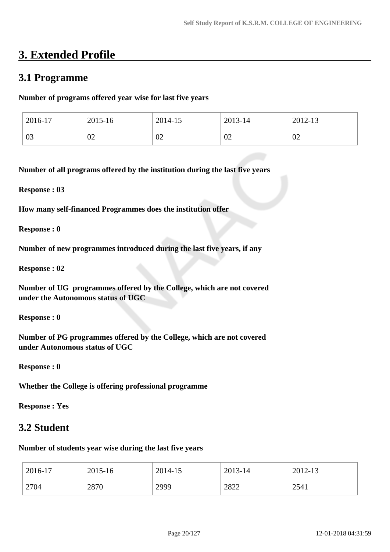## **3. Extended Profile**

## **3.1 Programme**

**Number of programs offered year wise for last five years**

| 2016-17 | 2015-16        | 2014-15 | 2013-14 | 2012-13 |
|---------|----------------|---------|---------|---------|
| 03      | $\Omega$<br>UZ | 02      | 02      | 02      |

**Number of all programs offered by the institution during the last five years**

**Response : 03**

**How many self-financed Programmes does the institution offer**

**Response : 0**

**Number of new programmes introduced during the last five years, if any**

**Response : 02**

**Number of UG programmes offered by the College, which are not covered under the Autonomous status of UGC**

**Response : 0**

**Number of PG programmes offered by the College, which are not covered under Autonomous status of UGC**

**Response : 0**

**Whether the College is offering professional programme**

**Response : Yes**

### **3.2 Student**

**Number of students year wise during the last five years**

| 2016-17 | 2015-16 | 2014-15 | 2013-14 | 2012-13 |
|---------|---------|---------|---------|---------|
| 2704    | 2870    | 2999    | 2822    | 2541    |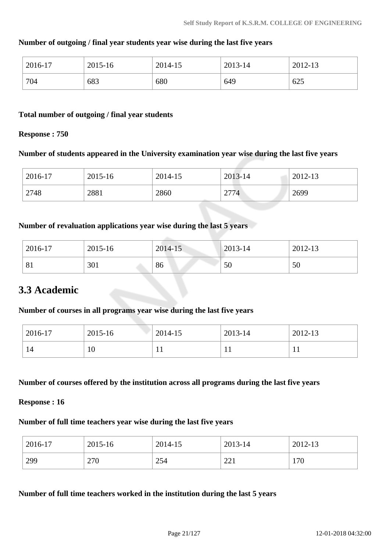| 2016-17 | 2015-16 | 2014-15 | 2013-14 | 2012-13 |
|---------|---------|---------|---------|---------|
| 704     | 683     | 680     | 649     | 625     |

#### **Number of outgoing / final year students year wise during the last five years**

#### **Total number of outgoing / final year students**

#### **Response : 750**

#### **Number of students appeared in the University examination year wise during the last five years**

| 2016-17 | 2015-16 | 2014-15 | 2013-14 | 2012-13 |
|---------|---------|---------|---------|---------|
| 2748    | 2881    | 2860    | 2774    | 2699    |

#### **Number of revaluation applications year wise during the last 5 years**

| $2016-17$ | 2015-16 | 2014-15 | 2013-14 | 2012-13 |
|-----------|---------|---------|---------|---------|
| OІ        | 301     | 86      | 50      | 50      |

## **3.3 Academic**

#### **Number of courses in all programs year wise during the last five years**

| 2016-17 | 2015-16 | 2014-15 | 2013-14 | 2012-13      |
|---------|---------|---------|---------|--------------|
| 14      | 10      | . .     | T T     | $\mathbf{r}$ |

#### **Number of courses offered by the institution across all programs during the last five years**

#### **Response : 16**

#### **Number of full time teachers year wise during the last five years**

| 2016-17 | 2015-16 | 2014-15 | 2013-14          | 2012-13 |
|---------|---------|---------|------------------|---------|
| 299     | 270     | 254     | $\bigcap$<br>221 | 170     |

#### **Number of full time teachers worked in the institution during the last 5 years**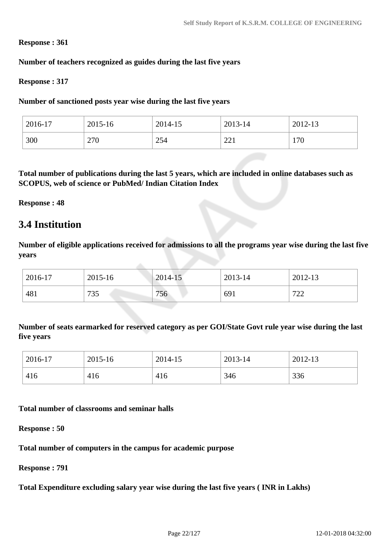#### **Response : 361**

#### **Number of teachers recognized as guides during the last five years**

#### **Response : 317**

#### **Number of sanctioned posts year wise during the last five years**

| 2016-17 | 2015-16 | 2014-15 | 2013-14    | 2012-13 |
|---------|---------|---------|------------|---------|
| 300     | 270     | 254     | nn.<br>441 | 170     |

**Total number of publications during the last 5 years, which are included in online databases such as SCOPUS, web of science or PubMed/ Indian Citation Index**

**Response : 48**

### **3.4 Institution**

**Number of eligible applications received for admissions to all the programs year wise during the last five years**

| 2016-17 | 2015-16 | $2014 - 15$ | 2013-14 | 2012-13   |
|---------|---------|-------------|---------|-----------|
| 481     | 735     | 756         | 691     | 700<br>∠∠ |

**Number of seats earmarked for reserved category as per GOI/State Govt rule year wise during the last five years**

| 2016-17 | 2015-16 | 2014-15 | 2013-14 | 2012-13 |
|---------|---------|---------|---------|---------|
| 416     | 416     | 416     | 346     | 336     |

#### **Total number of classrooms and seminar halls**

**Response : 50**

**Total number of computers in the campus for academic purpose**

#### **Response : 791**

**Total Expenditure excluding salary year wise during the last five years ( INR in Lakhs)**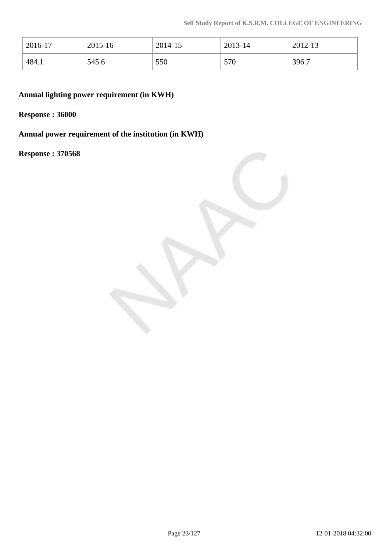| 2016-17 | 2015-16 | 2014-15 | 2013-14 | 2012-13 |
|---------|---------|---------|---------|---------|
| 484.1   | 545.6   | 550     | 570     | 396.7   |

#### **Annual lighting power requirement (in KWH)**

**Response : 36000**

**Annual power requirement of the institution (in KWH)**

**Response : 370568**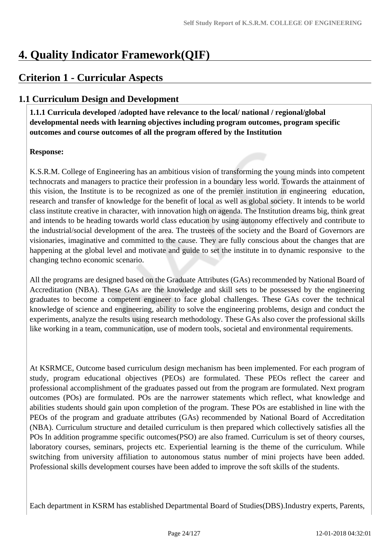## **4. Quality Indicator Framework(QIF)**

## **Criterion 1 - Curricular Aspects**

### **1.1 Curriculum Design and Development**

 **1.1.1 Curricula developed /adopted have relevance to the local/ national / regional/global developmental needs with learning objectives including program outcomes, program specific outcomes and course outcomes of all the program offered by the Institution**

#### **Response:**

K.S.R.M. College of Engineering has an ambitious vision of transforming the young minds into competent technocrats and managers to practice their profession in a boundary less world. Towards the attainment of this vision, the Institute is to be recognized as one of the premier institution in engineering education, research and transfer of knowledge for the benefit of local as well as global society. It intends to be world class institute creative in character, with innovation high on agenda. The Institution dreams big, think great and intends to be heading towards world class education by using autonomy effectively and contribute to the industrial/social development of the area. The trustees of the society and the Board of Governors are visionaries, imaginative and committed to the cause. They are fully conscious about the changes that are happening at the global level and motivate and guide to set the institute in to dynamic responsive to the changing techno economic scenario.

All the programs are designed based on the Graduate Attributes (GAs) recommended by National Board of Accreditation (NBA). These GAs are the knowledge and skill sets to be possessed by the engineering graduates to become a competent engineer to face global challenges. These GAs cover the technical knowledge of science and engineering, ability to solve the engineering problems, design and conduct the experiments, analyze the results using research methodology. These GAs also cover the professional skills like working in a team, communication, use of modern tools, societal and environmental requirements.

At KSRMCE, Outcome based curriculum design mechanism has been implemented. For each program of study, program educational objectives (PEOs) are formulated. These PEOs reflect the career and professional accomplishment of the graduates passed out from the program are formulated. Next program outcomes (POs) are formulated. POs are the narrower statements which reflect, what knowledge and abilities students should gain upon completion of the program. These POs are established in line with the PEOs of the program and graduate attributes (GAs) recommended by National Board of Accreditation (NBA). Curriculum structure and detailed curriculum is then prepared which collectively satisfies all the POs In addition programme specific outcomes(PSO) are also framed. Curriculum is set of theory courses, laboratory courses, seminars, projects etc. Experiential learning is the theme of the curriculum. While switching from university affiliation to autonomous status number of mini projects have been added. Professional skills development courses have been added to improve the soft skills of the students.

Each department in KSRM has established Departmental Board of Studies(DBS).Industry experts, Parents,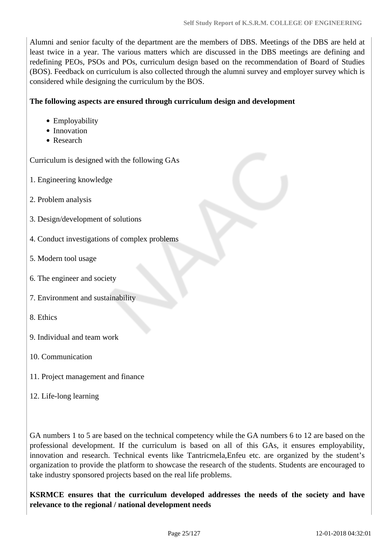Alumni and senior faculty of the department are the members of DBS. Meetings of the DBS are held at least twice in a year. The various matters which are discussed in the DBS meetings are defining and redefining PEOs, PSOs and POs, curriculum design based on the recommendation of Board of Studies (BOS). Feedback on curriculum is also collected through the alumni survey and employer survey which is considered while designing the curriculum by the BOS.

#### **The following aspects are ensured through curriculum design and development**

- Employability
- Innovation
- Research

Curriculum is designed with the following GAs

- 1. Engineering knowledge
- 2. Problem analysis
- 3. Design/development of solutions
- 4. Conduct investigations of complex problems
- 5. Modern tool usage
- 6. The engineer and society
- 7. Environment and sustainability
- 8. Ethics
- 9. Individual and team work
- 10. Communication
- 11. Project management and finance
- 12. Life-long learning

GA numbers 1 to 5 are based on the technical competency while the GA numbers 6 to 12 are based on the professional development. If the curriculum is based on all of this GAs, it ensures employability, innovation and research. Technical events like Tantricmela,Enfeu etc. are organized by the student's organization to provide the platform to showcase the research of the students. Students are encouraged to take industry sponsored projects based on the real life problems.

**KSRMCE ensures that the curriculum developed addresses the needs of the society and have relevance to the regional / national development needs**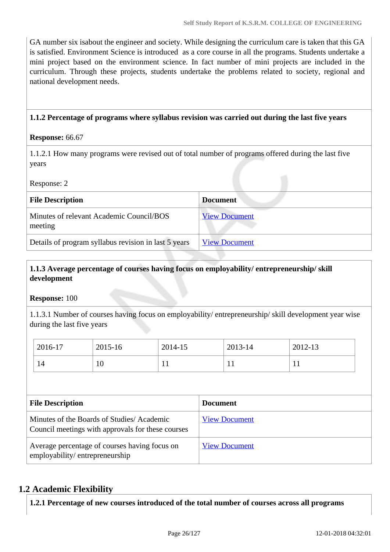GA number six isabout the engineer and society. While designing the curriculum care is taken that this GA is satisfied. Environment Science is introduced as a core course in all the programs. Students undertake a mini project based on the environment science. In fact number of mini projects are included in the curriculum. Through these projects, students undertake the problems related to society, regional and national development needs.

#### **1.1.2 Percentage of programs where syllabus revision was carried out during the last five years**

#### **Response:** 66.67

1.1.2.1 How many programs were revised out of total number of programs offered during the last five years

Response: 2

| <b>File Description</b>                              | <b>Document</b>      |
|------------------------------------------------------|----------------------|
| Minutes of relevant Academic Council/BOS<br>meeting  | <b>View Document</b> |
| Details of program syllabus revision in last 5 years | <b>View Document</b> |

#### **1.1.3 Average percentage of courses having focus on employability/ entrepreneurship/ skill development**

#### **Response:** 100

1.1.3.1 Number of courses having focus on employability/ entrepreneurship/ skill development year wise during the last five years

| 2016-17 | 2015-16 | 2014-15 | 2013-14 | 2012-13      |
|---------|---------|---------|---------|--------------|
| 14      | 1 V     | T T     | T T     | $\mathbf{r}$ |

| <b>File Description</b>                                                                        | <b>Document</b>      |
|------------------------------------------------------------------------------------------------|----------------------|
| Minutes of the Boards of Studies/Academic<br>Council meetings with approvals for these courses | <b>View Document</b> |
| Average percentage of courses having focus on<br>employability/entrepreneurship                | <b>View Document</b> |

#### **1.2 Academic Flexibility**

**1.2.1 Percentage of new courses introduced of the total number of courses across all programs**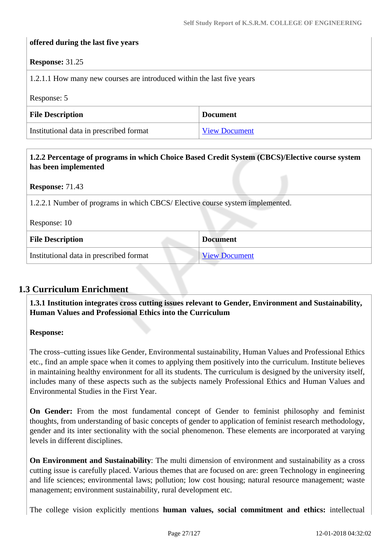| offered during the last five years                                     |  |  |  |
|------------------------------------------------------------------------|--|--|--|
| <b>Response: 31.25</b>                                                 |  |  |  |
| 1.2.1.1 How many new courses are introduced within the last five years |  |  |  |
| Response: 5                                                            |  |  |  |
| <b>File Description</b><br><b>Document</b>                             |  |  |  |
| Institutional data in prescribed format<br><b>View Document</b>        |  |  |  |

## **1.2.2 Percentage of programs in which Choice Based Credit System (CBCS)/Elective course system has been implemented Response:** 71.43 1.2.2.1 Number of programs in which CBCS/ Elective course system implemented. Response: 10 **File Description Document** Institutional data in prescribed format [View Document](https://assessmentonline.naac.gov.in/storage/app/hei/SSR/100585/1.2.2_1514006406_564.xls)

### **1.3 Curriculum Enrichment**

 **1.3.1 Institution integrates cross cutting issues relevant to Gender, Environment and Sustainability, Human Values and Professional Ethics into the Curriculum**

#### **Response:**

The cross–cutting issues like Gender, Environmental sustainability, Human Values and Professional Ethics etc., find an ample space when it comes to applying them positively into the curriculum. Institute believes in maintaining healthy environment for all its students. The curriculum is designed by the university itself, includes many of these aspects such as the subjects namely Professional Ethics and Human Values and Environmental Studies in the First Year.

**On Gender:** From the most fundamental concept of Gender to feminist philosophy and feminist thoughts, from understanding of basic concepts of gender to application of feminist research methodology, gender and its inter sectionality with the social phenomenon. These elements are incorporated at varying levels in different disciplines.

**On Environment and Sustainability**: The multi dimension of environment and sustainability as a cross cutting issue is carefully placed. Various themes that are focused on are: green Technology in engineering and life sciences; environmental laws; pollution; low cost housing; natural resource management; waste management; environment sustainability, rural development etc.

The college vision explicitly mentions **human values, social commitment and ethics:** intellectual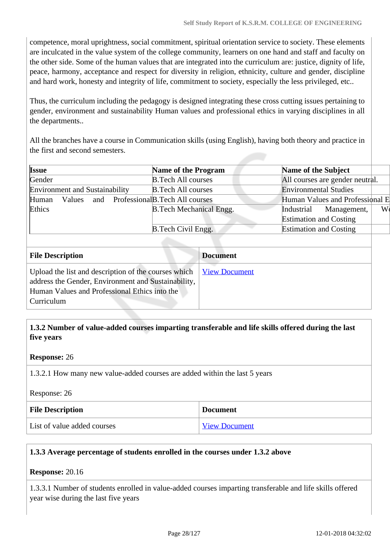competence, moral uprightness, social commitment, spiritual orientation service to society. These elements are inculcated in the value system of the college community, learners on one hand and staff and faculty on the other side. Some of the human values that are integrated into the curriculum are: justice, dignity of life, peace, harmony, acceptance and respect for diversity in religion, ethnicity, culture and gender, discipline and hard work, honesty and integrity of life, commitment to society, especially the less privileged, etc..

Thus, the curriculum including the pedagogy is designed integrating these cross cutting issues pertaining to gender, environment and sustainability Human values and professional ethics in varying disciplines in all the departments..

All the branches have a course in Communication skills (using English), having both theory and practice in the first and second semesters.

| <b>Issue</b>                                         |  | <b>Name of the Program</b> | Name of the Subject       |                                |                                 |   |
|------------------------------------------------------|--|----------------------------|---------------------------|--------------------------------|---------------------------------|---|
| Gender                                               |  |                            | <b>B.Tech All courses</b> |                                | All courses are gender neutral. |   |
| <b>Environment and Sustainability</b>                |  |                            |                           | <b>B.Tech All courses</b>      | <b>Environmental Studies</b>    |   |
| Values and Professional B. Tech All courses<br>Human |  |                            |                           |                                | Human Values and Professional E |   |
| Ethics                                               |  |                            |                           | <b>B.Tech Mechanical Engg.</b> | Management,<br>Industrial       | W |
|                                                      |  |                            |                           |                                | <b>Estimation and Costing</b>   |   |
|                                                      |  |                            |                           | <b>B.Tech Civil Engg.</b>      | <b>Estimation and Costing</b>   |   |

| <b>File Description</b>                                                                                                                                                                         | <b>Document</b> |
|-------------------------------------------------------------------------------------------------------------------------------------------------------------------------------------------------|-----------------|
| Upload the list and description of the courses which <u>View Document</u><br>address the Gender, Environment and Sustainability,<br>Human Values and Professional Ethics into the<br>Curriculum |                 |

#### **1.3.2 Number of value-added courses imparting transferable and life skills offered during the last five years**

#### **Response:** 26

1.3.2.1 How many new value-added courses are added within the last 5 years

Response: 26

| <b>File Description</b>     | <b>Document</b>      |
|-----------------------------|----------------------|
| List of value added courses | <b>View Document</b> |

#### **1.3.3 Average percentage of students enrolled in the courses under 1.3.2 above**

#### **Response:** 20.16

1.3.3.1 Number of students enrolled in value-added courses imparting transferable and life skills offered year wise during the last five years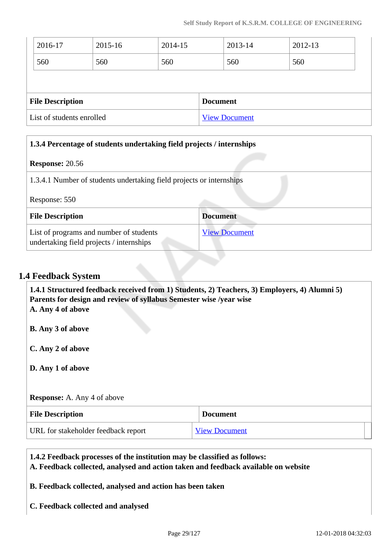| <b>File Description</b> |         |         | <b>Document</b> |         |  |
|-------------------------|---------|---------|-----------------|---------|--|
|                         |         |         |                 |         |  |
| 560                     | 560     | 560     | 560             | 560     |  |
| 2016-17                 | 2015-16 | 2014-15 | 2013-14         | 2012-13 |  |

| 1.3.4 Percentage of students undertaking field projects / internships               |                      |  |
|-------------------------------------------------------------------------------------|----------------------|--|
| <b>Response: 20.56</b>                                                              |                      |  |
| 1.3.4.1 Number of students undertaking field projects or internships                |                      |  |
| Response: 550                                                                       |                      |  |
| <b>File Description</b>                                                             | <b>Document</b>      |  |
| List of programs and number of students<br>undertaking field projects / internships | <b>View Document</b> |  |

### **1.4 Feedback System**

| 1.4.1 Structured feedback received from 1) Students, 2) Teachers, 3) Employers, 4) Alumni 5)<br>Parents for design and review of syllabus Semester wise /year wise<br>A. Any 4 of above<br><b>B.</b> Any 3 of above<br>C. Any 2 of above<br>D. Any 1 of above |                      |  |  |
|---------------------------------------------------------------------------------------------------------------------------------------------------------------------------------------------------------------------------------------------------------------|----------------------|--|--|
| <b>Response:</b> A. Any 4 of above<br><b>Document</b><br><b>File Description</b>                                                                                                                                                                              |                      |  |  |
| URL for stakeholder feedback report                                                                                                                                                                                                                           | <b>View Document</b> |  |  |

### **1.4.2 Feedback processes of the institution may be classified as follows:**

**A. Feedback collected, analysed and action taken and feedback available on website**

#### **B. Feedback collected, analysed and action has been taken**

**C. Feedback collected and analysed**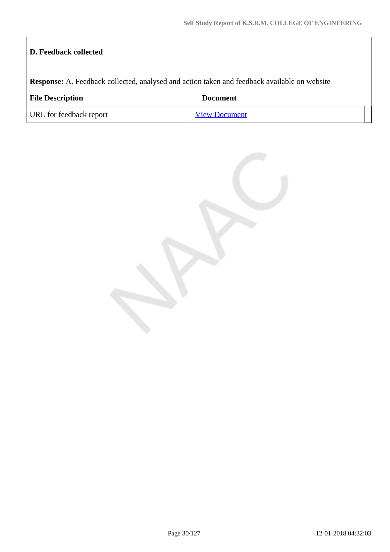## **D. Feedback collected**

**Response:** A. Feedback collected, analysed and action taken and feedback available on website

| <b>File Description</b> | <b>Document</b>      |  |
|-------------------------|----------------------|--|
| URL for feedback report | <b>View Document</b> |  |

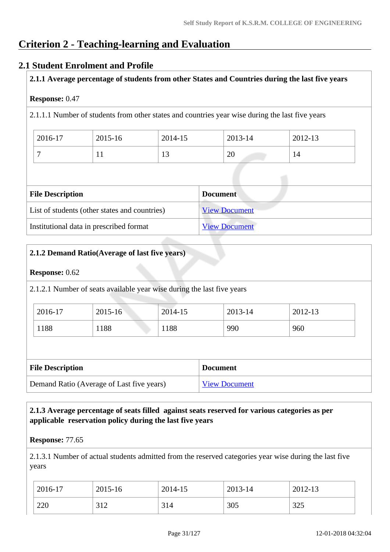## **Criterion 2 - Teaching-learning and Evaluation**

#### **2.1 Student Enrolment and Profile**

**2.1.1 Average percentage of students from other States and Countries during the last five years**

#### **Response:** 0.47

2.1.1.1 Number of students from other states and countries year wise during the last five years

| 2016-17 | 2015-16 | 2014-15       | 2013-14 | 2012-13 |
|---------|---------|---------------|---------|---------|
|         | . .     | $\sim$<br>1 J | 20      | 14      |

| <b>File Description</b>                       | <b>Document</b>      |
|-----------------------------------------------|----------------------|
| List of students (other states and countries) | <b>View Document</b> |
| Institutional data in prescribed format       | <b>View Document</b> |

# **2.1.2 Demand Ratio(Average of last five years) Response:** 0.62 2.1.2.1 Number of seats available year wise during the last five years 2016-17 2015-16 2014-15 2013-14 2012-13 1188 1188 1188 990 960 **File Description Document** Demand Ratio (Average of Last five years) [View Document](https://assessmentonline.naac.gov.in/storage/app/hei/SSR/100585/2.1.2_1514099111_564.xlsx)

#### **2.1.3 Average percentage of seats filled against seats reserved for various categories as per applicable reservation policy during the last five years**

#### **Response:** 77.65

2.1.3.1 Number of actual students admitted from the reserved categories year wise during the last five years

| 2016-17 | 2015-16    | 2014-15 | 2013-14 | 2012-13 |
|---------|------------|---------|---------|---------|
| 220     | 212<br>ے د | 314     | 305     | 325     |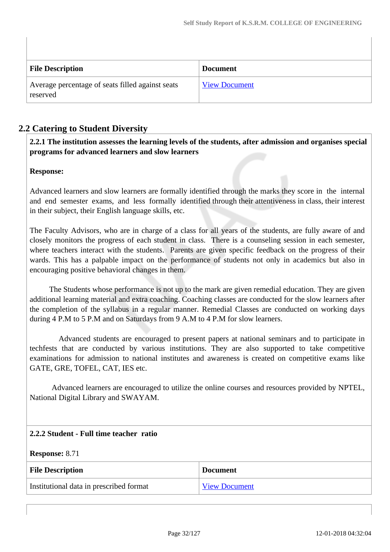| <b>File Description</b>                                      | <b>Document</b>      |
|--------------------------------------------------------------|----------------------|
| Average percentage of seats filled against seats<br>reserved | <b>View Document</b> |

### **2.2 Catering to Student Diversity**

 **2.2.1 The institution assesses the learning levels of the students, after admission and organises special programs for advanced learners and slow learners**

#### **Response:**

Advanced learners and slow learners are formally identified through the marks they score in the internal and end semester exams, and less formally identified through their attentiveness in class, their interest in their subject, their English language skills, etc.

The Faculty Advisors, who are in charge of a class for all years of the students, are fully aware of and closely monitors the progress of each student in class. There is a counseling session in each semester, where teachers interact with the students. Parents are given specific feedback on the progress of their wards. This has a palpable impact on the performance of students not only in academics but also in encouraging positive behavioral changes in them.

 The Students whose performance is not up to the mark are given remedial education. They are given additional learning material and extra coaching. Coaching classes are conducted for the slow learners after the completion of the syllabus in a regular manner. Remedial Classes are conducted on working days during 4 P.M to 5 P.M and on Saturdays from 9 A.M to 4 P.M for slow learners.

 Advanced students are encouraged to present papers at national seminars and to participate in techfests that are conducted by various institutions. They are also supported to take competitive examinations for admission to national institutes and awareness is created on competitive exams like GATE, GRE, TOFEL, CAT, IES etc.

 Advanced learners are encouraged to utilize the online courses and resources provided by NPTEL, National Digital Library and SWAYAM.

#### **2.2.2 Student - Full time teacher ratio**

**Response:** 8.71

| <b>File Description</b>                 | Document             |
|-----------------------------------------|----------------------|
| Institutional data in prescribed format | <b>View Document</b> |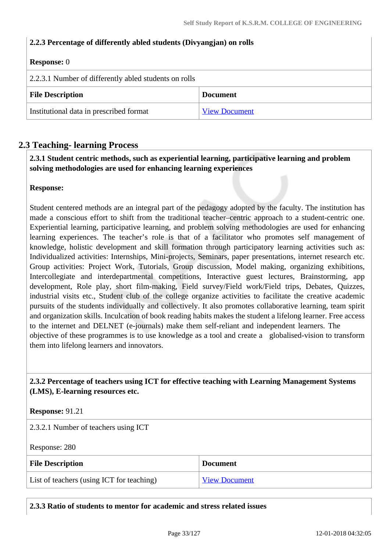#### **2.2.3 Percentage of differently abled students (Divyangjan) on rolls**

| <b>Response:</b> 0                                    |                      |  |
|-------------------------------------------------------|----------------------|--|
| 2.2.3.1 Number of differently abled students on rolls |                      |  |
| <b>File Description</b>                               | <b>Document</b>      |  |
| Institutional data in prescribed format               | <b>View Document</b> |  |

#### **2.3 Teaching- learning Process**

 **2.3.1 Student centric methods, such as experiential learning, participative learning and problem solving methodologies are used for enhancing learning experiences**

#### **Response:**

Student centered methods are an integral part of the pedagogy adopted by the faculty. The institution has made a conscious effort to shift from the traditional teacher–centric approach to a student-centric one. Experiential learning, participative learning, and problem solving methodologies are used for enhancing learning experiences. The teacher's role is that of a facilitator who promotes self management of knowledge, holistic development and skill formation through participatory learning activities such as: Individualized activities: Internships, Mini-projects, Seminars, paper presentations, internet research etc. Group activities: Project Work, Tutorials, Group discussion, Model making, organizing exhibitions, Intercollegiate and interdepartmental competitions, Interactive guest lectures, Brainstorming, app development, Role play, short film-making, Field survey/Field work/Field trips, Debates, Quizzes, industrial visits etc., Student club of the college organize activities to facilitate the creative academic pursuits of the students individually and collectively. It also promotes collaborative learning, team spirit and organization skills. Inculcation of book reading habits makes the student a lifelong learner. Free access to the internet and DELNET (e-journals) make them self-reliant and independent learners. The objective of these programmes is to use knowledge as a tool and create a globalised-vision to transform them into lifelong learners and innovators.

#### **2.3.2 Percentage of teachers using ICT for effective teaching with Learning Management Systems (LMS), E-learning resources etc.**

**Response:** 91.21

2.3.2.1 Number of teachers using ICT

Response: 280

| <b>File Description</b>                   | <b>Document</b>      |
|-------------------------------------------|----------------------|
| List of teachers (using ICT for teaching) | <b>View Document</b> |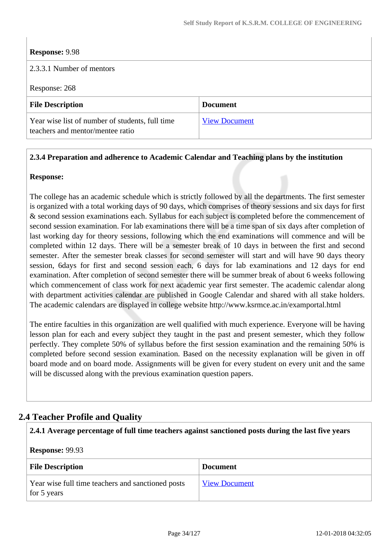#### **Response:** 9.98

| 2.3.3.1 Number of mentors                                                           |                      |
|-------------------------------------------------------------------------------------|----------------------|
| Response: 268                                                                       |                      |
| <b>File Description</b>                                                             | <b>Document</b>      |
| Year wise list of number of students, full time<br>teachers and mentor/mentee ratio | <b>View Document</b> |

#### **2.3.4 Preparation and adherence to Academic Calendar and Teaching plans by the institution**

#### **Response:**

The college has an academic schedule which is strictly followed by all the departments. The first semester is organized with a total working days of 90 days, which comprises of theory sessions and six days for first & second session examinations each. Syllabus for each subject is completed before the commencement of second session examination. For lab examinations there will be a time span of six days after completion of last working day for theory sessions, following which the end examinations will commence and will be completed within 12 days. There will be a semester break of 10 days in between the first and second semester. After the semester break classes for second semester will start and will have 90 days theory session, 6days for first and second session each, 6 days for lab examinations and 12 days for end examination. After completion of second semester there will be summer break of about 6 weeks following which commencement of class work for next academic year first semester. The academic calendar along with department activities calendar are published in Google Calendar and shared with all stake holders. The academic calendars are displayed in college website http://www.ksrmce.ac.in/examportal.html

The entire faculties in this organization are well qualified with much experience. Everyone will be having lesson plan for each and every subject they taught in the past and present semester, which they follow perfectly. They complete 50% of syllabus before the first session examination and the remaining 50% is completed before second session examination. Based on the necessity explanation will be given in off board mode and on board mode. Assignments will be given for every student on every unit and the same will be discussed along with the previous examination question papers.

### **2.4 Teacher Profile and Quality**

**2.4.1 Average percentage of full time teachers against sanctioned posts during the last five years**

#### **Response:** 99.93

| <b>File Description</b>                           | <b>Document</b>      |
|---------------------------------------------------|----------------------|
| Year wise full time teachers and sanctioned posts | <b>View Document</b> |
| for 5 years                                       |                      |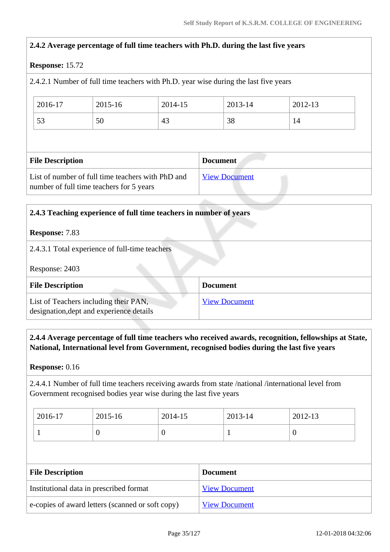| <b>Response: 15.72</b>  |                                                                                               |         |                                                                                      |         |
|-------------------------|-----------------------------------------------------------------------------------------------|---------|--------------------------------------------------------------------------------------|---------|
|                         |                                                                                               |         | 2.4.2.1 Number of full time teachers with Ph.D. year wise during the last five years |         |
| 2016-17                 | $2015 - 16$                                                                                   | 2014-15 | 2013-14                                                                              | 2012-13 |
| 53                      | 50                                                                                            | 43      | 38                                                                                   | 14      |
|                         |                                                                                               |         | <b>Document</b>                                                                      |         |
| <b>File Description</b> |                                                                                               |         |                                                                                      |         |
|                         | List of number of full time teachers with PhD and<br>number of full time teachers for 5 years |         | <b>View Document</b>                                                                 |         |

#### **Response:** 7.83

2.4.3.1 Total experience of full-time teachers

Response: 2403

| <b>File Description</b>                                                           | <b>Document</b>      |
|-----------------------------------------------------------------------------------|----------------------|
| List of Teachers including their PAN,<br>designation, dept and experience details | <b>View Document</b> |

 **2.4.4 Average percentage of full time teachers who received awards, recognition, fellowships at State, National, International level from Government, recognised bodies during the last five years**

**Response:** 0.16

2.4.4.1 Number of full time teachers receiving awards from state /national /international level from Government recognised bodies year wise during the last five years

| 2016-17 | 2015-16 | 2014-15 | 2013-14 | 2012-13 |
|---------|---------|---------|---------|---------|
|         | v       | υ       |         | ິ       |

| <b>File Description</b>                          | <b>Document</b>      |
|--------------------------------------------------|----------------------|
| Institutional data in prescribed format          | <b>View Document</b> |
| e-copies of award letters (scanned or soft copy) | <b>View Document</b> |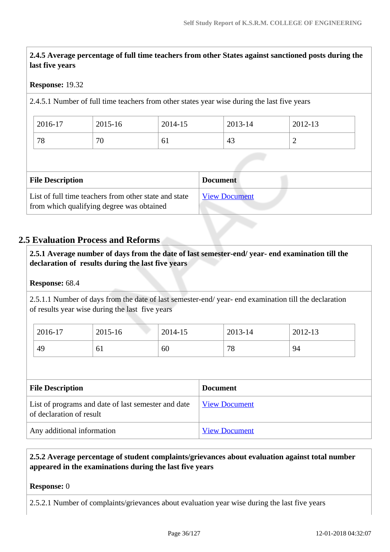**2.4.5 Average percentage of full time teachers from other States against sanctioned posts during the last five years**

#### **Response:** 19.32

2.4.5.1 Number of full time teachers from other states year wise during the last five years

| 2016-17 | 2015-16   | 2014-15        | 2013-14 | 2012-13 |
|---------|-----------|----------------|---------|---------|
| 78      | 70<br>' V | 0 <sub>1</sub> | 43      | ∼       |

| <b>File Description</b>                                                                            | <b>Document</b>      |
|----------------------------------------------------------------------------------------------------|----------------------|
| List of full time teachers from other state and state<br>from which qualifying degree was obtained | <b>View Document</b> |

#### **2.5 Evaluation Process and Reforms**

 **2.5.1 Average number of days from the date of last semester-end/ year- end examination till the declaration of results during the last five years**

#### **Response:** 68.4

2.5.1.1 Number of days from the date of last semester-end/ year- end examination till the declaration of results year wise during the last five years

| 2016-17 | 2015-16 | 2014-15 | 2013-14 | 2012-13 |
|---------|---------|---------|---------|---------|
| 49      | 61      | 60      | 78      | 94      |

| <b>File Description</b>                                                         | <b>Document</b>      |
|---------------------------------------------------------------------------------|----------------------|
| List of programs and date of last semester and date<br>of declaration of result | <b>View Document</b> |
| Any additional information                                                      | <b>View Document</b> |

#### **2.5.2 Average percentage of student complaints/grievances about evaluation against total number appeared in the examinations during the last five years**

#### **Response:** 0

2.5.2.1 Number of complaints/grievances about evaluation year wise during the last five years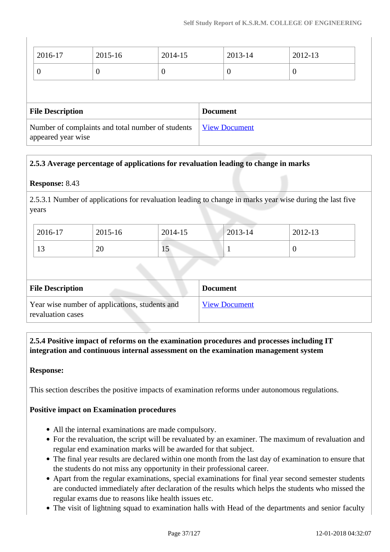| 2016-17                                                                 | 2015-16          | 2014-15 | 2013-14              | 2012-13          |  |
|-------------------------------------------------------------------------|------------------|---------|----------------------|------------------|--|
| $\boldsymbol{0}$                                                        | $\boldsymbol{0}$ | O       | 0                    | $\boldsymbol{0}$ |  |
|                                                                         |                  |         |                      |                  |  |
| <b>File Description</b>                                                 |                  |         | <b>Document</b>      |                  |  |
| Number of complaints and total number of students<br>appeared year wise |                  |         | <b>View Document</b> |                  |  |

# **2.5.3 Average percentage of applications for revaluation leading to change in marks**

#### **Response:** 8.43

2.5.3.1 Number of applications for revaluation leading to change in marks year wise during the last five years

| 2016-17   | 2015-16  | 2014-15              | $2013 - 14$ | 2012-13 |
|-----------|----------|----------------------|-------------|---------|
| 12<br>1 J | ററ<br>∠∪ | $\cdot$ $\sim$<br>⊥J |             | ◡       |

| <b>File Description</b>                                             | <b>Document</b>      |
|---------------------------------------------------------------------|----------------------|
| Year wise number of applications, students and<br>revaluation cases | <b>View Document</b> |

 **2.5.4 Positive impact of reforms on the examination procedures and processes including IT integration and continuous internal assessment on the examination management system**

#### **Response:**

This section describes the positive impacts of examination reforms under autonomous regulations.

#### **Positive impact on Examination procedures**

- All the internal examinations are made compulsory.
- For the revaluation, the script will be revaluated by an examiner. The maximum of revaluation and regular end examination marks will be awarded for that subject.
- The final year results are declared within one month from the last day of examination to ensure that the students do not miss any opportunity in their professional career.
- Apart from the regular examinations, special examinations for final year second semester students are conducted immediately after declaration of the results which helps the students who missed the regular exams due to reasons like health issues etc.
- The visit of lightning squad to examination halls with Head of the departments and senior faculty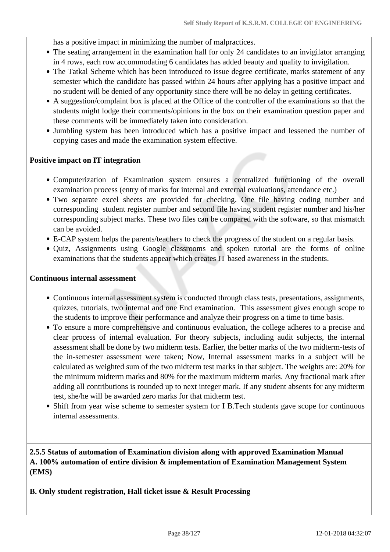has a positive impact in minimizing the number of malpractices.

- The seating arrangement in the examination hall for only 24 candidates to an invigilator arranging in 4 rows, each row accommodating 6 candidates has added beauty and quality to invigilation.
- The Tatkal Scheme which has been introduced to issue degree certificate, marks statement of any semester which the candidate has passed within 24 hours after applying has a positive impact and no student will be denied of any opportunity since there will be no delay in getting certificates.
- A suggestion/complaint box is placed at the Office of the controller of the examinations so that the students might lodge their comments/opinions in the box on their examination question paper and these comments will be immediately taken into consideration.
- Jumbling system has been introduced which has a positive impact and lessened the number of copying cases and made the examination system effective.

#### **Positive impact on IT integration**

- Computerization of Examination system ensures a centralized functioning of the overall examination process (entry of marks for internal and external evaluations, attendance etc.)
- Two separate excel sheets are provided for checking. One file having coding number and corresponding student register number and second file having student register number and his/her corresponding subject marks. These two files can be compared with the software, so that mismatch can be avoided.
- E-CAP system helps the parents/teachers to check the progress of the student on a regular basis.
- Quiz, Assignments using Google classrooms and spoken tutorial are the forms of online examinations that the students appear which creates IT based awareness in the students.

#### **Continuous internal assessment**

- Continuous internal assessment system is conducted through class tests, presentations, assignments, quizzes, tutorials, two internal and one End examination. This assessment gives enough scope to the students to improve their performance and analyze their progress on a time to time basis.
- To ensure a more comprehensive and continuous evaluation, the college adheres to a precise and clear process of internal evaluation. For theory subjects, including audit subjects, the internal assessment shall be done by two midterm tests. Earlier, the better marks of the two midterm-tests of the in-semester assessment were taken; Now, Internal assessment marks in a subject will be calculated as weighted sum of the two midterm test marks in that subject. The weights are: 20% for the minimum midterm marks and 80% for the maximum midterm marks. Any fractional mark after adding all contributions is rounded up to next integer mark. If any student absents for any midterm test, she/he will be awarded zero marks for that midterm test.
- Shift from year wise scheme to semester system for I B. Tech students gave scope for continuous internal assessments.

 **2.5.5 Status of automation of Examination division along with approved Examination Manual A. 100% automation of entire division & implementation of Examination Management System (EMS)**

**B. Only student registration, Hall ticket issue & Result Processing**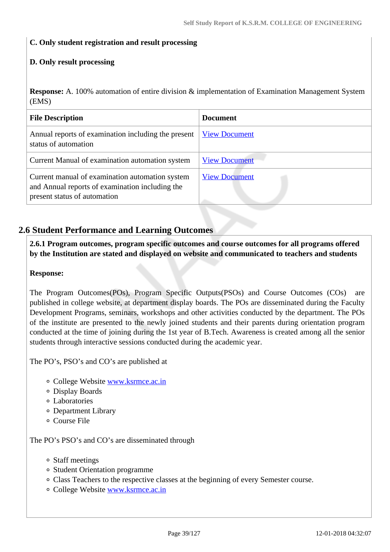#### **C. Only student registration and result processing**

#### **D. Only result processing**

**Response:** A. 100% automation of entire division & implementation of Examination Management System (EMS)

| <b>File Description</b>                                                                                                            | <b>Document</b>      |
|------------------------------------------------------------------------------------------------------------------------------------|----------------------|
| Annual reports of examination including the present<br>status of automation                                                        | <b>View Document</b> |
| Current Manual of examination automation system                                                                                    | <b>View Document</b> |
| Current manual of examination automation system<br>and Annual reports of examination including the<br>present status of automation | <b>View Document</b> |

# **2.6 Student Performance and Learning Outcomes**

 **2.6.1 Program outcomes, program specific outcomes and course outcomes for all programs offered by the Institution are stated and displayed on website and communicated to teachers and students**

#### **Response:**

The Program Outcomes(POs), Program Specific Outputs(PSOs) and Course Outcomes (COs) are published in college website, at department display boards. The POs are disseminated during the Faculty Development Programs, seminars, workshops and other activities conducted by the department. The POs of the institute are presented to the newly joined students and their parents during orientation program conducted at the time of joining during the 1st year of B.Tech. Awareness is created among all the senior students through interactive sessions conducted during the academic year.

The PO's, PSO's and CO's are published at

- College Website [www.ksrmce.ac.in](http://www.ksrmce.ac.in)
- Display Boards
- Laboratories
- Department Library
- Course File

The PO's PSO's and CO's are disseminated through

- Staff meetings
- Student Orientation programme
- Class Teachers to the respective classes at the beginning of every Semester course.
- College Website [www.ksrmce.ac.in](http://www.ksrmce.ac.in)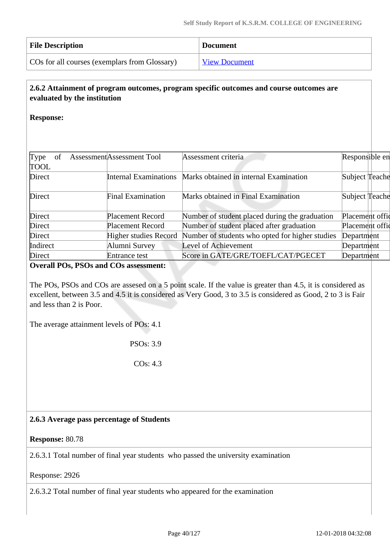| <b>File Description</b>                       | <b>Document</b>      |
|-----------------------------------------------|----------------------|
| COs for all courses (exemplars from Glossary) | <b>View Document</b> |

# **2.6.2 Attainment of program outcomes, program specific outcomes and course outcomes are evaluated by the institution**

**Response:** 

| Subject Teache  |                                                           |
|-----------------|-----------------------------------------------------------|
|                 |                                                           |
|                 |                                                           |
| Subject Teache  |                                                           |
| Placement offic |                                                           |
|                 |                                                           |
|                 |                                                           |
|                 |                                                           |
|                 |                                                           |
|                 | Placement offic<br>Department<br>Department<br>Department |

#### **Overall POs, PSOs and COs assessment:**

The POs, PSOs and COs are assesed on a 5 point scale. If the value is greater than 4.5, it is considered as excellent, between 3.5 and 4.5 it is considered as Very Good, 3 to 3.5 is considered as Good, 2 to 3 is Fair and less than 2 is Poor.

The average attainment levels of POs: 4.1

PSOs: 3.9

COs: 4.3

#### **2.6.3 Average pass percentage of Students**

**Response:** 80.78

2.6.3.1 Total number of final year students who passed the university examination

Response: 2926

2.6.3.2 Total number of final year students who appeared for the examination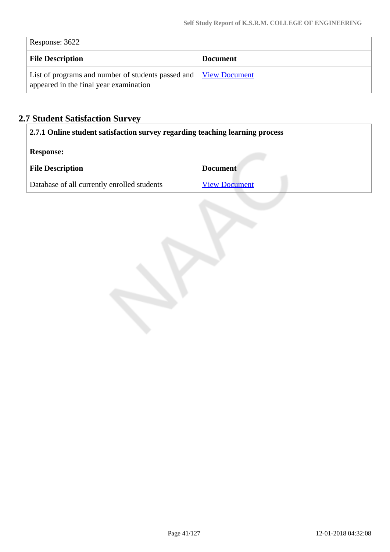| Response: 3622          |  |
|-------------------------|--|
| <b>File Description</b> |  |

| <b>File Description</b>                                                                                           | <b>Document</b> |
|-------------------------------------------------------------------------------------------------------------------|-----------------|
| List of programs and number of students passed and <u>View Document</u><br>appeared in the final year examination |                 |

# **2.7 Student Satisfaction Survey**

|                  | 2.7.1 Online student satisfaction survey regarding teaching learning process |                      |
|------------------|------------------------------------------------------------------------------|----------------------|
| <b>Response:</b> |                                                                              |                      |
|                  | <b>File Description</b>                                                      | <b>Document</b>      |
|                  | Database of all currently enrolled students                                  | <b>View Document</b> |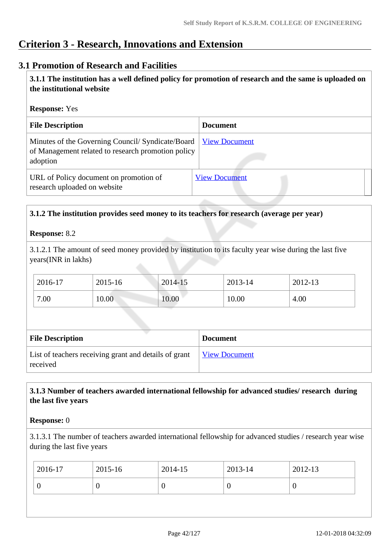# **Criterion 3 - Research, Innovations and Extension**

# **3.1 Promotion of Research and Facilities**

 **3.1.1 The institution has a well defined policy for promotion of research and the same is uploaded on the institutional website**

#### **Response:** Yes

| <b>File Description</b>                                                                                            | <b>Document</b>      |
|--------------------------------------------------------------------------------------------------------------------|----------------------|
| Minutes of the Governing Council/Syndicate/Board<br>of Management related to research promotion policy<br>adoption | <b>View Document</b> |
| URL of Policy document on promotion of<br>research uploaded on website                                             | <b>View Document</b> |

#### **3.1.2 The institution provides seed money to its teachers for research (average per year)**

#### **Response:** 8.2

3.1.2.1 The amount of seed money provided by institution to its faculty year wise during the last five years(INR in lakhs)

| 2016-17 | 2015-16 | $2014 - 15$ | 2013-14 | 2012-13 |
|---------|---------|-------------|---------|---------|
| 7.00    | 10.00   | 10.00       | 10.00   | 4.00    |

| <b>File Description</b>                                           | <b>Document</b>      |
|-------------------------------------------------------------------|----------------------|
| List of teachers receiving grant and details of grant<br>received | <b>View Document</b> |

# **3.1.3 Number of teachers awarded international fellowship for advanced studies/ research during the last five years**

#### **Response:** 0

3.1.3.1 The number of teachers awarded international fellowship for advanced studies / research year wise during the last five years

| 2016-17 | 2015-16 | 2014-15 | 2013-14 | 2012-13 |
|---------|---------|---------|---------|---------|
|         | ν       |         |         | v       |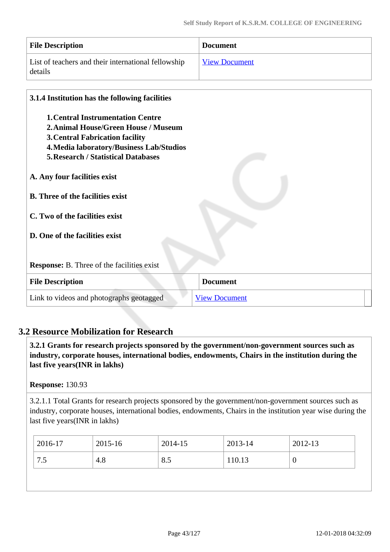| <b>File Description</b>                                        | <b>Document</b>      |
|----------------------------------------------------------------|----------------------|
| List of teachers and their international fellowship<br>details | <b>View Document</b> |

| 3.1.4 Institution has the following facilities    |                      |
|---------------------------------------------------|----------------------|
| <b>1. Central Instrumentation Centre</b>          |                      |
| 2. Animal House/Green House / Museum              |                      |
| <b>3. Central Fabrication facility</b>            |                      |
| 4. Media laboratory/Business Lab/Studios          |                      |
| <b>5. Research / Statistical Databases</b>        |                      |
| A. Any four facilities exist                      |                      |
| <b>B.</b> Three of the facilities exist           |                      |
| C. Two of the facilities exist                    |                      |
| D. One of the facilities exist                    |                      |
|                                                   |                      |
|                                                   |                      |
| <b>Response:</b> B. Three of the facilities exist |                      |
| <b>File Description</b>                           | <b>Document</b>      |
| Link to videos and photographs geotagged          | <b>View Document</b> |

# **3.2 Resource Mobilization for Research**

 **3.2.1 Grants for research projects sponsored by the government/non-government sources such as industry, corporate houses, international bodies, endowments, Chairs in the institution during the last five years(INR in lakhs)**

#### **Response:** 130.93

3.2.1.1 Total Grants for research projects sponsored by the government/non-government sources such as industry, corporate houses, international bodies, endowments, Chairs in the institution year wise during the last five years(INR in lakhs)

| 2016-17 | 2015-16 | 2014-15 | 2013-14 | 2012-13          |
|---------|---------|---------|---------|------------------|
| ر. ر    | 4.8     | 8.5     | 110.13  | $\boldsymbol{0}$ |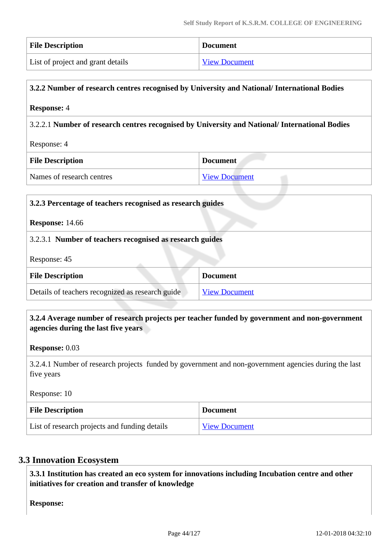| <b>File Description</b>           | <b>Document</b>      |
|-----------------------------------|----------------------|
| List of project and grant details | <b>View Document</b> |

# **3.2.2 Number of research centres recognised by University and National/ International Bodies**

#### **Response:** 4

3.2.2.1 **Number of research centres recognised by University and National/ International Bodies**

Response: 4

| <b>File Description</b>   | <b>Document</b>      |
|---------------------------|----------------------|
| Names of research centres | <b>View Document</b> |

| 3.2.3 Percentage of teachers recognised as research guides |                      |  |
|------------------------------------------------------------|----------------------|--|
| <b>Response: 14.66</b>                                     |                      |  |
| 3.2.3.1 Number of teachers recognised as research guides   |                      |  |
| Response: 45                                               |                      |  |
| <b>File Description</b><br><b>Document</b>                 |                      |  |
| Details of teachers recognized as research guide           | <b>View Document</b> |  |

#### **3.2.4 Average number of research projects per teacher funded by government and non-government agencies during the last five years**

**Response:** 0.03

3.2.4.1 Number of research projects funded by government and non-government agencies during the last five years

Response: 10

| <b>File Description</b>                       | <b>Document</b>      |
|-----------------------------------------------|----------------------|
| List of research projects and funding details | <b>View Document</b> |

#### **3.3 Innovation Ecosystem**

 **3.3.1 Institution has created an eco system for innovations including Incubation centre and other initiatives for creation and transfer of knowledge**

**Response:**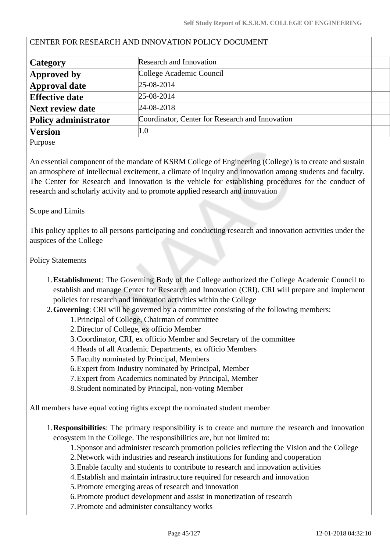| <b>Category</b>         | Research and Innovation                         |  |
|-------------------------|-------------------------------------------------|--|
| Approved by             | College Academic Council                        |  |
| Approval date           | 25-08-2014                                      |  |
| <b>Effective date</b>   | 25-08-2014                                      |  |
| <b>Next review date</b> | $24 - 08 - 2018$                                |  |
| Policy administrator    | Coordinator, Center for Research and Innovation |  |
| <b>Version</b>          | $1.0\,$                                         |  |
| <sub>n</sub>            |                                                 |  |

#### CENTER FOR RESEARCH AND INNOVATION POLICY DOCUMENT

Purpose

An essential component of the mandate of KSRM College of Engineering (College) is to create and sustain an atmosphere of intellectual excitement, a climate of inquiry and innovation among students and faculty. The Center for Research and Innovation is the vehicle for establishing procedures for the conduct of research and scholarly activity and to promote applied research and innovation

#### Scope and Limits

This policy applies to all persons participating and conducting research and innovation activities under the auspices of the College

#### Policy Statements

- 1.**Establishment**: The Governing Body of the College authorized the College Academic Council to establish and manage Center for Research and Innovation (CRI). CRI will prepare and implement policies for research and innovation activities within the College
- 2.**Governing**: CRI will be governed by a committee consisting of the following members:
	- 1.Principal of College, Chairman of committee
	- 2.Director of College, ex officio Member
	- 3.Coordinator, CRI, ex officio Member and Secretary of the committee
	- 4.Heads of all Academic Departments, ex officio Members
	- 5.Faculty nominated by Principal, Members
	- 6.Expert from Industry nominated by Principal, Member
	- 7.Expert from Academics nominated by Principal, Member
	- 8.Student nominated by Principal, non-voting Member
- All members have equal voting rights except the nominated student member
	- 1.**Responsibilities**: The primary responsibility is to create and nurture the research and innovation ecosystem in the College. The responsibilities are, but not limited to:
		- 1.Sponsor and administer research promotion policies reflecting the Vision and the College
		- 2.Network with industries and research institutions for funding and cooperation
		- 3.Enable faculty and students to contribute to research and innovation activities
		- 4.Establish and maintain infrastructure required for research and innovation
		- 5.Promote emerging areas of research and innovation
		- 6.Promote product development and assist in monetization of research
		- 7.Promote and administer consultancy works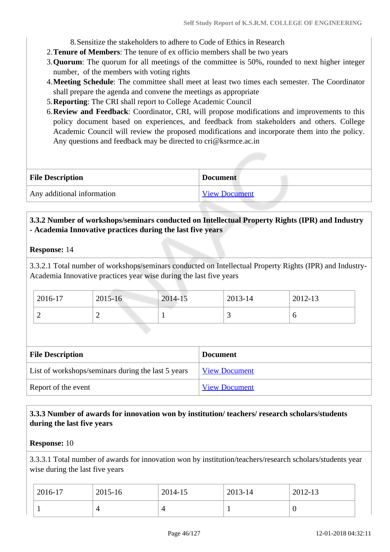8.Sensitize the stakeholders to adhere to Code of Ethics in Research

- 2.**Tenure of Members**: The tenure of ex officio members shall be two years
- 3.**Quorum**: The quorum for all meetings of the committee is 50%, rounded to next higher integer number, of the members with voting rights
- 4.**Meeting Schedule**: The committee shall meet at least two times each semester. The Coordinator shall prepare the agenda and convene the meetings as appropriate
- 5.**Reporting**: The CRI shall report to College Academic Council
- 6.**Review and Feedback**: Coordinator, CRI, will propose modifications and improvements to this policy document based on experiences, and feedback from stakeholders and others. College Academic Council will review the proposed modifications and incorporate them into the policy. Any questions and feedback may be directed to cri@ksrmce.ac.in

| <b>File Description</b>    | <b>Document</b> |
|----------------------------|-----------------|
| Any additional information | View Document   |

#### **3.3.2 Number of workshops/seminars conducted on Intellectual Property Rights (IPR) and Industry - Academia Innovative practices during the last five years**

#### **Response:** 14

3.3.2.1 Total number of workshops/seminars conducted on Intellectual Property Rights (IPR) and Industry-Academia Innovative practices year wise during the last five years

| 2016-17 | $2015 - 16$ | 2014-15 | $2013 - 14$ | 2012-13 |
|---------|-------------|---------|-------------|---------|
|         | -           |         |             |         |

| <b>File Description</b>                            | <b>Document</b>      |
|----------------------------------------------------|----------------------|
| List of workshops/seminars during the last 5 years | <b>View Document</b> |
| Report of the event                                | <b>View Document</b> |

#### **3.3.3 Number of awards for innovation won by institution/ teachers/ research scholars/students during the last five years**

#### **Response:** 10

3.3.3.1 Total number of awards for innovation won by institution/teachers/research scholars/students year wise during the last five years

| $2016-17$ | 2015-16 | 2014-15 | 2013-14 | 2012-13 |
|-----------|---------|---------|---------|---------|
|           |         |         |         | υ       |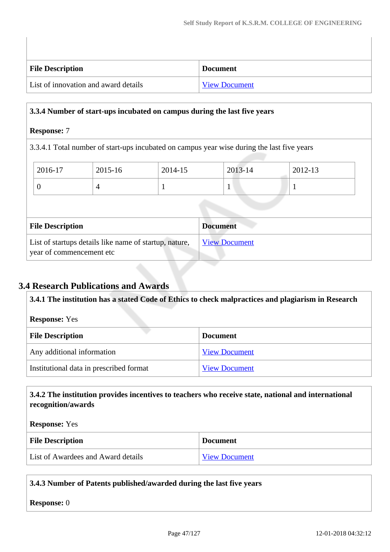| <b>File Description</b>              | <b>Document</b>      |
|--------------------------------------|----------------------|
| List of innovation and award details | <b>View Document</b> |

#### **3.3.4 Number of start-ups incubated on campus during the last five years**

#### **Response:** 7

3.3.4.1 Total number of start-ups incubated on campus year wise during the last five years

| 2016-17                  | 2015-16                                                | 2014-15 | 2013-14              | 2012-13 |
|--------------------------|--------------------------------------------------------|---------|----------------------|---------|
| $\theta$                 | 4                                                      |         |                      |         |
|                          |                                                        |         |                      |         |
| <b>File Description</b>  |                                                        |         | <b>Document</b>      |         |
| year of commencement etc | List of startups details like name of startup, nature, |         | <b>View Document</b> |         |

# **3.4 Research Publications and Awards**

| 3.4.1 The institution has a stated Code of Ethics to check malpractices and plagiarism in Research |                      |
|----------------------------------------------------------------------------------------------------|----------------------|
| <b>Response:</b> Yes                                                                               |                      |
| <b>File Description</b>                                                                            | <b>Document</b>      |
| Any additional information                                                                         | <b>View Document</b> |
| Institutional data in prescribed format                                                            | <b>View Document</b> |

#### **3.4.2 The institution provides incentives to teachers who receive state, national and international recognition/awards**

**Response:** Yes

| <b>File Description</b>            | <b>Document</b>      |
|------------------------------------|----------------------|
| List of Awardees and Award details | <b>View Document</b> |

#### **3.4.3 Number of Patents published/awarded during the last five years**

**Response:** 0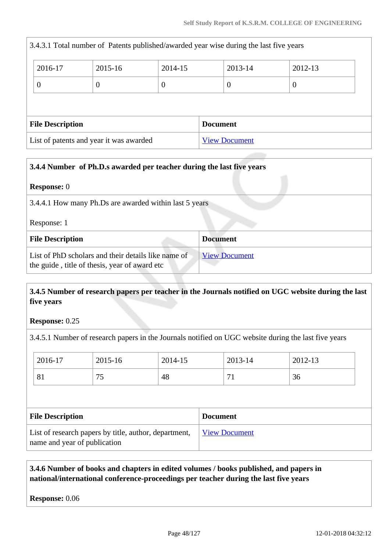|                         | 3.4.3.1 Total number of Patents published/awarded year wise during the last five years |                |                 |                      |                  |  |
|-------------------------|----------------------------------------------------------------------------------------|----------------|-----------------|----------------------|------------------|--|
| 2016-17                 | 2015-16                                                                                | 2014-15        |                 | 2013-14              | 2012-13          |  |
| $\boldsymbol{0}$        | $\boldsymbol{0}$                                                                       | $\overline{0}$ |                 | $\theta$             | $\boldsymbol{0}$ |  |
|                         |                                                                                        |                |                 |                      |                  |  |
| <b>File Description</b> |                                                                                        |                | <b>Document</b> |                      |                  |  |
|                         | List of patents and year it was awarded                                                |                |                 | <b>View Document</b> |                  |  |
|                         |                                                                                        |                |                 |                      |                  |  |

| 3.4.4 Number of Ph.D.s awarded per teacher during the last five years                                |                      |
|------------------------------------------------------------------------------------------------------|----------------------|
| <b>Response:</b> 0                                                                                   |                      |
| 3.4.4.1 How many Ph.Ds are awarded within last 5 years<br>Response: 1                                |                      |
| <b>File Description</b>                                                                              | <b>Document</b>      |
| List of PhD scholars and their details like name of<br>the guide, title of thesis, year of award etc | <b>View Document</b> |

# **3.4.5 Number of research papers per teacher in the Journals notified on UGC website during the last five years**

#### **Response:** 0.25

3.4.5.1 Number of research papers in the Journals notified on UGC website during the last five years

| 2016-17                 | 2015-16 | 2014-15 |                 | 2013-14 | 2012-13 |  |
|-------------------------|---------|---------|-----------------|---------|---------|--|
| 81                      | 75      | 48      |                 | 71      | 36      |  |
|                         |         |         |                 |         |         |  |
|                         |         |         |                 |         |         |  |
| <b>File Description</b> |         |         | <b>Document</b> |         |         |  |

 **3.4.6 Number of books and chapters in edited volumes / books published, and papers in national/international conference-proceedings per teacher during the last five years**

**Response:** 0.06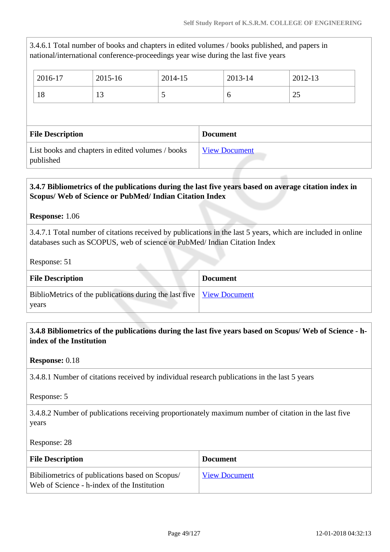| 2016-17                 | 2015-16                                                                                                      | 2014-15 | 2013-14                                                                   | 2012-13                                                                                                      |
|-------------------------|--------------------------------------------------------------------------------------------------------------|---------|---------------------------------------------------------------------------|--------------------------------------------------------------------------------------------------------------|
| 18                      | 13                                                                                                           | 5       | 6                                                                         | 25                                                                                                           |
| <b>File Description</b> |                                                                                                              |         | <b>Document</b>                                                           |                                                                                                              |
|                         |                                                                                                              |         |                                                                           |                                                                                                              |
| published               | List books and chapters in edited volumes / books<br>Scopus/ Web of Science or PubMed/ Indian Citation Index |         | <b>View Document</b>                                                      | 3.4.7 Bibliometrics of the publications during the last five years based on average citation index in        |
| Response: 1.06          |                                                                                                              |         | databases such as SCOPUS, web of science or PubMed/ Indian Citation Index | 3.4.7.1 Total number of citations received by publications in the last 5 years, which are included in online |
| Response: 51            |                                                                                                              |         |                                                                           |                                                                                                              |
| <b>File Description</b> |                                                                                                              |         | <b>Document</b>                                                           |                                                                                                              |

**Response:** 0.18

3.4.8.1 Number of citations received by individual research publications in the last 5 years

Response: 5

3.4.8.2 Number of publications receiving proportionately maximum number of citation in the last five years

Response: 28

| <b>File Description</b>                                                                        | <b>Document</b>      |
|------------------------------------------------------------------------------------------------|----------------------|
| Bibiliometrics of publications based on Scopus/<br>Web of Science - h-index of the Institution | <b>View Document</b> |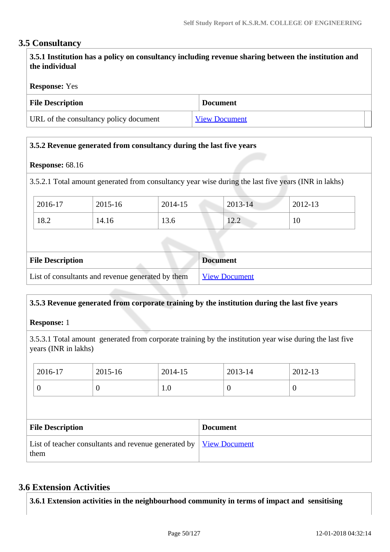# **3.5 Consultancy**

 **3.5.1 Institution has a policy on consultancy including revenue sharing between the institution and the individual**

#### **Response:** Yes

| <b>File Description</b>                | <b>Document</b>      |
|----------------------------------------|----------------------|
| URL of the consultancy policy document | <b>View Document</b> |

|                         | 3.5.2 Revenue generated from consultancy during the last five years |         |                                                                                                     |         |
|-------------------------|---------------------------------------------------------------------|---------|-----------------------------------------------------------------------------------------------------|---------|
| <b>Response: 68.16</b>  |                                                                     |         |                                                                                                     |         |
|                         |                                                                     |         | 3.5.2.1 Total amount generated from consultancy year wise during the last five years (INR in lakhs) |         |
| 2016-17                 | $2015 - 16$                                                         | 2014-15 | $2013 - 14$                                                                                         | 2012-13 |
| 18.2                    | 14.16                                                               | 13.6    | 12.2                                                                                                | 10      |
|                         |                                                                     |         |                                                                                                     |         |
|                         |                                                                     |         |                                                                                                     |         |
| <b>File Description</b> |                                                                     |         | <b>Document</b>                                                                                     |         |
|                         | List of consultants and revenue generated by them                   |         | <b>View Document</b>                                                                                |         |

#### **3.5.3 Revenue generated from corporate training by the institution during the last five years**

#### **Response:** 1

3.5.3.1 Total amount generated from corporate training by the institution year wise during the last five years (INR in lakhs)

| 2016-17                                                      | 2015-16  | 2014-15 |                      | 2013-14  | 2012-13  |
|--------------------------------------------------------------|----------|---------|----------------------|----------|----------|
|                                                              | $\theta$ | 1.0     |                      | $\theta$ | $\theta$ |
|                                                              |          |         |                      |          |          |
| <b>File Description</b>                                      |          |         | <b>Document</b>      |          |          |
| List of teacher consultants and revenue generated by<br>them |          |         | <b>View Document</b> |          |          |

#### **3.6 Extension Activities**

**3.6.1 Extension activities in the neighbourhood community in terms of impact and sensitising**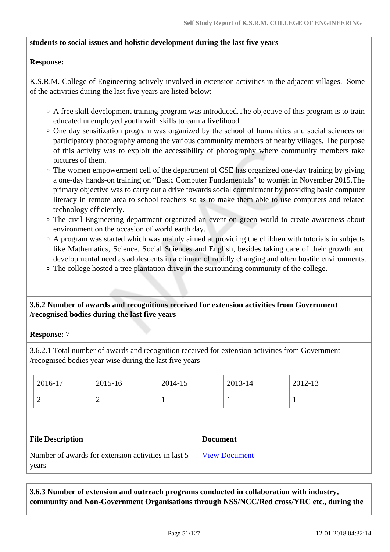#### **students to social issues and holistic development during the last five years**

#### **Response:**

K.S.R.M. College of Engineering actively involved in extension activities in the adjacent villages. Some of the activities during the last five years are listed below:

- A free skill development training program was introduced.The objective of this program is to train educated unemployed youth with skills to earn a livelihood.
- One day sensitization program was organized by the school of humanities and social sciences on participatory photography among the various community members of nearby villages. The purpose of this activity was to exploit the accessibility of photography where community members take pictures of them.
- The women empowerment cell of the department of CSE has organized one-day training by giving a one-day hands-on training on "Basic Computer Fundamentals" to women in November 2015.The primary objective was to carry out a drive towards social commitment by providing basic computer literacy in remote area to school teachers so as to make them able to use computers and related technology efficiently.
- The civil Engineering department organized an event on green world to create awareness about environment on the occasion of world earth day.
- A program was started which was mainly aimed at providing the children with tutorials in subjects like Mathematics, Science, Social Sciences and English, besides taking care of their growth and developmental need as adolescents in a climate of rapidly changing and often hostile environments.
- The college hosted a tree plantation drive in the surrounding community of the college.

# **3.6.2 Number of awards and recognitions received for extension activities from Government /recognised bodies during the last five years**

#### **Response:** 7

3.6.2.1 Total number of awards and recognition received for extension activities from Government /recognised bodies year wise during the last five years

| 2016-17 | 2015-16 | 2014-15 | 2013-14 | 2012-13 |
|---------|---------|---------|---------|---------|
| ∼       | ∸       |         |         |         |

| <b>File Description</b>                                      | <b>Document</b>      |
|--------------------------------------------------------------|----------------------|
| Number of awards for extension activities in last 5<br>years | <b>View Document</b> |

# **3.6.3 Number of extension and outreach programs conducted in collaboration with industry, community and Non-Government Organisations through NSS/NCC/Red cross/YRC etc., during the**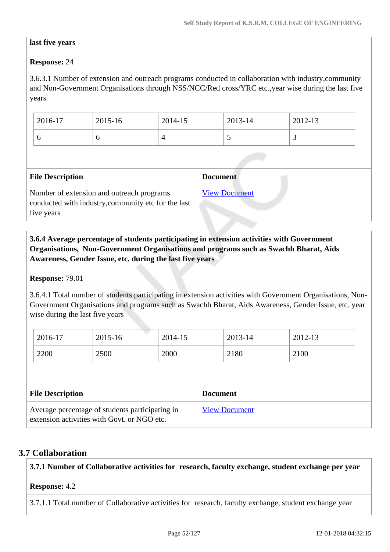#### **last five years**

#### **Response:** 24

3.6.3.1 Number of extension and outreach programs conducted in collaboration with industry,community and Non-Government Organisations through NSS/NCC/Red cross/YRC etc.,year wise during the last five years

| 2016-17 | 2015-16 | 2014-15 | 2013-14 | 2012-13 |
|---------|---------|---------|---------|---------|
|         | U       |         | ັ       | ັ       |

| <b>File Description</b>                                                                                        | <b>Document</b>      |
|----------------------------------------------------------------------------------------------------------------|----------------------|
| Number of extension and outreach programs<br>conducted with industry, community etc for the last<br>five years | <b>View Document</b> |

# **3.6.4 Average percentage of students participating in extension activities with Government Organisations, Non-Government Organisations and programs such as Swachh Bharat, Aids Awareness, Gender Issue, etc. during the last five years**

#### **Response:** 79.01

3.6.4.1 Total number of students participating in extension activities with Government Organisations, Non-Government Organisations and programs such as Swachh Bharat, Aids Awareness, Gender Issue, etc. year wise during the last five years

| 2016-17 | 2015-16 | 2014-15 | 2013-14 | 2012-13 |
|---------|---------|---------|---------|---------|
| 2200    | 2500    | 2000    | 2180    | 2100    |

| <b>File Description</b>                                                                        | <b>Document</b>      |
|------------------------------------------------------------------------------------------------|----------------------|
| Average percentage of students participating in<br>extension activities with Govt. or NGO etc. | <b>View Document</b> |

#### **3.7 Collaboration**

**3.7.1 Number of Collaborative activities for research, faculty exchange, student exchange per year**

#### **Response:** 4.2

3.7.1.1 Total number of Collaborative activities for research, faculty exchange, student exchange year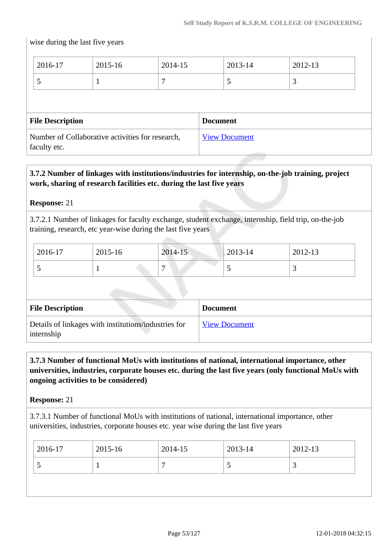#### wise during the last five years

| $12016-17$ | 2015-16 | 2014-15 | 2013-14 | 2012-13 |
|------------|---------|---------|---------|---------|
|            |         |         |         |         |

| <b>File Description</b>                                          | <b>Document</b>      |
|------------------------------------------------------------------|----------------------|
| Number of Collaborative activities for research,<br>faculty etc. | <b>View Document</b> |

# **3.7.2 Number of linkages with institutions/industries for internship, on-the-job training, project work, sharing of research facilities etc. during the last five years**

#### **Response:** 21

3.7.2.1 Number of linkages for faculty exchange, student exchange, internship, field trip, on-the-job training, research, etc year-wise during the last five years

| 2016-17                  | 2015-16 | 2014-15 | 2013-14 | 2012-13 |
|--------------------------|---------|---------|---------|---------|
| $\overline{\phantom{a}}$ |         |         | ت       |         |

| <b>File Description</b>                                            | <b>Document</b>      |
|--------------------------------------------------------------------|----------------------|
| Details of linkages with institutions/industries for<br>internship | <b>View Document</b> |

# **3.7.3 Number of functional MoUs with institutions of national, international importance, other universities, industries, corporate houses etc. during the last five years (only functional MoUs with ongoing activities to be considered)**

#### **Response:** 21

3.7.3.1 Number of functional MoUs with institutions of national, international importance, other universities, industries, corporate houses etc. year wise during the last five years

| $2016-17$ | 2015-16 | 2014-15 | 2013-14 | 2012-13                  |
|-----------|---------|---------|---------|--------------------------|
|           |         |         | ັ       | $\overline{\phantom{0}}$ |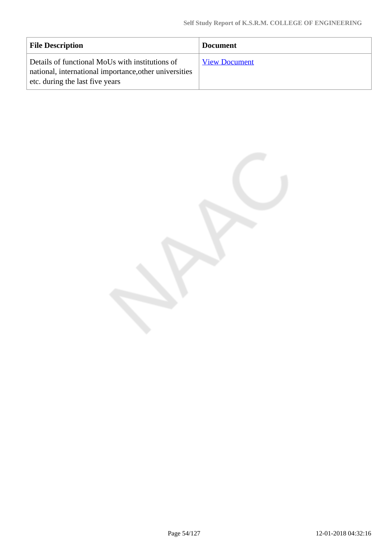| <b>File Description</b>                                                                                                                      | <b>Document</b>      |
|----------------------------------------------------------------------------------------------------------------------------------------------|----------------------|
| Details of functional MoUs with institutions of<br>national, international importance, other universities<br>etc. during the last five years | <b>View Document</b> |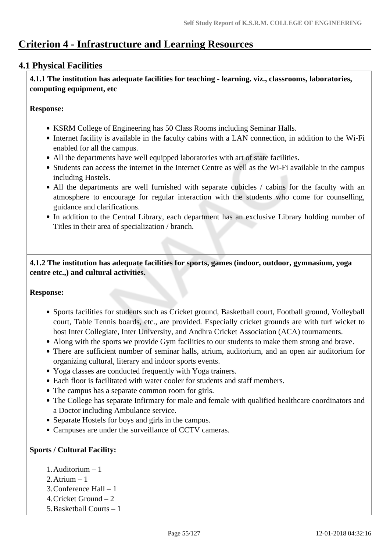# **Criterion 4 - Infrastructure and Learning Resources**

# **4.1 Physical Facilities**

 **4.1.1 The institution has adequate facilities for teaching - learning. viz., classrooms, laboratories, computing equipment, etc**

#### **Response:**

- KSRM College of Engineering has 50 Class Rooms including Seminar Halls.
- Internet facility is available in the faculty cabins with a LAN connection, in addition to the Wi-Fi enabled for all the campus.
- All the departments have well equipped laboratories with art of state facilities.
- Students can access the internet in the Internet Centre as well as the Wi-Fi available in the campus including Hostels.
- All the departments are well furnished with separate cubicles / cabins for the faculty with an atmosphere to encourage for regular interaction with the students who come for counselling, guidance and clarifications.
- In addition to the Central Library, each department has an exclusive Library holding number of Titles in their area of specialization / branch.

 **4.1.2 The institution has adequate facilities for sports, games (indoor, outdoor, gymnasium, yoga centre etc.,) and cultural activities.**

#### **Response:**

- Sports facilities for students such as Cricket ground, Basketball court, Football ground, Volleyball court, Table Tennis boards, etc., are provided. Especially cricket grounds are with turf wicket to host Inter Collegiate, Inter University, and Andhra Cricket Association (ACA) tournaments.
- Along with the sports we provide Gym facilities to our students to make them strong and brave.
- There are sufficient number of seminar halls, atrium, auditorium, and an open air auditorium for organizing cultural, literary and indoor sports events.
- Yoga classes are conducted frequently with Yoga trainers.
- Each floor is facilitated with water cooler for students and staff members.
- The campus has a separate common room for girls.
- The College has separate Infirmary for male and female with qualified healthcare coordinators and a Doctor including Ambulance service.
- Separate Hostels for boys and girls in the campus.
- Campuses are under the surveillance of CCTV cameras.

#### **Sports / Cultural Facility:**

- 1.Auditorium 1
- 2. Atrium  $-1$
- 3.Conference Hall 1
- 4.Cricket Ground 2
- 5.Basketball Courts 1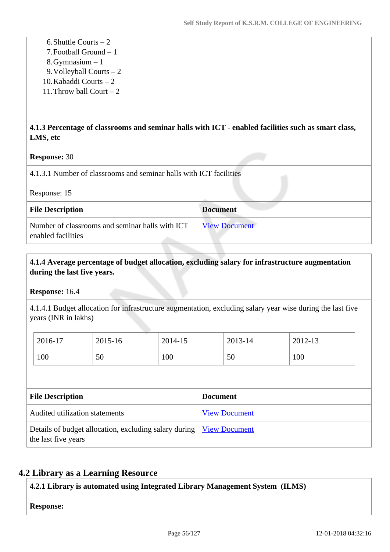- 6.Shuttle Courts 2
- 7.Football Ground 1
- 8.Gymnasium 1
- 9.Volleyball Courts 2
- 10.Kabaddi Courts 2
- 11. Throw ball Court  $-2$

 **4.1.3 Percentage of classrooms and seminar halls with ICT - enabled facilities such as smart class, LMS, etc**

#### **Response:** 30

4.1.3.1 Number of classrooms and seminar halls with ICT facilities

Response: 15

| <b>File Description</b>                                               | <b>Document</b>      |
|-----------------------------------------------------------------------|----------------------|
| Number of classrooms and seminar halls with ICT<br>enabled facilities | <b>View Document</b> |

# **4.1.4 Average percentage of budget allocation, excluding salary for infrastructure augmentation during the last five years.**

**Response:** 16.4

4.1.4.1 Budget allocation for infrastructure augmentation, excluding salary year wise during the last five years (INR in lakhs)

| 2016-17 | 2015-16 | 2014-15 | 2013-14 | 2012-13 |
|---------|---------|---------|---------|---------|
| 100     | ΟU      | 100     | ΟU      | 100     |

| <b>File Description</b>                                                                      | <b>Document</b>      |
|----------------------------------------------------------------------------------------------|----------------------|
| Audited utilization statements                                                               | <b>View Document</b> |
| Details of budget allocation, excluding salary during   View Document<br>the last five years |                      |

# **4.2 Library as a Learning Resource**

#### **4.2.1 Library is automated using Integrated Library Management System (ILMS)**

**Response:**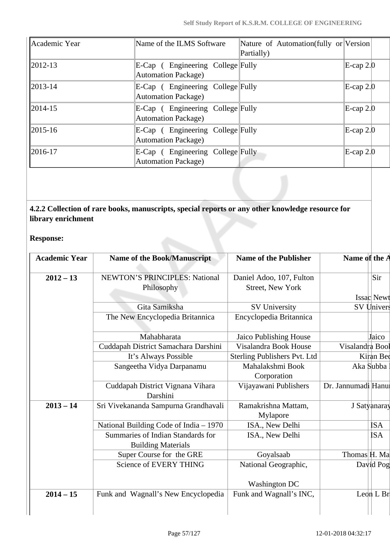| Academic Year | Name of the ILMS Software                                        | Nature of Automation (fully or Version)<br>Partially) |              |
|---------------|------------------------------------------------------------------|-------------------------------------------------------|--------------|
| $ 2012-13 $   | $E-Cap$ (Engineering College Fully<br><b>Automation Package)</b> |                                                       | $E$ -cap 2.0 |
| $ 2013-14 $   | $E-Cap$ (Engineering College Fully<br><b>Automation Package)</b> |                                                       | $E$ -cap 2.0 |
| $ 2014-15 $   | $E-Cap$ (Engineering College Fully<br><b>Automation Package)</b> |                                                       | $E$ -cap 2.0 |
| $ 2015-16 $   | E-Cap (Engineering College Fully<br><b>Automation Package)</b>   |                                                       | $E$ -cap 2.0 |
| $ 2016-17$    | E-Cap (Engineering College Fully<br><b>Automation Package)</b>   |                                                       | $E$ -cap 2.0 |

 **4.2.2 Collection of rare books, manuscripts, special reports or any other knowledge resource for library enrichment**

# **Response:**

| <b>Academic Year</b> | <b>Name of the Book/Manuscript</b>                 | <b>Name of the Publisher</b>                        | Name of the A       |  |
|----------------------|----------------------------------------------------|-----------------------------------------------------|---------------------|--|
| $2012 - 13$          | <b>NEWTON'S PRINCIPLES: National</b><br>Philosophy | Daniel Adoo, 107, Fulton<br><b>Street, New York</b> | Sir                 |  |
|                      |                                                    |                                                     | <b>Issac</b> Newt   |  |
|                      | Gita Samiksha                                      | <b>SV University</b>                                | SV Univers          |  |
|                      | The New Encyclopedia Britannica                    | Encyclopedia Britannica                             |                     |  |
|                      | Mahabharata                                        | Jaico Publishing House                              | Jaico               |  |
|                      | Cuddapah District Samachara Darshini               | Visalandra Book House                               | Visalandra Bool     |  |
|                      | It's Always Possible                               | Sterling Publishers Pvt. Ltd                        | Kiran Bed           |  |
|                      | Sangeetha Vidya Darpanamu                          | Mahalakshmi Book<br>Corporation                     | Aka Subba           |  |
|                      | Cuddapah District Vignana Vihara<br>Darshini       | Vijayawani Publishers                               | Dr. Jannumadi Hanul |  |
| $2013 - 14$          | Sri Vivekananda Sampurna Grandhavali               | Ramakrishna Mattam,<br>Mylapore                     | J Satyanaray        |  |
|                      | National Building Code of India - 1970             | ISA., New Delhi                                     | <b>ISA</b>          |  |
|                      | Summaries of Indian Standards for                  | ISA., New Delhi                                     | <b>ISA</b>          |  |
|                      | <b>Building Materials</b>                          |                                                     |                     |  |
|                      | Super Course for the GRE                           | Goyalsaab                                           | Thomas H. Ma        |  |
|                      | <b>Science of EVERY THING</b>                      | National Geographic,                                | David Pog           |  |
|                      |                                                    | <b>Washington DC</b>                                |                     |  |
| $2014 - 15$          | Funk and Wagnall's New Encyclopedia                | Funk and Wagnall's INC,                             | Leon $L$ Br         |  |
|                      |                                                    |                                                     |                     |  |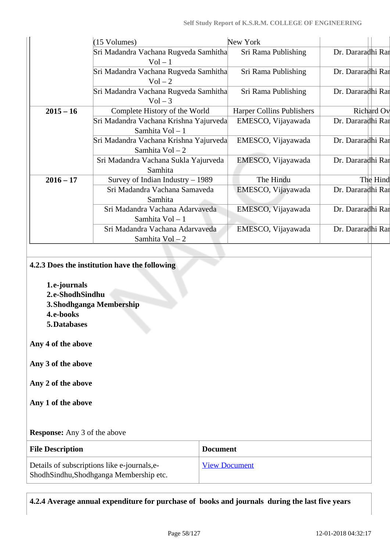|             | $(15 \text{ Volumes})$                                      | New York                         |                   |
|-------------|-------------------------------------------------------------|----------------------------------|-------------------|
|             | Sri Madandra Vachana Rugveda Samhitha<br>$Vol - 1$          | Sri Rama Publishing              | Dr. Dararadhi Rar |
|             | Sri Madandra Vachana Rugveda Samhitha<br>$Vol - 2$          | Sri Rama Publishing              | Dr. Dararadhi Rar |
|             | Sri Madandra Vachana Rugveda Samhitha<br>$Vol-3$            | Sri Rama Publishing              | Dr. Dararadhi Rar |
| $2015 - 16$ | Complete History of the World                               | <b>Harper Collins Publishers</b> | Richard Ov        |
|             | Sri Madandra Vachana Krishna Yajurveda<br>Samhita $Vol - 1$ | EMESCO, Vijayawada               | Dr. Dararadhi Rar |
|             | Sri Madandra Vachana Krishna Yajurveda<br>Samhita $Vol - 2$ | EMESCO, Vijayawada               | Dr. Dararadhi Rar |
|             | Sri Madandra Vachana Sukla Yajurveda<br>Samhita             | EMESCO, Vijayawada               | Dr. Dararadhi Rar |
| $2016 - 17$ | Survey of Indian Industry $-1989$                           | The Hindu                        | The Hind          |
|             | Sri Madandra Vachana Samaveda<br>Samhita                    | EMESCO, Vijayawada               | Dr. Dararadhi Rar |
|             | Sri Madandra Vachana Adarvaveda<br>Samhita $Vol - 1$        | EMESCO, Vijayawada               | Dr. Dararadhi Rar |
|             | Sri Madandra Vachana Adarvaveda<br>Samhita Vol - 2          | EMESCO, Vijayawada               | Dr. Dararadhi Rar |
|             |                                                             |                                  |                   |

#### **4.2.3 Does the institution have the following**

- **1.e-journals**
- **2.e-ShodhSindhu**
- **3.Shodhganga Membership**
- **4.e-books**
- **5.Databases**

**Any 4 of the above**

**Any 3 of the above**

**Any 2 of the above**

**Any 1 of the above**

#### **Response:** Any 3 of the above

| <b>File Description</b>                                                                | <b>Document</b>      |
|----------------------------------------------------------------------------------------|----------------------|
| Details of subscriptions like e-journals, e-<br>ShodhSindhu,Shodhganga Membership etc. | <b>View Document</b> |

**4.2.4 Average annual expenditure for purchase of books and journals during the last five years**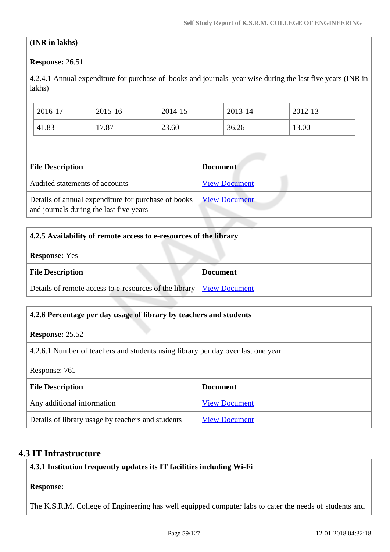# **(INR in lakhs)**

# **Response:** 26.51

4.2.4.1 Annual expenditure for purchase of books and journals year wise during the last five years (INR in lakhs)

| 2016-17 | 2015-16 | 2014-15 | 2013-14 | 2012-13 |
|---------|---------|---------|---------|---------|
| 41.83   | 17.87   | 23.60   | 36.26   | 13.00   |

| <b>File Description</b>                                                                        | <b>Document</b>      |
|------------------------------------------------------------------------------------------------|----------------------|
| Audited statements of accounts                                                                 | <b>View Document</b> |
| Details of annual expenditure for purchase of books<br>and journals during the last five years | <b>View Document</b> |

| 4.2.5 Availability of remote access to e-resources of the library             |                 |  |
|-------------------------------------------------------------------------------|-----------------|--|
| <b>Response:</b> Yes                                                          |                 |  |
| <b>File Description</b>                                                       | <b>Document</b> |  |
| Details of remote access to e-resources of the library   <u>View Document</u> |                 |  |

| 4.2.6 Percentage per day usage of library by teachers and students               |  |  |
|----------------------------------------------------------------------------------|--|--|
| <b>Response: 25.52</b>                                                           |  |  |
| 4.2.6.1 Number of teachers and students using library per day over last one year |  |  |
| Response: 761                                                                    |  |  |
| <b>File Description</b><br><b>Document</b>                                       |  |  |
| Any additional information<br><b>View Document</b>                               |  |  |
| Details of library usage by teachers and students<br><b>View Document</b>        |  |  |

#### **4.3 IT Infrastructure**

# **4.3.1 Institution frequently updates its IT facilities including Wi-Fi**

# **Response:**

The K.S.R.M. College of Engineering has well equipped computer labs to cater the needs of students and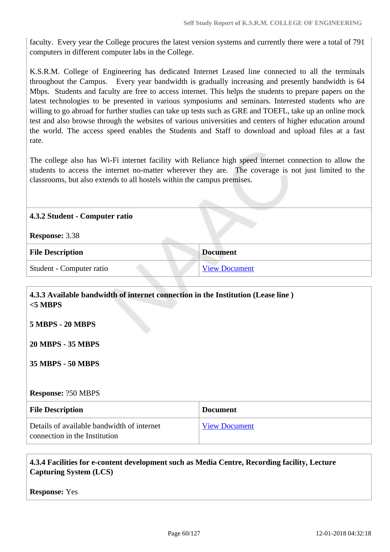faculty. Every year the College procures the latest version systems and currently there were a total of 791 computers in different computer labs in the College.

K.S.R.M. College of Engineering has dedicated Internet Leased line connected to all the terminals throughout the Campus. Every year bandwidth is gradually increasing and presently bandwidth is 64 Mbps. Students and faculty are free to access internet. This helps the students to prepare papers on the latest technologies to be presented in various symposiums and seminars. Interested students who are willing to go abroad for further studies can take up tests such as GRE and TOEFL, take up an online mock test and also browse through the websites of various universities and centers of higher education around the world. The access speed enables the Students and Staff to download and upload files at a fast rate.

The college also has Wi-Fi internet facility with Reliance high speed internet connection to allow the students to access the internet no-matter wherever they are. The coverage is not just limited to the classrooms, but also extends to all hostels within the campus premises.

# **4.3.2 Student - Computer ratio Response:** 3.38 **File Description Document** Student - Computer ratio [View Document](https://assessmentonline.naac.gov.in/storage/app/hei/SSR/100585/4.3.2_1513844520_564.xls)

| 4.3.3 Available bandwidth of internet connection in the Institution (Lease line) |                      |
|----------------------------------------------------------------------------------|----------------------|
| $<$ 5 MBPS                                                                       |                      |
|                                                                                  |                      |
| <b>5 MBPS - 20 MBPS</b>                                                          |                      |
|                                                                                  |                      |
| <b>20 MBPS - 35 MBPS</b>                                                         |                      |
|                                                                                  |                      |
| <b>35 MBPS - 50 MBPS</b>                                                         |                      |
|                                                                                  |                      |
|                                                                                  |                      |
|                                                                                  |                      |
| <b>Response: ?50 MBPS</b>                                                        |                      |
| <b>File Description</b>                                                          | <b>Document</b>      |
|                                                                                  |                      |
| Details of available bandwidth of internet                                       | <b>View Document</b> |
| connection in the Institution                                                    |                      |
|                                                                                  |                      |

# **4.3.4 Facilities for e-content development such as Media Centre, Recording facility, Lecture Capturing System (LCS)**

**Response:** Yes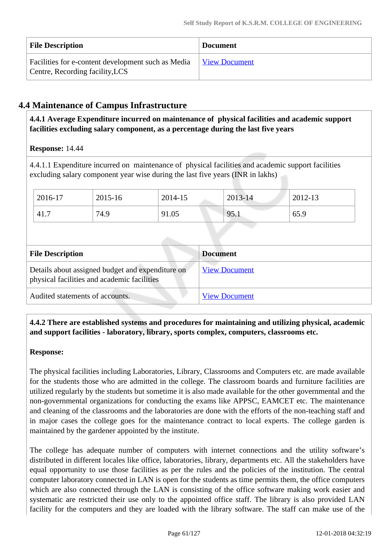| <b>File Description</b>                                                               | <b>Document</b>      |
|---------------------------------------------------------------------------------------|----------------------|
| Facilities for e-content development such as Media<br>Centre, Recording facility, LCS | <b>View Document</b> |

# **4.4 Maintenance of Campus Infrastructure**

 **4.4.1 Average Expenditure incurred on maintenance of physical facilities and academic support facilities excluding salary component, as a percentage during the last five years**

**Response:** 14.44

4.4.1.1 Expenditure incurred on maintenance of physical facilities and academic support facilities excluding salary component year wise during the last five years (INR in lakhs)

| 2016-17 | 2015-16 | 2014-15 | 2013-14 | 2012-13 |
|---------|---------|---------|---------|---------|
| 41.     | 74.9    | 91.05   | 95.1    | 65.9    |

| <b>File Description</b>                                                                         | <b>Document</b>      |
|-------------------------------------------------------------------------------------------------|----------------------|
| Details about assigned budget and expenditure on<br>physical facilities and academic facilities | <b>View Document</b> |
| Audited statements of accounts.                                                                 | <b>View Document</b> |

# **4.4.2 There are established systems and procedures for maintaining and utilizing physical, academic and support facilities - laboratory, library, sports complex, computers, classrooms etc.**

**Response:** 

The physical facilities including Laboratories, Library, Classrooms and Computers etc. are made available for the students those who are admitted in the college. The classroom boards and furniture facilities are utilized regularly by the students but sometime it is also made available for the other governmental and the non-governmental organizations for conducting the exams like APPSC, EAMCET etc. The maintenance and cleaning of the classrooms and the laboratories are done with the efforts of the non-teaching staff and in major cases the college goes for the maintenance contract to local experts. The college garden is maintained by the gardener appointed by the institute.

The college has adequate number of computers with internet connections and the utility software's distributed in different locales like office, laboratories, library, departments etc. All the stakeholders have equal opportunity to use those facilities as per the rules and the policies of the institution. The central computer laboratory connected in LAN is open for the students as time permits them, the office computers which are also connected through the LAN is consisting of the office software making work easier and systematic are restricted their use only to the appointed office staff. The library is also provided LAN facility for the computers and they are loaded with the library software. The staff can make use of the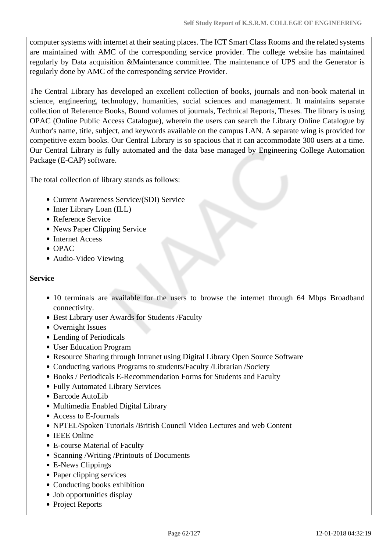computer systems with internet at their seating places. The ICT Smart Class Rooms and the related systems are maintained with AMC of the corresponding service provider. The college website has maintained regularly by Data acquisition &Maintenance committee. The maintenance of UPS and the Generator is regularly done by AMC of the corresponding service Provider.

The Central Library has developed an excellent collection of books, journals and non-book material in science, engineering, technology, humanities, social sciences and management. It maintains separate collection of Reference Books, Bound volumes of journals, Technical Reports, Theses. The library is using OPAC (Online Public Access Catalogue), wherein the users can search the Library Online Catalogue by Author's name, title, subject, and keywords available on the campus LAN. A separate wing is provided for competitive exam books. Our Central Library is so spacious that it can accommodate 300 users at a time. Our Central Library is fully automated and the data base managed by Engineering College Automation Package (E-CAP) software.

The total collection of library stands as follows:

- Current Awareness Service/(SDI) Service
- Inter Library Loan (ILL)
- Reference Service
- News Paper Clipping Service
- Internet Access
- $\bullet$  OPAC
- Audio-Video Viewing

#### **Service**

- 10 terminals are available for the users to browse the internet through 64 Mbps Broadband connectivity.
- Best Library user Awards for Students /Faculty
- Overnight Issues
- Lending of Periodicals
- User Education Program
- Resource Sharing through Intranet using Digital Library Open Source Software
- Conducting various Programs to students/Faculty /Librarian /Society
- Books / Periodicals E-Recommendation Forms for Students and Faculty
- Fully Automated Library Services
- Barcode AutoLib
- Multimedia Enabled Digital Library
- Access to E-Journals
- NPTEL/Spoken Tutorials /British Council Video Lectures and web Content
- IEEE Online
- E-course Material of Faculty
- Scanning /Writing /Printouts of Documents
- E-News Clippings
- Paper clipping services
- Conducting books exhibition
- Job opportunities display
- Project Reports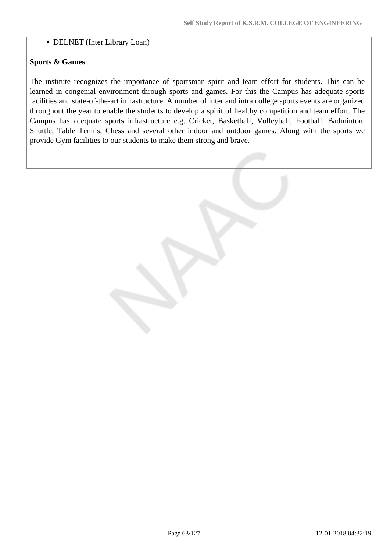• DELNET (Inter Library Loan)

#### **Sports & Games**

The institute recognizes the importance of sportsman spirit and team effort for students. This can be learned in congenial environment through sports and games. For this the Campus has adequate sports facilities and state-of-the-art infrastructure. A number of inter and intra college sports events are organized throughout the year to enable the students to develop a spirit of healthy competition and team effort. The Campus has adequate sports infrastructure e.g. Cricket, Basketball, Volleyball, Football, Badminton, Shuttle, Table Tennis, Chess and several other indoor and outdoor games. Along with the sports we provide Gym facilities to our students to make them strong and brave.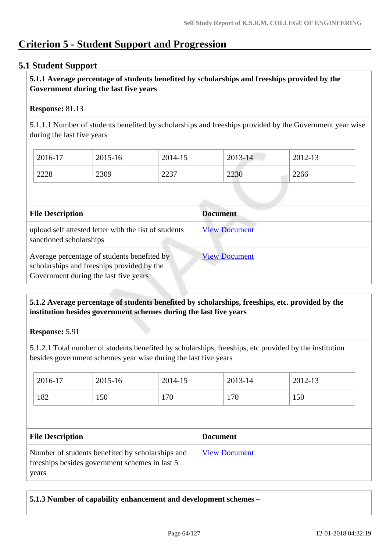# **Criterion 5 - Student Support and Progression**

# **5.1 Student Support**

# **5.1.1 Average percentage of students benefited by scholarships and freeships provided by the Government during the last five years**

# **Response:** 81.13

5.1.1.1 Number of students benefited by scholarships and freeships provided by the Government year wise during the last five years

| 2016-17 | 2015-16 | 2014-15 | 2013-14 | 2012-13 |
|---------|---------|---------|---------|---------|
| 2228    | 2309    | 2237    | 2230    | 2266    |

| <b>File Description</b>                                                                                                            | <b>Document</b>      |
|------------------------------------------------------------------------------------------------------------------------------------|----------------------|
| upload self attested letter with the list of students<br>sanctioned scholarships                                                   | <b>View Document</b> |
| Average percentage of students benefited by<br>scholarships and freeships provided by the<br>Government during the last five years | <b>View Document</b> |

# **5.1.2 Average percentage of students benefited by scholarships, freeships, etc. provided by the institution besides government schemes during the last five years**

**Response:** 5.91

5.1.2.1 Total number of students benefited by scholarships, freeships, etc provided by the institution besides government schemes year wise during the last five years

| 2016-17 | 2015-16          | 2014-15 | 2013-14 | 2012-13 |
|---------|------------------|---------|---------|---------|
| 182     | 150 <sub>1</sub> | 170     | 170     | 150     |

| <b>File Description</b>                                                                                      | <b>Document</b>      |
|--------------------------------------------------------------------------------------------------------------|----------------------|
| Number of students benefited by scholarships and<br>free ships besides government schemes in last 5<br>years | <b>View Document</b> |

**5.1.3 Number of capability enhancement and development schemes –**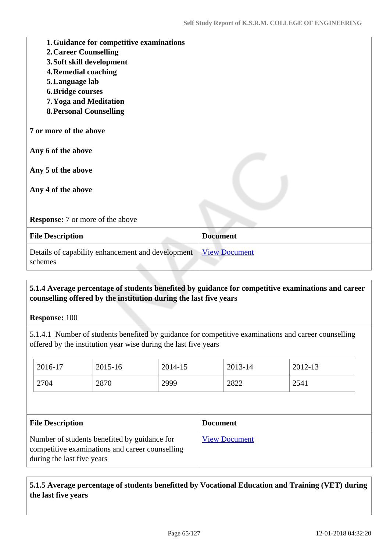| 1. Guidance for competitive examinations<br><b>2. Career Counselling</b><br>3. Soft skill development<br><b>4. Remedial coaching</b><br>5. Language lab<br><b>6. Bridge courses</b><br>7. Yoga and Meditation<br><b>8. Personal Counselling</b> |                      |
|-------------------------------------------------------------------------------------------------------------------------------------------------------------------------------------------------------------------------------------------------|----------------------|
| 7 or more of the above                                                                                                                                                                                                                          |                      |
| Any 6 of the above                                                                                                                                                                                                                              |                      |
| Any 5 of the above                                                                                                                                                                                                                              |                      |
| Any 4 of the above                                                                                                                                                                                                                              |                      |
| <b>Response:</b> 7 or more of the above                                                                                                                                                                                                         |                      |
| <b>File Description</b>                                                                                                                                                                                                                         | <b>Document</b>      |
| Details of capability enhancement and development<br>schemes                                                                                                                                                                                    | <b>View Document</b> |

#### **5.1.4 Average percentage of students benefited by guidance for competitive examinations and career counselling offered by the institution during the last five years**

**Response:** 100

5.1.4.1 Number of students benefited by guidance for competitive examinations and career counselling offered by the institution year wise during the last five years

| $2016-17$ | 2015-16 | 2014-15 | 2013-14 | 2012-13 |
|-----------|---------|---------|---------|---------|
| 2704      | 2870    | 2999    | 2822    | 2541    |

| <b>File Description</b>                                                                                                       | <b>Document</b>      |
|-------------------------------------------------------------------------------------------------------------------------------|----------------------|
| Number of students benefited by guidance for<br>competitive examinations and career counselling<br>during the last five years | <b>View Document</b> |

 **5.1.5 Average percentage of students benefitted by Vocational Education and Training (VET) during the last five years**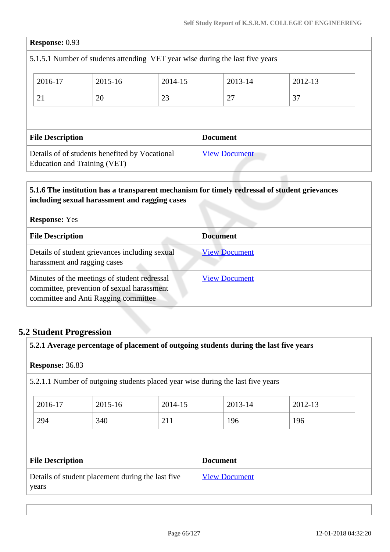# **Response:** 0.93

|                         | 5.1.5.1 Number of students attending VET year wise during the last five years  |         |                 |                      |         |
|-------------------------|--------------------------------------------------------------------------------|---------|-----------------|----------------------|---------|
| 2016-17                 | $2015 - 16$                                                                    | 2014-15 |                 | 2013-14              | 2012-13 |
| 21                      | 23<br>20                                                                       |         |                 | 27                   | 37      |
|                         |                                                                                |         |                 |                      |         |
| <b>File Description</b> |                                                                                |         | <b>Document</b> |                      |         |
|                         | Details of of students benefited by Vocational<br>Education and Training (VET) |         |                 | <b>View Document</b> |         |

# **5.1.6 The institution has a transparent mechanism for timely redressal of student grievances including sexual harassment and ragging cases**

| <b>Response: Yes</b>                                                                                                               |                      |  |
|------------------------------------------------------------------------------------------------------------------------------------|----------------------|--|
| <b>File Description</b>                                                                                                            | <b>Document</b>      |  |
| Details of student grievances including sexual<br>harassment and ragging cases                                                     | <b>View Document</b> |  |
| Minutes of the meetings of student redressal<br>committee, prevention of sexual harassment<br>committee and Anti Ragging committee | <b>View Document</b> |  |

# **5.2 Student Progression**

|                         | 5.2.1 Average percentage of placement of outgoing students during the last five years |         |                 |                      |         |  |
|-------------------------|---------------------------------------------------------------------------------------|---------|-----------------|----------------------|---------|--|
| <b>Response: 36.83</b>  |                                                                                       |         |                 |                      |         |  |
|                         | 5.2.1.1 Number of outgoing students placed year wise during the last five years       |         |                 |                      |         |  |
| 2016-17                 | $2015 - 16$                                                                           | 2014-15 |                 | 2013-14              | 2012-13 |  |
| 294                     | 340                                                                                   | 211     |                 | 196                  | 196     |  |
|                         |                                                                                       |         |                 |                      |         |  |
| <b>File Description</b> |                                                                                       |         | <b>Document</b> |                      |         |  |
| years                   | Details of student placement during the last five                                     |         |                 | <b>View Document</b> |         |  |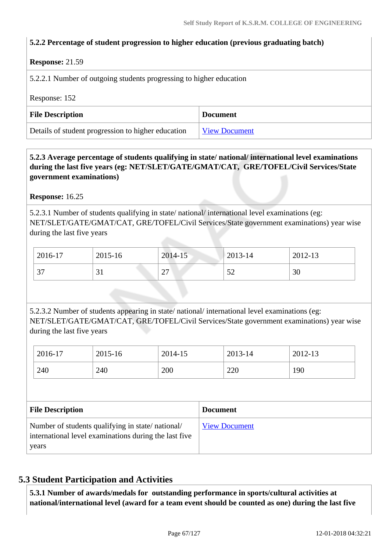## **5.2.2 Percentage of student progression to higher education (previous graduating batch)**

#### **Response:** 21.59

| 5.2.2.1 Number of outgoing students progressing to higher education |                      |
|---------------------------------------------------------------------|----------------------|
| Response: 152                                                       |                      |
| <b>File Description</b>                                             | <b>Document</b>      |
| Details of student progression to higher education                  | <b>View Document</b> |

# **5.2.3 Average percentage of students qualifying in state/ national/ international level examinations during the last five years (eg: NET/SLET/GATE/GMAT/CAT, GRE/TOFEL/Civil Services/State government examinations)**

**Response:** 16.25

5.2.3.1 Number of students qualifying in state/ national/ international level examinations (eg: NET/SLET/GATE/GMAT/CAT, GRE/TOFEL/Civil Services/State government examinations) year wise during the last five years

| 2016-17          | 2015-16 | 2014-15     | 2013-14       | 2012-13 |
|------------------|---------|-------------|---------------|---------|
| $\bigcap$<br>، ب | JI      | $\sim$<br>" | $\sim$<br>ے ر | 30      |

5.2.3.2 Number of students appearing in state/ national/ international level examinations (eg: NET/SLET/GATE/GMAT/CAT, GRE/TOFEL/Civil Services/State government examinations) year wise during the last five years

| 2016-17 | 2015-16 | 2014-15 | 2013-14 | 2012-13 |
|---------|---------|---------|---------|---------|
| 240     | 240     | 200     | 220     | 190     |

| <b>File Description</b>                                                                                            | <b>Document</b>      |
|--------------------------------------------------------------------------------------------------------------------|----------------------|
| Number of students qualifying in state/national/<br>international level examinations during the last five<br>years | <b>View Document</b> |

# **5.3 Student Participation and Activities**

 **5.3.1 Number of awards/medals for outstanding performance in sports/cultural activities at national/international level (award for a team event should be counted as one) during the last five**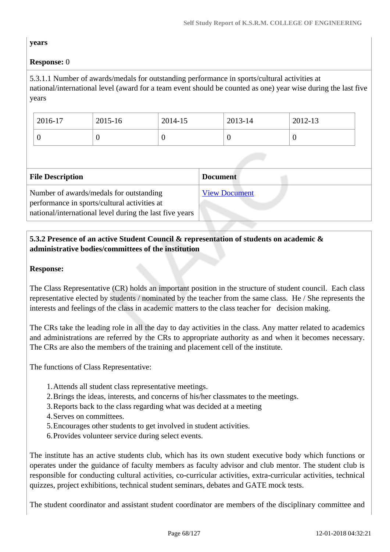## **years**

# **Response:** 0

5.3.1.1 Number of awards/medals for outstanding performance in sports/cultural activities at national/international level (award for a team event should be counted as one) year wise during the last five years

| 2016-17 | 2015-16 | 2014-15 | 2013-14 | 2012-13 |
|---------|---------|---------|---------|---------|
| ◡       | ◡       |         | ◡       | v       |

| <b>File Description</b>                                                                                                                            | <b>Document</b>      |
|----------------------------------------------------------------------------------------------------------------------------------------------------|----------------------|
| Number of awards/medals for outstanding<br>performance in sports/cultural activities at<br>national/international level during the last five years | <b>View Document</b> |

# **5.3.2 Presence of an active Student Council & representation of students on academic & administrative bodies/committees of the institution**

#### **Response:**

The Class Representative (CR) holds an important position in the structure of student council. Each class representative elected by students / nominated by the teacher from the same class. He / She represents the interests and feelings of the class in academic matters to the class teacher for decision making.

The CRs take the leading role in all the day to day activities in the class. Any matter related to academics and administrations are referred by the CRs to appropriate authority as and when it becomes necessary. The CRs are also the members of the training and placement cell of the institute.

The functions of Class Representative:

- 1.Attends all student class representative meetings.
- 2.Brings the ideas, interests, and concerns of his/her classmates to the meetings.
- 3.Reports back to the class regarding what was decided at a meeting
- 4.Serves on committees.
- 5.Encourages other students to get involved in student activities.
- 6.Provides volunteer service during select events.

The institute has an active students club, which has its own student executive body which functions or operates under the guidance of faculty members as faculty advisor and club mentor. The student club is responsible for conducting cultural activities, co-curricular activities, extra-curricular activities, technical quizzes, project exhibitions, technical student seminars, debates and GATE mock tests.

The student coordinator and assistant student coordinator are members of the disciplinary committee and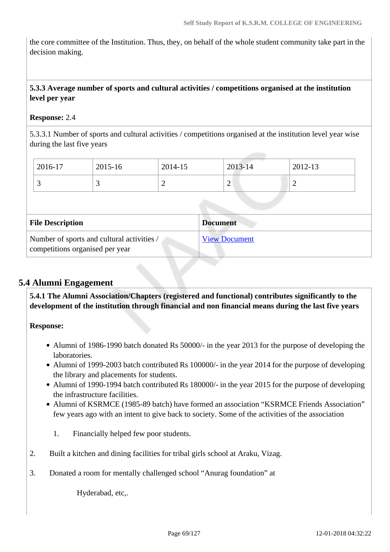the core committee of the Institution. Thus, they, on behalf of the whole student community take part in the decision making.

# **5.3.3 Average number of sports and cultural activities / competitions organised at the institution level per year**

#### **Response:** 2.4

5.3.3.1 Number of sports and cultural activities / competitions organised at the institution level year wise during the last five years

| 2016-17  | 2015-16 | 2014-15 | 2013-14 | 2012-13 |
|----------|---------|---------|---------|---------|
| <b>~</b> |         | ∽       | ⌒<br>∼  | ∼       |

| <b>File Description</b>                                                       | <b>Document</b>      |
|-------------------------------------------------------------------------------|----------------------|
| Number of sports and cultural activities /<br>competitions organised per year | <b>View Document</b> |

# **5.4 Alumni Engagement**

 **5.4.1 The Alumni Association/Chapters (registered and functional) contributes significantly to the development of the institution through financial and non financial means during the last five years**

**Response:** 

- Alumni of 1986-1990 batch donated Rs 50000/- in the year 2013 for the purpose of developing the laboratories.
- Alumni of 1999-2003 batch contributed Rs 100000/- in the year 2014 for the purpose of developing the library and placements for students.
- Alumni of 1990-1994 batch contributed Rs 180000/- in the year 2015 for the purpose of developing the infrastructure facilities.
- Alumni of KSRMCE (1985-89 batch) have formed an association "KSRMCE Friends Association" few years ago with an intent to give back to society. Some of the activities of the association

1. Financially helped few poor students.

- 2. Built a kitchen and dining facilities for tribal girls school at Araku, Vizag.
- 3. Donated a room for mentally challenged school "Anurag foundation" at

Hyderabad, etc,.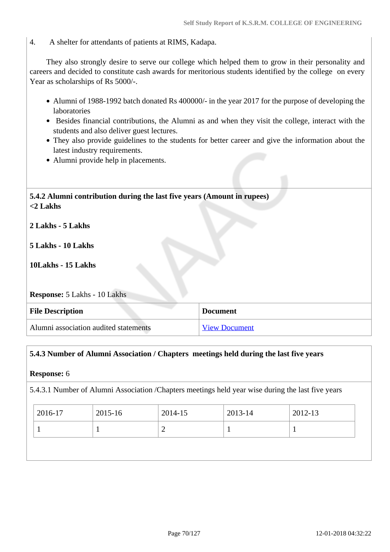#### 4. A shelter for attendants of patients at RIMS, Kadapa.

 They also strongly desire to serve our college which helped them to grow in their personality and careers and decided to constitute cash awards for meritorious students identified by the college on every Year as scholarships of Rs 5000/-.

- Alumni of 1988-1992 batch donated Rs 400000/- in the year 2017 for the purpose of developing the laboratories
- Besides financial contributions, the Alumni as and when they visit the college, interact with the students and also deliver guest lectures.
- They also provide guidelines to the students for better career and give the information about the latest industry requirements.
- Alumni provide help in placements.

 **5.4.2 Alumni contribution during the last five years (Amount in rupees) <2 Lakhs**

**2 Lakhs - 5 Lakhs**

**5 Lakhs - 10 Lakhs**

**10Lakhs - 15 Lakhs**

#### **Response:** 5 Lakhs - 10 Lakhs

| <b>File Description</b>               | <b>Document</b>      |
|---------------------------------------|----------------------|
| Alumni association audited statements | <b>View Document</b> |

#### **5.4.3 Number of Alumni Association / Chapters meetings held during the last five years**

#### **Response:** 6

5.4.3.1 Number of Alumni Association /Chapters meetings held year wise during the last five years

| 2016-17 | 2015-16 | 2014-15 | $2013 - 14$ | 2012-13 |
|---------|---------|---------|-------------|---------|
|         |         |         |             |         |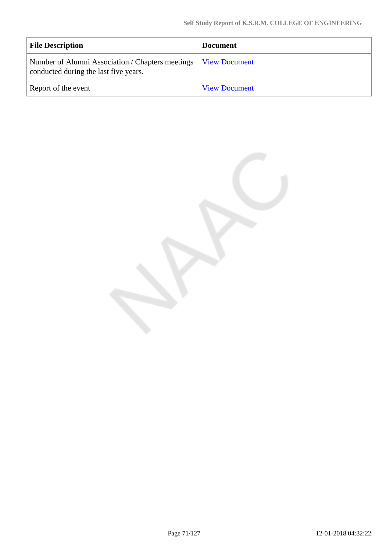| <b>File Description</b>                                                                   | <b>Document</b>      |
|-------------------------------------------------------------------------------------------|----------------------|
| Number of Alumni Association / Chapters meetings<br>conducted during the last five years. | <b>View Document</b> |
| Report of the event                                                                       | <b>View Document</b> |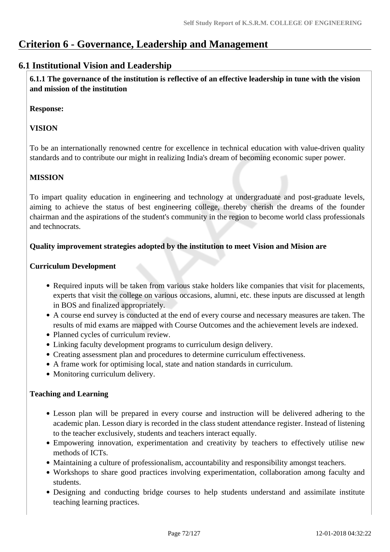# **Criterion 6 - Governance, Leadership and Management**

# **6.1 Institutional Vision and Leadership**

 **6.1.1 The governance of the institution is reflective of an effective leadership in tune with the vision and mission of the institution**

## **Response:**

# **VISION**

To be an internationally renowned centre for excellence in technical education with value-driven quality standards and to contribute our might in realizing India's dream of becoming economic super power.

# **MISSION**

To impart quality education in engineering and technology at undergraduate and post-graduate levels, aiming to achieve the status of best engineering college, thereby cherish the dreams of the founder chairman and the aspirations of the student's community in the region to become world class professionals and technocrats.

# **Quality improvement strategies adopted by the institution to meet Vision and Mision are**

# **Curriculum Development**

- Required inputs will be taken from various stake holders like companies that visit for placements, experts that visit the college on various occasions, alumni, etc. these inputs are discussed at length in BOS and finalized appropriately.
- A course end survey is conducted at the end of every course and necessary measures are taken. The results of mid exams are mapped with Course Outcomes and the achievement levels are indexed.
- Planned cycles of curriculum review.
- Linking faculty development programs to curriculum design delivery.
- Creating assessment plan and procedures to determine curriculum effectiveness.
- A frame work for optimising local, state and nation standards in curriculum.
- Monitoring curriculum delivery.

# **Teaching and Learning**

- Lesson plan will be prepared in every course and instruction will be delivered adhering to the academic plan. Lesson diary is recorded in the class student attendance register. Instead of listening to the teacher exclusively, students and teachers interact equally.
- Empowering innovation, experimentation and creativity by teachers to effectively utilise new methods of ICTs.
- Maintaining a culture of professionalism, accountability and responsibility amongst teachers.
- Workshops to share good practices involving experimentation, collaboration among faculty and students.
- Designing and conducting bridge courses to help students understand and assimilate institute teaching learning practices.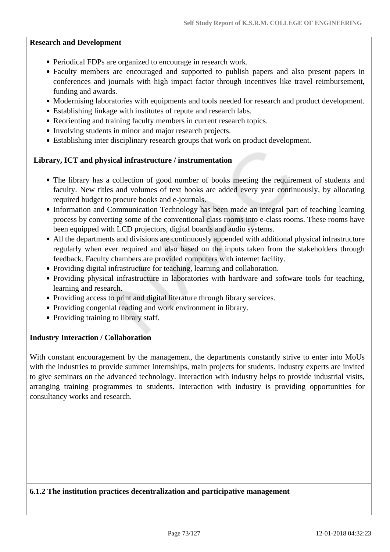#### **Research and Development**

- Periodical FDPs are organized to encourage in research work.
- Faculty members are encouraged and supported to publish papers and also present papers in conferences and journals with high impact factor through incentives like travel reimbursement, funding and awards.
- Modernising laboratories with equipments and tools needed for research and product development.
- Establishing linkage with institutes of repute and research labs.
- Reorienting and training faculty members in current research topics.
- Involving students in minor and major research projects.
- Establishing inter disciplinary research groups that work on product development.

#### **Library, ICT and physical infrastructure / instrumentation**

- The library has a collection of good number of books meeting the requirement of students and faculty. New titles and volumes of text books are added every year continuously, by allocating required budget to procure books and e-journals.
- Information and Communication Technology has been made an integral part of teaching learning process by converting some of the conventional class rooms into e-class rooms. These rooms have been equipped with LCD projectors, digital boards and audio systems.
- All the departments and divisions are continuously appended with additional physical infrastructure regularly when ever required and also based on the inputs taken from the stakeholders through feedback. Faculty chambers are provided computers with internet facility.
- Providing digital infrastructure for teaching, learning and collaboration.
- Providing physical infrastructure in laboratories with hardware and software tools for teaching, learning and research.
- Providing access to print and digital literature through library services.
- Providing congenial reading and work environment in library.
- Providing training to library staff.

#### **Industry Interaction / Collaboration**

With constant encouragement by the management, the departments constantly strive to enter into MoUs with the industries to provide summer internships, main projects for students. Industry experts are invited to give seminars on the advanced technology. Interaction with industry helps to provide industrial visits, arranging training programmes to students. Interaction with industry is providing opportunities for consultancy works and research.

#### **6.1.2 The institution practices decentralization and participative management**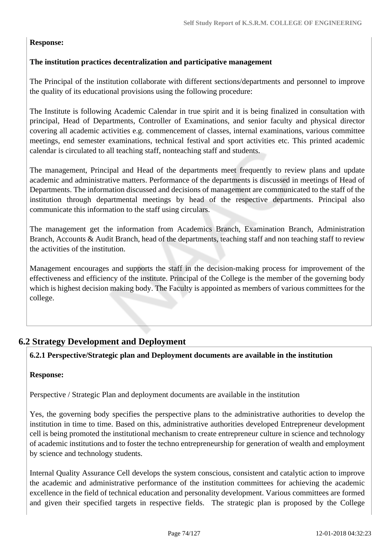## **Response:**

## **The institution practices decentralization and participative management**

The Principal of the institution collaborate with different sections/departments and personnel to improve the quality of its educational provisions using the following procedure:

The Institute is following Academic Calendar in true spirit and it is being finalized in consultation with principal, Head of Departments, Controller of Examinations, and senior faculty and physical director covering all academic activities e.g. commencement of classes, internal examinations, various committee meetings, end semester examinations, technical festival and sport activities etc. This printed academic calendar is circulated to all teaching staff, nonteaching staff and students.

The management, Principal and Head of the departments meet frequently to review plans and update academic and administrative matters. Performance of the departments is discussed in meetings of Head of Departments. The information discussed and decisions of management are communicated to the staff of the institution through departmental meetings by head of the respective departments. Principal also communicate this information to the staff using circulars.

The management get the information from Academics Branch, Examination Branch, Administration Branch, Accounts & Audit Branch, head of the departments, teaching staff and non teaching staff to review the activities of the institution.

Management encourages and supports the staff in the decision-making process for improvement of the effectiveness and efficiency of the institute. Principal of the College is the member of the governing body which is highest decision making body. The Faculty is appointed as members of various committees for the college.

# **6.2 Strategy Development and Deployment**

## **6.2.1 Perspective/Strategic plan and Deployment documents are available in the institution**

## **Response:**

Perspective / Strategic Plan and deployment documents are available in the institution

Yes, the governing body specifies the perspective plans to the administrative authorities to develop the institution in time to time. Based on this, administrative authorities developed Entrepreneur development cell is being promoted the institutional mechanism to create entrepreneur culture in science and technology of academic institutions and to foster the techno entrepreneurship for generation of wealth and employment by science and technology students.

Internal Quality Assurance Cell develops the system conscious, consistent and catalytic action to improve the academic and administrative performance of the institution committees for achieving the academic excellence in the field of technical education and personality development. Various committees are formed and given their specified targets in respective fields. The strategic plan is proposed by the College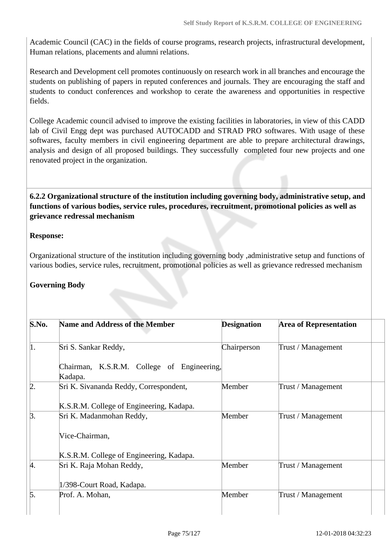Academic Council (CAC) in the fields of course programs, research projects, infrastructural development, Human relations, placements and alumni relations.

Research and Development cell promotes continuously on research work in all branches and encourage the students on publishing of papers in reputed conferences and journals. They are encouraging the staff and students to conduct conferences and workshop to cerate the awareness and opportunities in respective fields.

College Academic council advised to improve the existing facilities in laboratories, in view of this CADD lab of Civil Engg dept was purchased AUTOCADD and STRAD PRO softwares. With usage of these softwares, faculty members in civil engineering department are able to prepare architectural drawings, analysis and design of all proposed buildings. They successfully completed four new projects and one renovated project in the organization.

 **6.2.2 Organizational structure of the institution including governing body, administrative setup, and functions of various bodies, service rules, procedures, recruitment, promotional policies as well as grievance redressal mechanism**

## **Response:**

Organizational structure of the institution including governing body ,administrative setup and functions of various bodies, service rules, recruitment, promotional policies as well as grievance redressed mechanism

## **Governing Body**

| S.No.           | <b>Name and Address of the Member</b>                 | <b>Designation</b> | <b>Area of Representation</b> |  |
|-----------------|-------------------------------------------------------|--------------------|-------------------------------|--|
| $\mathbf{1}$ .  | Sri S. Sankar Reddy,                                  | Chairperson        | Trust / Management            |  |
|                 | Chairman, K.S.R.M. College of Engineering,<br>Kadapa. |                    |                               |  |
| $\mathbf{2}$ .  | Sri K. Sivananda Reddy, Correspondent,                | Member             | Trust / Management            |  |
|                 | K.S.R.M. College of Engineering, Kadapa.              |                    |                               |  |
| $\beta$ .       | Sri K. Madanmohan Reddy,                              | Member             | Trust / Management            |  |
|                 | Vice-Chairman,                                        |                    |                               |  |
|                 | K.S.R.M. College of Engineering, Kadapa.              |                    |                               |  |
| 4.              | Sri K. Raja Mohan Reddy,                              | Member             | Trust / Management            |  |
|                 | 1/398-Court Road, Kadapa.                             |                    |                               |  |
| $\mathfrak{b}.$ | Prof. A. Mohan,                                       | Member             | Trust / Management            |  |
|                 |                                                       |                    |                               |  |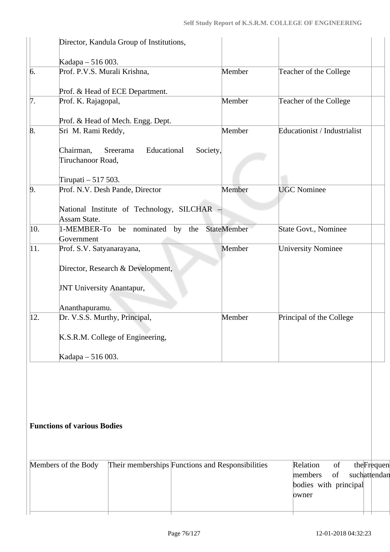|     | Director, Kandula Group of Institutions,                              |                    |                              |  |
|-----|-----------------------------------------------------------------------|--------------------|------------------------------|--|
|     | Kadapa - 516 003.                                                     |                    |                              |  |
| 6.  | Prof. P.V.S. Murali Krishna,                                          | Member             | Teacher of the College       |  |
|     | Prof. & Head of ECE Department.                                       |                    |                              |  |
| 7.  | Prof. K. Rajagopal,                                                   | Member             | Teacher of the College       |  |
|     | Prof. & Head of Mech. Engg. Dept.                                     |                    |                              |  |
| 8.  | Sri M. Rami Reddy,                                                    | Member             | Educationist / Industrialist |  |
|     | Educational<br>Chairman,<br>Society,<br>Sreerama<br>Tiruchanoor Road, |                    |                              |  |
|     | Tirupati - 517 503.                                                   |                    |                              |  |
| 9.  | Prof. N.V. Desh Pande, Director                                       | Member             | <b>UGC Nominee</b>           |  |
|     | National Institute of Technology, SILCHAR<br>Assam State.             |                    |                              |  |
| 10. | be nominated by<br>1-MEMBER-To<br>the<br>Government                   | <b>StateMember</b> | State Govt., Nominee         |  |
| 11. | Prof. S.V. Satyanarayana,<br>Director, Research & Development,        | Member             | <b>University Nominee</b>    |  |
|     | <b>JNT University Anantapur,</b>                                      |                    |                              |  |
|     | Ananthapuramu.                                                        |                    |                              |  |
| 12. | Dr. V.S.S. Murthy, Principal,<br>K.S.R.M. College of Engineering,     | Member             | Principal of the College     |  |
|     | Kadapa - 516 003.                                                     |                    |                              |  |
|     |                                                                       |                    |                              |  |
|     |                                                                       |                    |                              |  |
|     | <b>Functions of various Bodies</b>                                    |                    |                              |  |

| Members of the Body | Their memberships Functions and Responsibilities | Relation              | of | the Frequen  |  |
|---------------------|--------------------------------------------------|-----------------------|----|--------------|--|
|                     |                                                  | members               | of | suchattendan |  |
|                     |                                                  | bodies with principal |    |              |  |
|                     |                                                  | owner                 |    |              |  |
|                     |                                                  |                       |    |              |  |
|                     |                                                  |                       |    |              |  |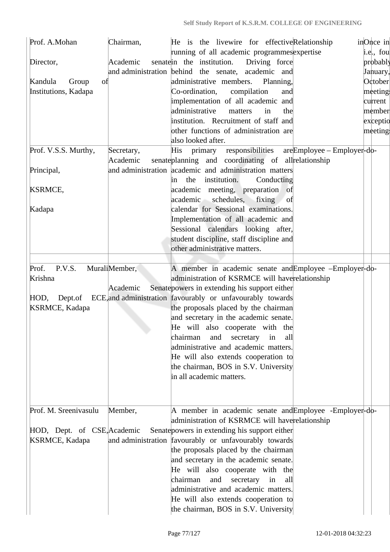| Prof. A.Mohan               | Chairman,     | He is the livewire for effectiveRelationship                            |                               | inOnce in |
|-----------------------------|---------------|-------------------------------------------------------------------------|-------------------------------|-----------|
|                             |               | running of all academic programmes expertise                            |                               | i.e., fou |
| Director,                   | Academic      | senate in the institution.<br>Driving force                             |                               | probably  |
|                             |               | and administration behind the senate, academic and                      |                               | January,  |
| Kandula<br>Group<br>of      |               | administrative members. Planning,                                       |                               | October   |
| Institutions, Kadapa        |               | Co-ordination,<br>compilation<br>and                                    |                               | meeting   |
|                             |               | implementation of all academic and                                      |                               | current   |
|                             |               | administrative<br>matters<br>in<br>the                                  |                               | member    |
|                             |               | institution. Recruitment of staff and                                   |                               | exceptio  |
|                             |               | other functions of administration are                                   |                               | meeting   |
|                             |               | also looked after.                                                      |                               |           |
| Prof. V.S.S. Murthy,        | Secretary,    | primary responsibilities<br>His                                         | $are$ Employee – Employer-do- |           |
|                             | Academic      | senateplanning and coordinating of all relationship                     |                               |           |
| Principal,                  |               | and administration academic and administration matters                  |                               |           |
|                             |               | institution.<br>Conducting<br>the<br>ın                                 |                               |           |
| <b>KSRMCE,</b>              |               | academic meeting, preparation of                                        |                               |           |
|                             |               | schedules, fixing of<br>academic                                        |                               |           |
| Kadapa                      |               | calendar for Sessional examinations.                                    |                               |           |
|                             |               | Implementation of all academic and                                      |                               |           |
|                             |               | Sessional calendars looking after,                                      |                               |           |
|                             |               | student discipline, staff discipline and                                |                               |           |
|                             |               | other administrative matters.                                           |                               |           |
|                             |               |                                                                         |                               |           |
| P.V.S.<br>Prof.             | MuraliMember, | A member in academic senate and Employee - Employer-do-                 |                               |           |
| Krishna                     |               | administration of KSRMCE will haverelationship                          |                               |           |
|                             | Academic      | Senatepowers in extending his support either                            |                               |           |
|                             |               | HOD, Dept.of ECE, and administration favourably or unfavourably towards |                               |           |
| <b>KSRMCE, Kadapa</b>       |               | the proposals placed by the chairman                                    |                               |           |
|                             |               | and secretary in the academic senate.                                   |                               |           |
|                             |               | He will also cooperate with the                                         |                               |           |
|                             |               | chairman and<br>secretary in all                                        |                               |           |
|                             |               | administrative and academic matters.                                    |                               |           |
|                             |               | He will also extends cooperation to                                     |                               |           |
|                             |               | the chairman, BOS in S.V. University                                    |                               |           |
|                             |               | in all academic matters.                                                |                               |           |
|                             |               |                                                                         |                               |           |
|                             |               |                                                                         |                               |           |
| Prof. M. Sreenivasulu       | Member,       | A member in academic senate and Employee - Employer-do-                 |                               |           |
|                             |               | administration of KSRMCE will haverelationship                          |                               |           |
| HOD, Dept. of CSE, Academic |               | Senate powers in extending his support either                           |                               |           |
| <b>KSRMCE, Kadapa</b>       |               | and administration favourably or unfavourably towards                   |                               |           |
|                             |               | the proposals placed by the chairman                                    |                               |           |
|                             |               | and secretary in the academic senate.                                   |                               |           |
|                             |               | He will also cooperate with the                                         |                               |           |
|                             |               | chairman<br>and<br>secretary<br>in<br>all                               |                               |           |
|                             |               | administrative and academic matters.                                    |                               |           |
|                             |               | He will also extends cooperation to                                     |                               |           |
|                             |               | the chairman, BOS in S.V. University                                    |                               |           |
|                             |               |                                                                         |                               |           |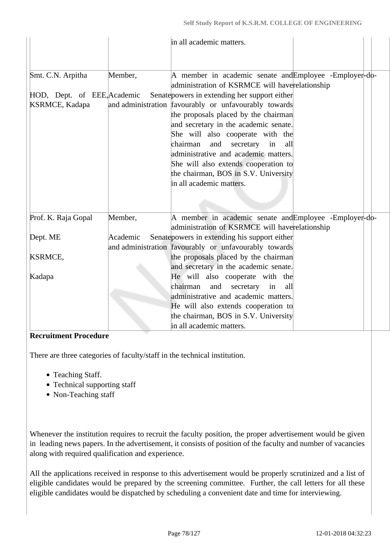|                             |          | in all academic matters.                                |  |
|-----------------------------|----------|---------------------------------------------------------|--|
|                             |          |                                                         |  |
| Smt. C.N. Arpitha           | Member,  | A member in academic senate and Employee - Employer-do- |  |
|                             |          | administration of KSRMCE will haverelationship          |  |
| HOD, Dept. of EEE, Academic |          | Senate powers in extending her support either           |  |
| KSRMCE, Kadapa              |          | and administration favourably or unfavourably towards   |  |
|                             |          | the proposals placed by the chairman                    |  |
|                             |          | and secretary in the academic senate.                   |  |
|                             |          | She will also cooperate with the                        |  |
|                             |          | chairman<br>and<br>secretary<br>in<br>all               |  |
|                             |          | administrative and academic matters.                    |  |
|                             |          | She will also extends cooperation to                    |  |
|                             |          | the chairman, BOS in S.V. University                    |  |
|                             |          | in all academic matters.                                |  |
|                             |          |                                                         |  |
|                             |          |                                                         |  |
| Prof. K. Raja Gopal         | Member,  | A member in academic senate and Employee - Employer-do- |  |
|                             |          | administration of KSRMCE will haverelationship          |  |
| Dept. ME                    | Academic | Senate powers in extending his support either           |  |
|                             |          | and administration favourably or unfavourably towards   |  |
| <b>KSRMCE,</b>              |          | the proposals placed by the chairman                    |  |
|                             |          | and secretary in the academic senate.                   |  |
| Kadapa                      |          | He will also cooperate with the                         |  |
|                             |          | chairman<br>and<br>secretary<br>in<br>all               |  |
|                             |          | administrative and academic matters.                    |  |
|                             |          | He will also extends cooperation to                     |  |
|                             |          | the chairman, BOS in S.V. University                    |  |
|                             |          | in all academic matters.                                |  |

## **Recruitment Procedure**

There are three categories of faculty/staff in the technical institution.

- Teaching Staff.
- Technical supporting staff
- Non-Teaching staff

Whenever the institution requires to recruit the faculty position, the proper advertisement would be given in leading news papers. In the advertisement, it consists of position of the faculty and number of vacancies along with required qualification and experience.

All the applications received in response to this advertisement would be properly scrutinized and a list of eligible candidates would be prepared by the screening committee. Further, the call letters for all these eligible candidates would be dispatched by scheduling a convenient date and time for interviewing.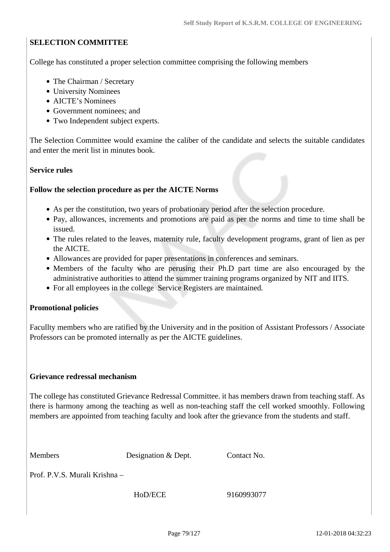## **SELECTION COMMITTEE**

College has constituted a proper selection committee comprising the following members

- The Chairman / Secretary
- University Nominees
- AICTE's Nominees
- Government nominees; and
- Two Independent subject experts.

The Selection Committee would examine the caliber of the candidate and selects the suitable candidates and enter the merit list in minutes book.

#### **Service rules**

### **Follow the selection procedure as per the AICTE Norms**

- As per the constitution, two years of probationary period after the selection procedure.
- Pay, allowances, increments and promotions are paid as per the norms and time to time shall be issued.
- The rules related to the leaves, maternity rule, faculty development programs, grant of lien as per the AICTE.
- Allowances are provided for paper presentations in conferences and seminars.
- Members of the faculty who are perusing their Ph.D part time are also encouraged by the administrative authorities to attend the summer training programs organized by NIT and IITS.
- For all employees in the college Service Registers are maintained.

#### **Promotional policies**

Facullty members who are ratified by the University and in the position of Assistant Professors / Associate Professors can be promoted internally as per the AICTE guidelines.

#### **Grievance redressal mechanism**

The college has constituted Grievance Redressal Committee. it has members drawn from teaching staff. As there is harmony among the teaching as well as non-teaching staff the cell worked smoothly. Following members are appointed from teaching faculty and look after the grievance from the students and staff.

Members Designation & Dept. Contact No.

Prof. P.V.S. Murali Krishna –

HoD/ECE 9160993077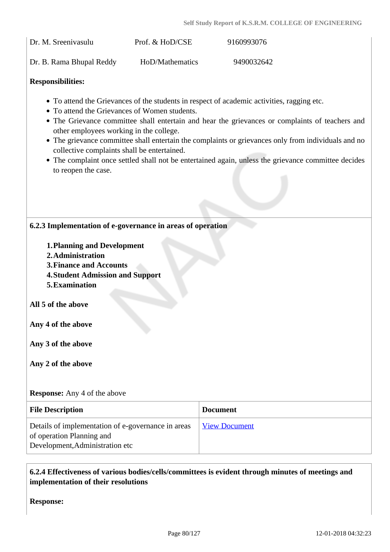| Dr. M. Sreenivasulu      | Prof. & HoD/CSE | 9160993076 |
|--------------------------|-----------------|------------|
| Dr. B. Rama Bhupal Reddy | HoD/Mathematics | 9490032642 |

#### **Responsibilities:**

- To attend the Grievances of the students in respect of academic activities, ragging etc.
- To attend the Grievances of Women students.
- The Grievance committee shall entertain and hear the grievances or complaints of teachers and other employees working in the college.
- The grievance committee shall entertain the complaints or grievances only from individuals and no collective complaints shall be entertained.
- The complaint once settled shall not be entertained again, unless the grievance committee decides to reopen the case.

#### **6.2.3 Implementation of e-governance in areas of operation**

- **1.Planning and Development**
- **2.Administration**
- **3.Finance and Accounts**
- **4.Student Admission and Support**
- **5.Examination**

**All 5 of the above**

**Any 4 of the above**

**Any 3 of the above**

**Any 2 of the above**

#### **Response:** Any 4 of the above

| <b>File Description</b>                                                                                            | <b>Document</b>      |
|--------------------------------------------------------------------------------------------------------------------|----------------------|
| Details of implementation of e-governance in areas<br>of operation Planning and<br>Development, Administration etc | <b>View Document</b> |

## **6.2.4 Effectiveness of various bodies/cells/committees is evident through minutes of meetings and implementation of their resolutions**

**Response:**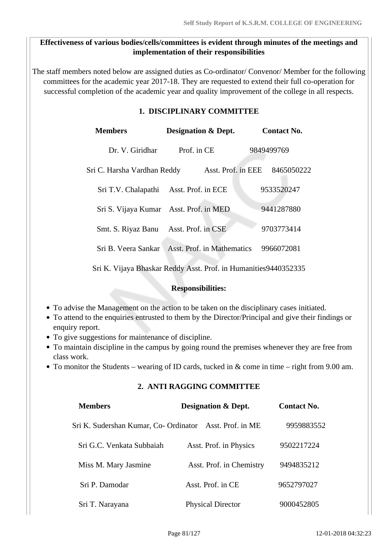## **Effectiveness of various bodies/cells/committees is evident through minutes of the meetings and implementation of their responsibilities**

The staff members noted below are assigned duties as Co-ordinator/ Convenor/ Member for the following committees for the academic year 2017-18. They are requested to extend their full co-operation for successful completion of the academic year and quality improvement of the college in all respects.

## **1. DISCIPLINARY COMMITTEE**

| <b>Members</b>                         | <b>Designation &amp; Dept.</b> |                            | <b>Contact No.</b> |
|----------------------------------------|--------------------------------|----------------------------|--------------------|
| Dr. V. Giridhar                        | Prof. in CE                    |                            | 9849499769         |
| Sri C. Harsha Vardhan Reddy            |                                | Asst. Prof. in EEE         | 8465050222         |
| Sri T.V. Chalapathi                    | Asst. Prof. in ECE             |                            | 9533520247         |
| Sri S. Vijaya Kumar Asst. Prof. in MED |                                |                            | 9441287880         |
| Smt. S. Riyaz Banu                     | Asst. Prof. in CSE             |                            | 9703773414         |
| Sri B. Veera Sankar                    |                                | Asst. Prof. in Mathematics | 9966072081         |
|                                        |                                |                            |                    |

Sri K. Vijaya Bhaskar Reddy Asst. Prof. in Humanities9440352335

## **Responsibilities:**

- To advise the Management on the action to be taken on the disciplinary cases initiated.
- To attend to the enquiries entrusted to them by the Director/Principal and give their findings or enquiry report.
- To give suggestions for maintenance of discipline.
- To maintain discipline in the campus by going round the premises whenever they are free from class work.
- To monitor the Students wearing of ID cards, tucked in & come in time right from 9.00 am.

## **2. ANTI RAGGING COMMITTEE**

| <b>Members</b>                       | <b>Designation &amp; Dept.</b> | Contact No. |
|--------------------------------------|--------------------------------|-------------|
| Sri K. Sudershan Kumar, Co-Ordinator | Asst. Prof. in ME              | 9959883552  |
| Sri G.C. Venkata Subbaiah            | Asst. Prof. in Physics         | 9502217224  |
| Miss M. Mary Jasmine                 | Asst. Prof. in Chemistry       | 9494835212  |
| Sri P. Damodar                       | Asst. Prof. in CE              | 9652797027  |
| Sri T. Narayana                      | <b>Physical Director</b>       | 9000452805  |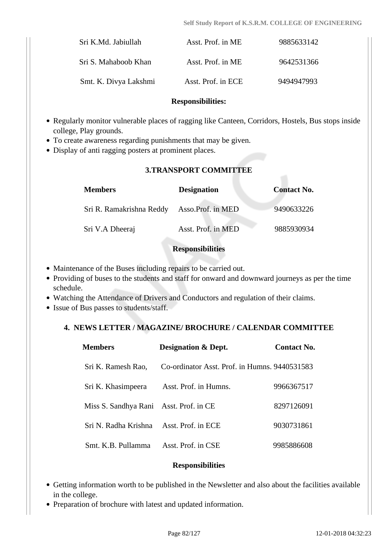| Sri K.Md. Jabiullah   | Asst. Prof. in ME  | 9885633142 |
|-----------------------|--------------------|------------|
| Sri S. Mahaboob Khan  | Asst. Prof. in ME  | 9642531366 |
| Smt. K. Divya Lakshmi | Asst. Prof. in ECE | 9494947993 |

#### **Responsibilities:**

- Regularly monitor vulnerable places of ragging like Canteen, Corridors, Hostels, Bus stops inside college, Play grounds.
- To create awareness regarding punishments that may be given.
- Display of anti ragging posters at prominent places.

#### **3.TRANSPORT COMMITTEE**

| <b>Members</b>           | <b>Designation</b> | <b>Contact No.</b> |
|--------------------------|--------------------|--------------------|
| Sri R. Ramakrishna Reddy | Asso.Prof. in MED  | 9490633226         |
| Sri V.A Dheeraj          | Asst. Prof. in MED | 9885930934         |

#### **Responsibilities**

- Maintenance of the Buses including repairs to be carried out.
- Providing of buses to the students and staff for onward and downward journeys as per the time schedule.
- Watching the Attendance of Drivers and Conductors and regulation of their claims.
- Issue of Bus passes to students/staff.

## **4. NEWS LETTER / MAGAZINE/ BROCHURE / CALENDAR COMMITTEE**

| <b>Members</b>                         | <b>Designation &amp; Dept.</b>                | <b>Contact No.</b> |
|----------------------------------------|-----------------------------------------------|--------------------|
| Sri K. Ramesh Rao,                     | Co-ordinator Asst. Prof. in Humns. 9440531583 |                    |
| Sri K. Khasimpeera                     | Asst. Prof. in Humns.                         | 9966367517         |
| Miss S. Sandhya Rani Asst. Prof. in CE |                                               | 8297126091         |
| Sri N. Radha Krishna                   | Asst. Prof. in ECE                            | 9030731861         |
| Smt. K.B. Pullamma                     | Asst. Prof. in CSE                            | 9985886608         |

#### **Responsibilities**

- Getting information worth to be published in the Newsletter and also about the facilities available in the college.
- Preparation of brochure with latest and updated information.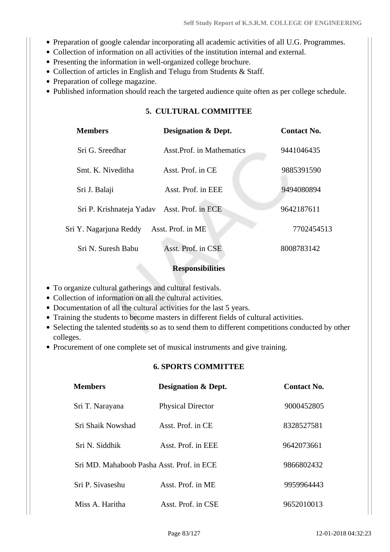- Preparation of google calendar incorporating all academic activities of all U.G. Programmes.
- Collection of information on all activities of the institution internal and external.
- Presenting the information in well-organized college brochure.
- Collection of articles in English and Telugu from Students & Staff.
- Preparation of college magazine.
- Published information should reach the targeted audience quite often as per college schedule.

## **5. CULTURAL COMMITTEE**

| <b>Members</b>         | <b>Designation &amp; Dept.</b>              | <b>Contact No.</b> |
|------------------------|---------------------------------------------|--------------------|
| Sri G. Sreedhar        | Asst. Prof. in Mathematics                  | 9441046435         |
| Smt. K. Niveditha      | Asst. Prof. in CE                           | 9885391590         |
| Sri J. Balaji          | Asst. Prof. in EEE                          | 9494080894         |
|                        | Sri P. Krishnateja Yadav Asst. Prof. in ECE | 9642187611         |
| Sri Y. Nagarjuna Reddy | Asst. Prof. in ME                           | 7702454513         |
| Sri N. Suresh Babu     | Asst. Prof. in CSE                          | 8008783142         |

### **Responsibilities**

- To organize cultural gatherings and cultural festivals.
- Collection of information on all the cultural activities.
- Documentation of all the cultural activities for the last 5 years.
- Training the students to become masters in different fields of cultural activities.
- Selecting the talented students so as to send them to different competitions conducted by other colleges.
- Procurement of one complete set of musical instruments and give training.

## **6. SPORTS COMMITTEE**

| <b>Members</b>                            | <b>Designation &amp; Dept.</b> | Contact No. |
|-------------------------------------------|--------------------------------|-------------|
| Sri T. Narayana                           | <b>Physical Director</b>       | 9000452805  |
| Sri Shaik Nowshad                         | Asst. Prof. in CE              | 8328527581  |
| Sri N. Siddhik                            | Asst. Prof. in EEE             | 9642073661  |
| Sri MD. Mahaboob Pasha Asst. Prof. in ECE |                                | 9866802432  |
| Sri P. Sivaseshu                          | Asst. Prof. in ME              | 9959964443  |
| Miss A. Haritha                           | Asst. Prof. in CSE             | 9652010013  |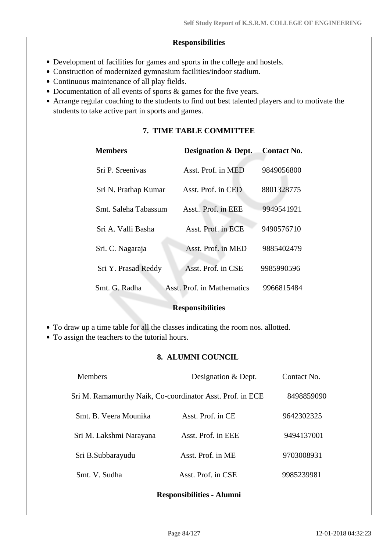#### **Responsibilities**

- Development of facilities for games and sports in the college and hostels.
- Construction of modernized gymnasium facilities/indoor stadium.
- Continuous maintenance of all play fields.
- Documentation of all events of sports & games for the five years.
- Arrange regular coaching to the students to find out best talented players and to motivate the students to take active part in sports and games.

#### **7. TIME TABLE COMMITTEE**

| <b>Members</b>       | <b>Designation &amp; Dept.</b>    | <b>Contact No.</b> |
|----------------------|-----------------------------------|--------------------|
| Sri P. Sreenivas     | Asst. Prof. in MED                | 9849056800         |
| Sri N. Prathap Kumar | Asst. Prof. in CED                | 8801328775         |
| Smt. Saleha Tabassum | Asst., Prof. in EEE               | 9949541921         |
| Sri A. Valli Basha   | Asst. Prof. in ECE                | 9490576710         |
| Sri. C. Nagaraja     | Asst. Prof. in MED                | 9885402479         |
| Sri Y. Prasad Reddy  | Asst. Prof. in CSE                | 9985990596         |
| Smt. G. Radha        | <b>Asst. Prof. in Mathematics</b> | 9966815484         |

#### **Responsibilities**

To draw up a time table for all the classes indicating the room nos. allotted.

To assign the teachers to the tutorial hours.

#### **8. ALUMNI COUNCIL**

| <b>Members</b>                                            | Designation & Dept. | Contact No. |
|-----------------------------------------------------------|---------------------|-------------|
| Sri M. Ramamurthy Naik, Co-coordinator Asst. Prof. in ECE |                     | 8498859090  |
| Smt. B. Veera Mounika                                     | Asst. Prof. in CE   | 9642302325  |
| Sri M. Lakshmi Narayana                                   | Asst. Prof. in EEE  | 9494137001  |
| Sri B.Subbarayudu                                         | Asst. Prof. in ME   | 9703008931  |
| Smt. V. Sudha                                             | Asst. Prof. in CSE  | 9985239981  |

#### **Responsibilities - Alumni**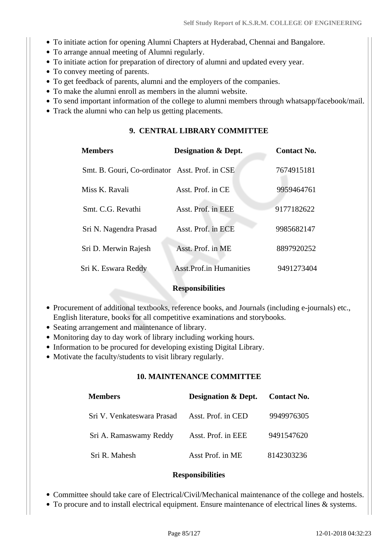- To initiate action for opening Alumni Chapters at Hyderabad, Chennai and Bangalore.
- To arrange annual meeting of Alumni regularly.
- To initiate action for preparation of directory of alumni and updated every year.
- To convey meeting of parents.
- To get feedback of parents, alumni and the employers of the companies.
- To make the alumni enroll as members in the alumni website.
- To send important information of the college to alumni members through whatsapp/facebook/mail.
- Track the alumni who can help us getting placements.

#### **9. CENTRAL LIBRARY COMMITTEE**

| <b>Members</b>                                 | <b>Designation &amp; Dept.</b> | <b>Contact No.</b> |
|------------------------------------------------|--------------------------------|--------------------|
| Smt. B. Gouri, Co-ordinator Asst. Prof. in CSE |                                | 7674915181         |
| Miss K. Ravali                                 | Asst. Prof. in CE              | 9959464761         |
| Smt. C.G. Revathi                              | Asst. Prof. in EEE             | 9177182622         |
| Sri N. Nagendra Prasad                         | Asst. Prof. in ECE             | 9985682147         |
| Sri D. Merwin Rajesh                           | Asst. Prof. in ME              | 8897920252         |
| Sri K. Eswara Reddy                            | <b>Asst.Prof.in Humanities</b> | 9491273404         |

#### **Responsibilities**

- Procurement of additional textbooks, reference books, and Journals (including e-journals) etc., English literature, books for all competitive examinations and storybooks.
- Seating arrangement and maintenance of library.
- Monitoring day to day work of library including working hours.
- Information to be procured for developing existing Digital Library.
- Motivate the faculty/students to visit library regularly.

#### **10. MAINTENANCE COMMITTEE**

| <b>Members</b>             | <b>Designation &amp; Dept.</b> | Contact No. |
|----------------------------|--------------------------------|-------------|
| Sri V. Venkateswara Prasad | Asst. Prof. in CED             | 9949976305  |
| Sri A. Ramaswamy Reddy     | Asst. Prof. in EEE             | 9491547620  |
| Sri R. Mahesh              | Asst Prof. in ME               | 8142303236  |

#### **Responsibilities**

- Committee should take care of Electrical/Civil/Mechanical maintenance of the college and hostels.
- To procure and to install electrical equipment. Ensure maintenance of electrical lines & systems.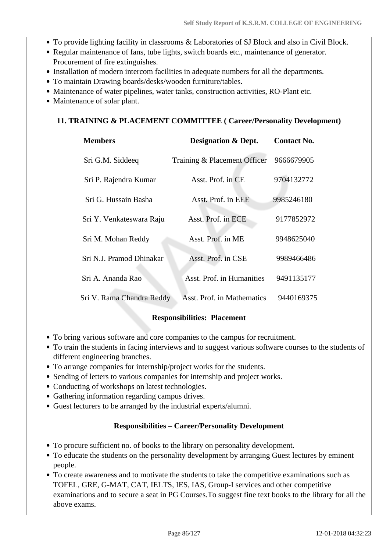- To provide lighting facility in classrooms & Laboratories of SJ Block and also in Civil Block.
- Regular maintenance of fans, tube lights, switch boards etc., maintenance of generator. Procurement of fire extinguishes.
- Installation of modern intercom facilities in adequate numbers for all the departments.
- To maintain Drawing boards/desks/wooden furniture/tables.
- Maintenance of water pipelines, water tanks, construction activities, RO-Plant etc.
- Maintenance of solar plant.

## **11. TRAINING & PLACEMENT COMMITTEE ( Career/Personality Development)**

| <b>Members</b>            | <b>Designation &amp; Dept.</b>    | <b>Contact No.</b> |
|---------------------------|-----------------------------------|--------------------|
| Sri G.M. Siddeeq          | Training & Placement Officer      | 9666679905         |
| Sri P. Rajendra Kumar     | Asst. Prof. in CE                 | 9704132772         |
| Sri G. Hussain Basha      | Asst. Prof. in EEE                | 9985246180         |
| Sri Y. Venkateswara Raju  | Asst. Prof. in ECE                | 9177852972         |
| Sri M. Mohan Reddy        | Asst. Prof. in ME                 | 9948625040         |
| Sri N.J. Pramod Dhinakar  | Asst. Prof. in CSE                | 9989466486         |
| Sri A. Ananda Rao         | Asst. Prof. in Humanities         | 9491135177         |
| Sri V. Rama Chandra Reddy | <b>Asst. Prof. in Mathematics</b> | 9440169375         |

#### **Responsibilities: Placement**

- To bring various software and core companies to the campus for recruitment.
- To train the students in facing interviews and to suggest various software courses to the students of different engineering branches.
- To arrange companies for internship/project works for the students.
- Sending of letters to various companies for internship and project works.
- Conducting of workshops on latest technologies.
- Gathering information regarding campus drives.
- Guest lecturers to be arranged by the industrial experts/alumni.

#### **Responsibilities – Career/Personality Development**

- To procure sufficient no. of books to the library on personality development.
- To educate the students on the personality development by arranging Guest lectures by eminent people.
- To create awareness and to motivate the students to take the competitive examinations such as TOFEL, GRE, G-MAT, CAT, IELTS, IES, IAS, Group-I services and other competitive examinations and to secure a seat in PG Courses.To suggest fine text books to the library for all the above exams.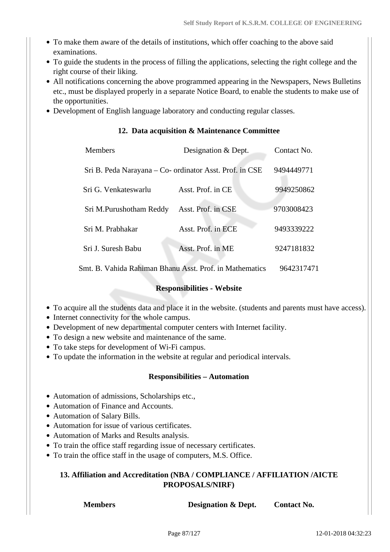- To make them aware of the details of institutions, which offer coaching to the above said examinations.
- To guide the students in the process of filling the applications, selecting the right college and the right course of their liking.
- All notifications concerning the above programmed appearing in the Newspapers, News Bulletins etc., must be displayed properly in a separate Notice Board, to enable the students to make use of the opportunities.
- Development of English language laboratory and conducting regular classes.

## **12. Data acquisition & Maintenance Committee**

| <b>Members</b>                                          | Designation & Dept. | Contact No. |
|---------------------------------------------------------|---------------------|-------------|
| Sri B. Peda Narayana – Co- ordinator Asst. Prof. in CSE |                     | 9494449771  |
| Sri G. Venkateswarlu                                    | Asst. Prof. in CE   | 9949250862  |
| Sri M.Purushotham Reddy                                 | Asst. Prof. in CSE  | 9703008423  |
| Sri M. Prabhakar                                        | Asst. Prof. in ECE  | 9493339222  |
| Sri J. Suresh Babu                                      | Asst. Prof. in ME   | 9247181832  |
|                                                         |                     |             |

Smt. B. Vahida Rahiman Bhanu Asst. Prof. in Mathematics 9642317471

## **Responsibilities - Website**

- To acquire all the students data and place it in the website. (students and parents must have access).
- Internet connectivity for the whole campus.
- Development of new departmental computer centers with Internet facility.
- To design a new website and maintenance of the same.
- To take steps for development of Wi-Fi campus.
- To update the information in the website at regular and periodical intervals.

#### **Responsibilities – Automation**

- Automation of admissions, Scholarships etc.,
- Automation of Finance and Accounts.
- Automation of Salary Bills.
- Automation for issue of various certificates.
- Automation of Marks and Results analysis.
- To train the office staff regarding issue of necessary certificates.
- To train the office staff in the usage of computers, M.S. Office.

## **13. Affiliation and Accreditation (NBA / COMPLIANCE / AFFILIATION /AICTE PROPOSALS/NIRF)**

**Members Designation & Dept. Contact No.**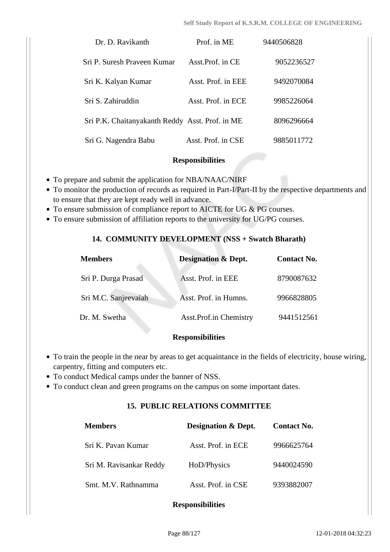| Dr. D. Ravikanth                                | Prof. in ME        | 9440506828 |
|-------------------------------------------------|--------------------|------------|
| Sri P. Suresh Praveen Kumar                     | Asst Prof. in CE   | 9052236527 |
| Sri K. Kalyan Kumar                             | Asst. Prof. in EEE | 9492070084 |
| Sri S. Zahiruddin                               | Asst. Prof. in ECE | 9985226064 |
| Sri P.K. Chaitanyakanth Reddy Asst. Prof. in ME |                    | 8096296664 |
| Sri G. Nagendra Babu                            | Asst. Prof. in CSE | 9885011772 |

#### **Responsibilities**

- To prepare and submit the application for NBA/NAAC/NIRF
- To monitor the production of records as required in Part-I/Part-II by the respective departments and to ensure that they are kept ready well in advance.
- To ensure submission of compliance report to AICTE for UG & PG courses.
- To ensure submission of affiliation reports to the university for UG/PG courses.

## **14. COMMUNITY DEVELOPMENT (NSS + Swatch Bharath)**

| <b>Members</b>       | <b>Designation &amp; Dept.</b> | <b>Contact No.</b> |
|----------------------|--------------------------------|--------------------|
| Sri P. Durga Prasad  | Asst. Prof. in EEE             | 8790087632         |
| Sri M.C. Sanjeevaiah | Asst. Prof. in Humns.          | 9966828805         |
| Dr. M. Swetha        | <b>Asst.Prof.in Chemistry</b>  | 9441512561         |

#### **Responsibilities**

- To train the people in the near by areas to get acquaintance in the fields of electricity, house wiring, carpentry, fitting and computers etc.
- To conduct Medical camps under the banner of NSS.
- To conduct clean and green programs on the campus on some important dates.

## **15. PUBLIC RELATIONS COMMITTEE**

| <b>Members</b>          | <b>Designation &amp; Dept.</b> | <b>Contact No.</b> |
|-------------------------|--------------------------------|--------------------|
| Sri K. Pavan Kumar      | Asst. Prof. in ECE             | 9966625764         |
| Sri M. Ravisankar Reddy | HoD/Physics                    | 9440024590         |
| Smt. M.V. Rathnamma     | Asst. Prof. in CSE             | 9393882007         |

#### **Responsibilities**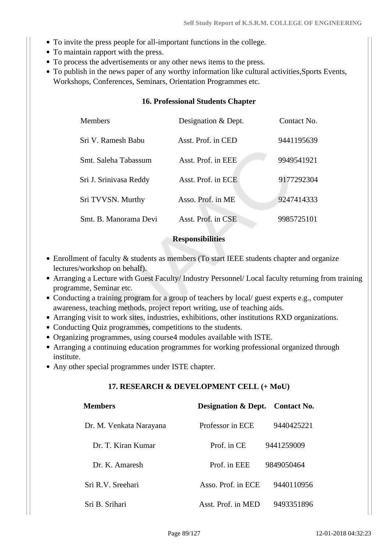- To invite the press people for all-important functions in the college.
- To maintain rapport with the press.
- To process the advertisements or any other news items to the press.
- To publish in the news paper of any worthy information like cultural activities,Sports Events, Workshops, Conferences, Seminars, Orientation Programmes etc.

#### **16. Professional Students Chapter**

| <b>Members</b>         | Designation & Dept. | Contact No. |
|------------------------|---------------------|-------------|
| Sri V. Ramesh Babu     | Asst. Prof. in CED  | 9441195639  |
| Smt. Saleha Tabassum   | Asst. Prof. in EEE  | 9949541921  |
| Sri J. Srinivasa Reddy | Asst. Prof. in ECE  | 9177292304  |
| Sri TVVSN. Murthy      | Asso. Prof. in ME   | 9247414333  |
| Smt. B. Manorama Devi  | Asst. Prof. in CSE  | 9985725101  |

#### **Responsibilities**

- Enrollment of faculty & students as members (To start IEEE students chapter and organize lectures/workshop on behalf).
- Arranging a Lecture with Guest Faculty/ Industry Personnel/ Local faculty returning from training programme, Seminar etc.
- Conducting a training program for a group of teachers by local/ guest experts e.g., computer awareness, teaching methods, project report writing, use of teaching aids.
- Arranging visit to work sites, industries, exhibitions, other institutions RXD organizations.
- Conducting Quiz programmes, competitions to the students.
- Organizing programmes, using course4 modules available with ISTE.
- Arranging a continuing education programmes for working professional organized through institute.
- Any other special programmes under ISTE chapter.

## **17. RESEARCH & DEVELOPMENT CELL (+ MoU)**

| <b>Members</b>          | Designation & Dept. Contact No. |            |
|-------------------------|---------------------------------|------------|
| Dr. M. Venkata Narayana | Professor in ECE                | 9440425221 |
| Dr. T. Kiran Kumar      | Prof. in CE                     | 9441259009 |
| Dr. K. Amaresh          | Prof. in EEE                    | 9849050464 |
| Sri R.V. Sreehari       | Asso. Prof. in ECE              | 9440110956 |
| Sri B. Srihari          | Asst. Prof. in MED              | 9493351896 |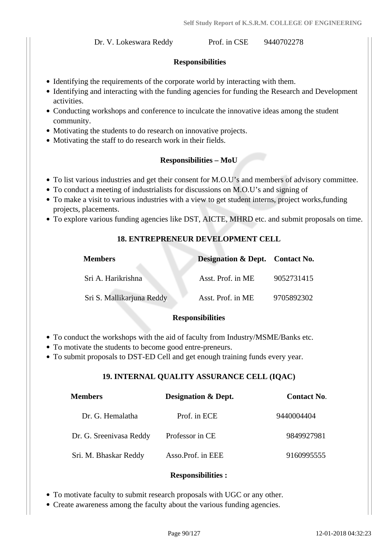Dr. V. Lokeswara Reddy Prof. in CSE 9440702278

### **Responsibilities**

- Identifying the requirements of the corporate world by interacting with them.
- Identifying and interacting with the funding agencies for funding the Research and Development activities.
- Conducting workshops and conference to inculcate the innovative ideas among the student community.
- Motivating the students to do research on innovative projects.
- Motivating the staff to do research work in their fields.

#### **Responsibilities – MoU**

- To list various industries and get their consent for M.O.U's and members of advisory committee.
- To conduct a meeting of industrialists for discussions on M.O.U's and signing of
- To make a visit to various industries with a view to get student interns, project works,funding projects, placements.
- To explore various funding agencies like DST, AICTE, MHRD etc. and submit proposals on time.

## **18. ENTREPRENEUR DEVELOPMENT CELL**

| <b>Members</b>            | Designation & Dept. Contact No. |            |
|---------------------------|---------------------------------|------------|
| Sri A. Harikrishna        | Asst. Prof. in ME               | 9052731415 |
| Sri S. Mallikarjuna Reddy | Asst. Prof. in ME               | 9705892302 |

#### **Responsibilities**

- To conduct the workshops with the aid of faculty from Industry/MSME/Banks etc.
- To motivate the students to become good entre-preneurs.
- To submit proposals to DST-ED Cell and get enough training funds every year.

## **19. INTERNAL QUALITY ASSURANCE CELL (IQAC)**

| <b>Members</b>          | <b>Designation &amp; Dept.</b> | <b>Contact No.</b> |
|-------------------------|--------------------------------|--------------------|
| Dr. G. Hemalatha        | Prof. in ECE                   | 9440004404         |
| Dr. G. Sreenivasa Reddy | Professor in CE                | 9849927981         |
| Sri. M. Bhaskar Reddy   | Asso.Prof. in EEE              | 9160995555         |

#### **Responsibilities :**

- To motivate faculty to submit research proposals with UGC or any other.
- Create awareness among the faculty about the various funding agencies.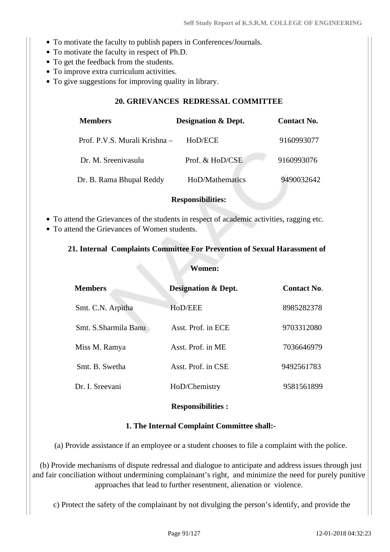- To motivate the faculty to publish papers in Conferences/Journals.
- To motivate the faculty in respect of Ph.D.
- To get the feedback from the students.
- To improve extra curriculum activities.
- To give suggestions for improving quality in library.

#### **20. GRIEVANCES REDRESSAL COMMITTEE**

| <b>Members</b>                | <b>Designation &amp; Dept.</b> | <b>Contact No.</b> |
|-------------------------------|--------------------------------|--------------------|
| Prof. P.V.S. Murali Krishna – | HoD/ECE                        | 9160993077         |
| Dr. M. Sreenivasulu           | Prof. & HoD/CSE                | 9160993076         |
| Dr. B. Rama Bhupal Reddy      | HoD/Mathematics                | 9490032642         |

#### **Responsibilities:**

To attend the Grievances of the students in respect of academic activities, ragging etc.

• To attend the Grievances of Women students.

#### **21. Internal Complaints Committee For Prevention of Sexual Harassment of**

#### **Women:**

| <b>Members</b>       | <b>Designation &amp; Dept.</b> | <b>Contact No.</b> |
|----------------------|--------------------------------|--------------------|
| Smt. C.N. Arpitha    | HoD/EEE                        | 8985282378         |
| Smt. S.Sharmila Banu | Asst. Prof. in ECE             | 9703312080         |
| Miss M. Ramya        | Asst. Prof. in ME              | 7036646979         |
| Smt. B. Swetha       | Asst. Prof. in CSE             | 9492561783         |
| Dr. I. Sreevani      | HoD/Chemistry                  | 9581561899         |
|                      |                                |                    |

#### **Responsibilities :**

#### **1. The Internal Complaint Committee shall:-**

(a) Provide assistance if an employee or a student chooses to file a complaint with the police.

 (b) Provide mechanisms of dispute redressal and dialogue to anticipate and address issues through just and fair conciliation without undermining complainant's right, and minimize the need for purely punitive approaches that lead to further resentment, alienation or violence.

c) Protect the safety of the complainant by not divulging the person's identify, and provide the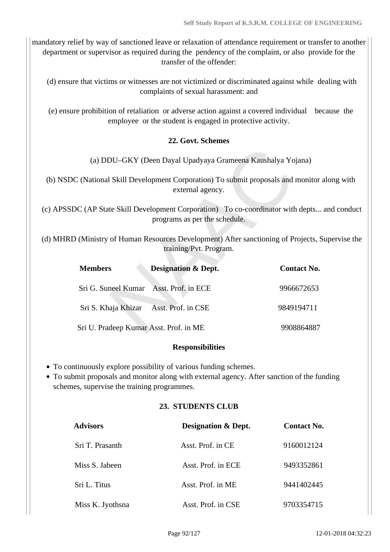mandatory relief by way of sanctioned leave or relaxation of attendance requirement or transfer to another department or supervisor as required during the pendency of the complaint, or also provide for the transfer of the offender:

 (d) ensure that victims or witnesses are not victimized or discriminated against while dealing with complaints of sexual harassment: and

 (e) ensure prohibition of retaliation or adverse action against a covered individual because the employee or the student is engaged in protective activity.

## **22. Govt. Schemes**

(a) DDU–GKY (Deen Dayal Upadyaya Grameena Kaushalya Yojana)

 (b) NSDC (National Skill Development Corporation) To submit proposals and monitor along with external agency.

 (c) APSSDC (AP State Skill Development Corporation) To co-coordinator with depts... and conduct programs as per the schedule.

 (d) MHRD (Ministry of Human Resources Development) After sanctioning of Projects, Supervise the training/Pvt. Program.

| <b>Members</b>                         | <b>Designation &amp; Dept.</b> | <b>Contact No.</b> |
|----------------------------------------|--------------------------------|--------------------|
| Sri G. Suneel Kumar Asst. Prof. in ECE |                                | 9966672653         |
| Sri S. Khaja Khizar Asst. Prof. in CSE |                                | 9849194711         |
| Sri U. Pradeep Kumar Asst. Prof. in ME |                                | 9908864887         |

#### **Responsibilities**

- To continuously explore possibility of various funding schemes.
- To submit proposals and monitor along with external agency. After sanction of the funding schemes, supervise the training programmes.

## **23. STUDENTS CLUB**

| <b>Advisors</b>  | <b>Designation &amp; Dept.</b> | <b>Contact No.</b> |
|------------------|--------------------------------|--------------------|
| Sri T. Prasanth  | Asst. Prof. in CE              | 9160012124         |
| Miss S. Jabeen   | Asst. Prof. in ECE             | 9493352861         |
| Sri L. Titus     | Asst. Prof. in ME              | 9441402445         |
| Miss K. Jyothsna | Asst. Prof. in CSE             | 9703354715         |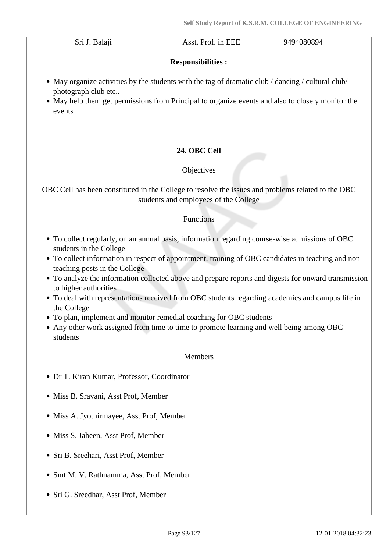Sri J. Balaji Asst. Prof. in EEE 9494080894

#### **Responsibilities :**

- May organize activities by the students with the tag of dramatic club / dancing / cultural club/ photograph club etc..
- May help them get permissions from Principal to organize events and also to closely monitor the events

## **24. OBC Cell**

## **Objectives**

OBC Cell has been constituted in the College to resolve the issues and problems related to the OBC students and employees of the College

#### Functions

- To collect regularly, on an annual basis, information regarding course-wise admissions of OBC students in the College
- To collect information in respect of appointment, training of OBC candidates in teaching and nonteaching posts in the College
- To analyze the information collected above and prepare reports and digests for onward transmission to higher authorities
- To deal with representations received from OBC students regarding academics and campus life in the College
- To plan, implement and monitor remedial coaching for OBC students
- Any other work assigned from time to time to promote learning and well being among OBC students

## Members

- Dr T. Kiran Kumar, Professor, Coordinator
- Miss B. Sravani, Asst Prof, Member
- Miss A. Jyothirmayee, Asst Prof, Member
- Miss S. Jabeen, Asst Prof, Member
- Sri B. Sreehari, Asst Prof, Member
- Smt M. V. Rathnamma, Asst Prof, Member
- Sri G. Sreedhar, Asst Prof, Member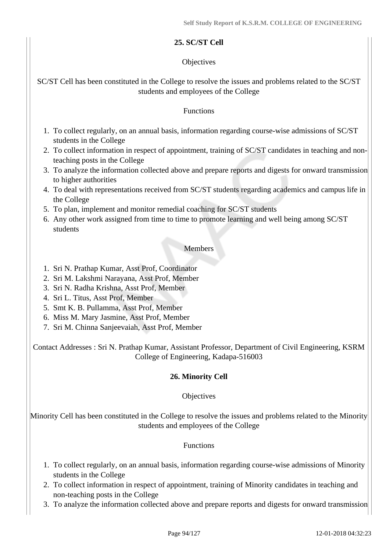## **25. SC/ST Cell**

#### **Objectives**

SC/ST Cell has been constituted in the College to resolve the issues and problems related to the SC/ST students and employees of the College

#### Functions

- 1. To collect regularly, on an annual basis, information regarding course-wise admissions of SC/ST students in the College
- 2. To collect information in respect of appointment, training of SC/ST candidates in teaching and nonteaching posts in the College
- 3. To analyze the information collected above and prepare reports and digests for onward transmission to higher authorities
- 4. To deal with representations received from SC/ST students regarding academics and campus life in the College
- 5. To plan, implement and monitor remedial coaching for SC/ST students
- 6. Any other work assigned from time to time to promote learning and well being among SC/ST students

#### Members

- 1. Sri N. Prathap Kumar, Asst Prof, Coordinator
- 2. Sri M. Lakshmi Narayana, Asst Prof, Member
- 3. Sri N. Radha Krishna, Asst Prof, Member
- 4. Sri L. Titus, Asst Prof, Member
- 5. Smt K. B. Pullamma, Asst Prof, Member
- 6. Miss M. Mary Jasmine, Asst Prof, Member
- 7. Sri M. Chinna Sanjeevaiah, Asst Prof, Member

Contact Addresses : Sri N. Prathap Kumar, Assistant Professor, Department of Civil Engineering, KSRM College of Engineering, Kadapa-516003

## **26. Minority Cell**

#### **Objectives**

Minority Cell has been constituted in the College to resolve the issues and problems related to the Minority students and employees of the College

## Functions

- 1. To collect regularly, on an annual basis, information regarding course-wise admissions of Minority students in the College
- 2. To collect information in respect of appointment, training of Minority candidates in teaching and non-teaching posts in the College
- 3. To analyze the information collected above and prepare reports and digests for onward transmission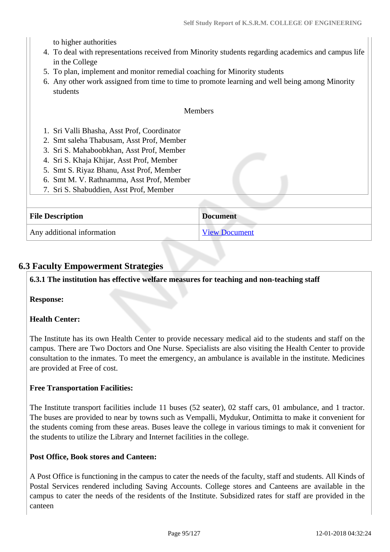to higher authorities

- 4. To deal with representations received from Minority students regarding academics and campus life in the College
- 5. To plan, implement and monitor remedial coaching for Minority students
- 6. Any other work assigned from time to time to promote learning and well being among Minority students

|                                                                                                                                                                                                                                                                                                                        | <b>Members</b>       |
|------------------------------------------------------------------------------------------------------------------------------------------------------------------------------------------------------------------------------------------------------------------------------------------------------------------------|----------------------|
| 1. Sri Valli Bhasha, Asst Prof, Coordinator<br>2. Smt saleha Thabusam, Asst Prof, Member<br>3. Sri S. Mahaboobkhan, Asst Prof, Member<br>4. Sri S. Khaja Khijar, Asst Prof, Member<br>5. Smt S. Riyaz Bhanu, Asst Prof, Member<br>6. Smt M. V. Rathnamma, Asst Prof, Member<br>7. Sri S. Shabuddien, Asst Prof, Member |                      |
| <b>File Description</b>                                                                                                                                                                                                                                                                                                | <b>Document</b>      |
| Any additional information                                                                                                                                                                                                                                                                                             | <b>View Document</b> |

## **6.3 Faculty Empowerment Strategies**

**6.3.1 The institution has effective welfare measures for teaching and non-teaching staff**

## **Response:**

## **Health Center:**

The Institute has its own Health Center to provide necessary medical aid to the students and staff on the campus. There are Two Doctors and One Nurse. Specialists are also visiting the Health Center to provide consultation to the inmates. To meet the emergency, an ambulance is available in the institute. Medicines are provided at Free of cost.

## **Free Transportation Facilities:**

The Institute transport facilities include 11 buses (52 seater), 02 staff cars, 01 ambulance, and 1 tractor. The buses are provided to near by towns such as Vempalli, Mydukur, Ontimitta to make it convenient for the students coming from these areas. Buses leave the college in various timings to mak it convenient for the students to utilize the Library and Internet facilities in the college.

## **Post Office, Book stores and Canteen:**

A Post Office is functioning in the campus to cater the needs of the faculty, staff and students. All Kinds of Postal Services rendered including Saving Accounts. College stores and Canteens are available in the campus to cater the needs of the residents of the Institute. Subsidized rates for staff are provided in the canteen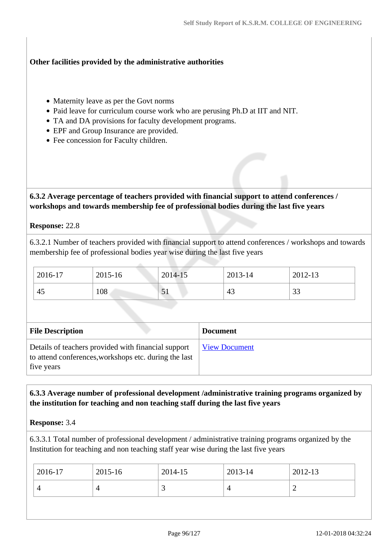## **Other facilities provided by the administrative authorities**

- Maternity leave as per the Govt norms
- Paid leave for curriculum course work who are perusing Ph.D at IIT and NIT.
- TA and DA provisions for faculty development programs.
- EPF and Group Insurance are provided.
- Fee concession for Faculty children.

## **6.3.2 Average percentage of teachers provided with financial support to attend conferences / workshops and towards membership fee of professional bodies during the last five years**

#### **Response:** 22.8

6.3.2.1 Number of teachers provided with financial support to attend conferences / workshops and towards membership fee of professional bodies year wise during the last five years

| 2016-17 | 2015-16 | 2014-15 | 2013-14 | 2012-13 |
|---------|---------|---------|---------|---------|
| 45      | 108     | IJΙ     | 43      | 33      |

| <b>File Description</b>                                                                                                    | <b>Document</b>      |
|----------------------------------------------------------------------------------------------------------------------------|----------------------|
| Details of teachers provided with financial support<br>to attend conferences, workshops etc. during the last<br>five years | <b>View Document</b> |

## **6.3.3 Average number of professional development /administrative training programs organized by the institution for teaching and non teaching staff during the last five years**

**Response:** 3.4

6.3.3.1 Total number of professional development / administrative training programs organized by the Institution for teaching and non teaching staff year wise during the last five years

|        | 2016-17 | 2015-16 | 2014-15 | 2013-14 | 2012-13 |
|--------|---------|---------|---------|---------|---------|
| ت<br>∼ |         |         |         |         |         |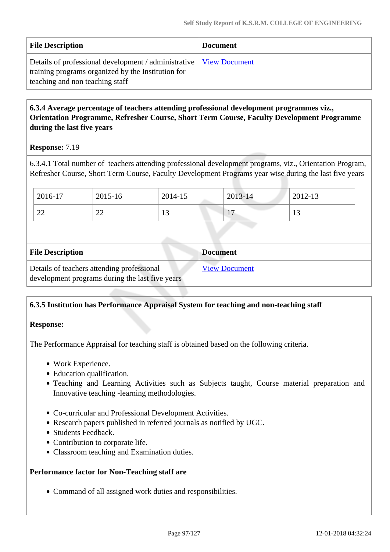| <b>File Description</b>                                                                                                                                       | <b>Document</b> |
|---------------------------------------------------------------------------------------------------------------------------------------------------------------|-----------------|
| Details of professional development / administrative   View Document<br>training programs organized by the Institution for<br>teaching and non teaching staff |                 |

## **6.3.4 Average percentage of teachers attending professional development programmes viz., Orientation Programme, Refresher Course, Short Term Course, Faculty Development Programme during the last five years**

## **Response:** 7.19

6.3.4.1 Total number of teachers attending professional development programs, viz., Orientation Program, Refresher Course, Short Term Course, Faculty Development Programs year wise during the last five years

| 2016-17                            | 2015-16      | 2014-15    | 2013-14      | 2012-13 |
|------------------------------------|--------------|------------|--------------|---------|
| $\cap$<br>$\overline{\phantom{a}}$ | $\sim$<br>∠∠ | $\sqrt{2}$ | $\mathbf{I}$ | ⊥ J     |

| <b>File Description</b>                                                                       | <b>Document</b>      |
|-----------------------------------------------------------------------------------------------|----------------------|
| Details of teachers attending professional<br>development programs during the last five years | <b>View Document</b> |

## **6.3.5 Institution has Performance Appraisal System for teaching and non-teaching staff**

## **Response:**

The Performance Appraisal for teaching staff is obtained based on the following criteria.

- Work Experience.
- Education qualification.
- Teaching and Learning Activities such as Subjects taught, Course material preparation and Innovative teaching -learning methodologies.
- Co-curricular and Professional Development Activities.
- Research papers published in referred journals as notified by UGC.
- Students Feedback.
- Contribution to corporate life.
- Classroom teaching and Examination duties.

## **Performance factor for Non-Teaching staff are**

• Command of all assigned work duties and responsibilities.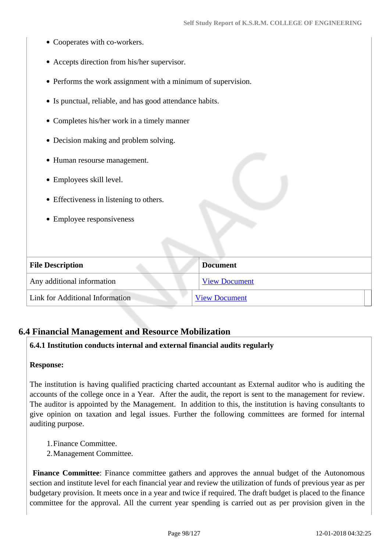- Cooperates with co-workers.
- Accepts direction from his/her supervisor.
- Performs the work assignment with a minimum of supervision.
- Is punctual, reliable, and has good attendance habits.
- Completes his/her work in a timely manner
- Decision making and problem solving.
- Human resourse management.
- Employees skill level.
- Effectiveness in listening to others.
- Employee responsiveness

| <b>File Description</b>         | <b>Document</b>      |
|---------------------------------|----------------------|
| Any additional information      | <b>View Document</b> |
| Link for Additional Information | <b>View Document</b> |

## **6.4 Financial Management and Resource Mobilization**

#### **6.4.1 Institution conducts internal and external financial audits regularly**

#### **Response:**

The institution is having qualified practicing charted accountant as External auditor who is auditing the accounts of the college once in a Year. After the audit, the report is sent to the management for review. The auditor is appointed by the Management. In addition to this, the institution is having consultants to give opinion on taxation and legal issues. Further the following committees are formed for internal auditing purpose.

- 1.Finance Committee.
- 2.Management Committee.

 **Finance Committee**: Finance committee gathers and approves the annual budget of the Autonomous section and institute level for each financial year and review the utilization of funds of previous year as per budgetary provision. It meets once in a year and twice if required. The draft budget is placed to the finance committee for the approval. All the current year spending is carried out as per provision given in the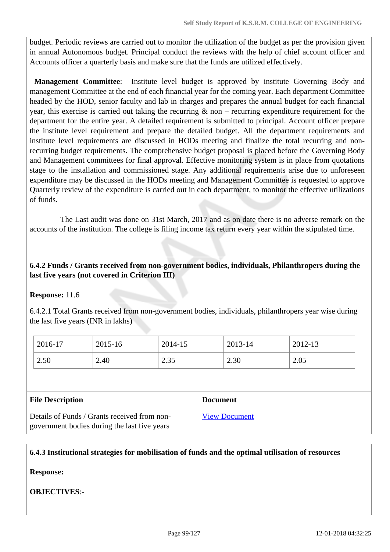budget. Periodic reviews are carried out to monitor the utilization of the budget as per the provision given in annual Autonomous budget. Principal conduct the reviews with the help of chief account officer and Accounts officer a quarterly basis and make sure that the funds are utilized effectively.

**Management Committee**: Institute level budget is approved by institute Governing Body and management Committee at the end of each financial year for the coming year. Each department Committee headed by the HOD, senior faculty and lab in charges and prepares the annual budget for each financial year, this exercise is carried out taking the recurring  $\&$  non – recurring expenditure requirement for the department for the entire year. A detailed requirement is submitted to principal. Account officer prepare the institute level requirement and prepare the detailed budget. All the department requirements and institute level requirements are discussed in HODs meeting and finalize the total recurring and nonrecurring budget requirements. The comprehensive budget proposal is placed before the Governing Body and Management committees for final approval. Effective monitoring system is in place from quotations stage to the installation and commissioned stage. Any additional requirements arise due to unforeseen expenditure may be discussed in the HODs meeting and Management Committee is requested to approve Quarterly review of the expenditure is carried out in each department, to monitor the effective utilizations of funds.

 The Last audit was done on 31st March, 2017 and as on date there is no adverse remark on the accounts of the institution. The college is filing income tax return every year within the stipulated time.

## **6.4.2 Funds / Grants received from non-government bodies, individuals, Philanthropers during the last five years (not covered in Criterion III)**

#### **Response:** 11.6

6.4.2.1 Total Grants received from non-government bodies, individuals, philanthropers year wise during the last five years (INR in lakhs)

| 2016-17 | 2015-16 | 2014-15      | 2013-14 | 2012-13 |
|---------|---------|--------------|---------|---------|
| 2.50    | 2.40    | つ 35<br>ں ب∡ | 2.30    | 2.05    |

| <b>File Description</b>                                                                      | <b>Document</b>      |
|----------------------------------------------------------------------------------------------|----------------------|
| Details of Funds / Grants received from non-<br>government bodies during the last five years | <b>View Document</b> |

## **6.4.3 Institutional strategies for mobilisation of funds and the optimal utilisation of resources**

**Response:** 

**OBJECTIVES**:-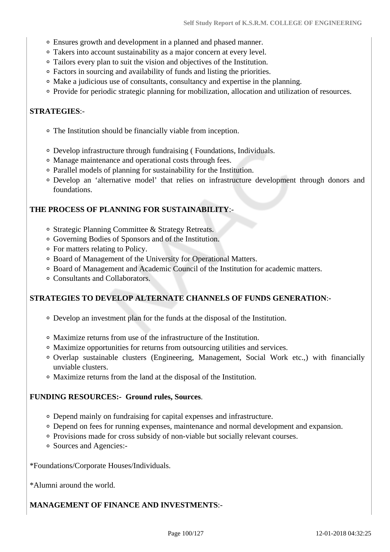- Ensures growth and development in a planned and phased manner.
- Takers into account sustainability as a major concern at every level.
- Tailors every plan to suit the vision and objectives of the Institution.
- Factors in sourcing and availability of funds and listing the priorities.
- Make a judicious use of consultants, consultancy and expertise in the planning.
- Provide for periodic strategic planning for mobilization, allocation and utilization of resources.

#### **STRATEGIES**:-

- The Institution should be financially viable from inception.
- Develop infrastructure through fundraising ( Foundations, Individuals.
- Manage maintenance and operational costs through fees.
- Parallel models of planning for sustainability for the Institution.
- Develop an 'alternative model' that relies on infrastructure development through donors and foundations.

#### **THE PROCESS OF PLANNING FOR SUSTAINABILITY**:-

- Strategic Planning Committee & Strategy Retreats.
- Governing Bodies of Sponsors and of the Institution.
- For matters relating to Policy.
- Board of Management of the University for Operational Matters.
- Board of Management and Academic Council of the Institution for academic matters.
- Consultants and Collaborators.

## **STRATEGIES TO DEVELOP ALTERNATE CHANNELS OF FUNDS GENERATION**:-

- Develop an investment plan for the funds at the disposal of the Institution.
- Maximize returns from use of the infrastructure of the Institution.
- Maximize opportunities for returns from outsourcing utilities and services.
- Overlap sustainable clusters (Engineering, Management, Social Work etc.,) with financially unviable clusters.
- Maximize returns from the land at the disposal of the Institution.

#### **FUNDING RESOURCES:- Ground rules, Sources**.

- Depend mainly on fundraising for capital expenses and infrastructure.
- Depend on fees for running expenses, maintenance and normal development and expansion.
- Provisions made for cross subsidy of non-viable but socially relevant courses.
- Sources and Agencies:-

\*Foundations/Corporate Houses/Individuals.

\*Alumni around the world.

## **MANAGEMENT OF FINANCE AND INVESTMENTS**:-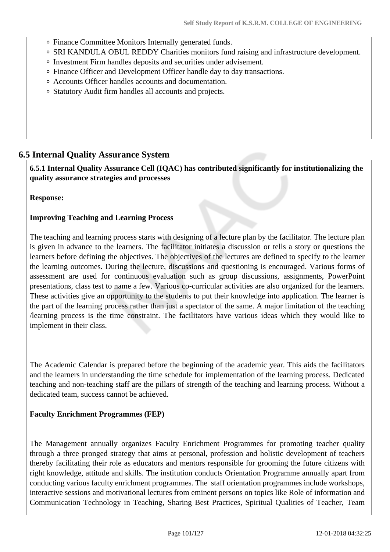- Finance Committee Monitors Internally generated funds.
- o SRI KANDULA OBUL REDDY Charities monitors fund raising and infrastructure development.
- Investment Firm handles deposits and securities under advisement.
- Finance Officer and Development Officer handle day to day transactions.
- Accounts Officer handles accounts and documentation.
- Statutory Audit firm handles all accounts and projects.

## **6.5 Internal Quality Assurance System**

 **6.5.1 Internal Quality Assurance Cell (IQAC) has contributed significantly for institutionalizing the quality assurance strategies and processes**

#### **Response:**

## **Improving Teaching and Learning Process**

The teaching and learning process starts with designing of a lecture plan by the facilitator. The lecture plan is given in advance to the learners. The facilitator initiates a discussion or tells a story or questions the learners before defining the objectives. The objectives of the lectures are defined to specify to the learner the learning outcomes. During the lecture, discussions and questioning is encouraged. Various forms of assessment are used for continuous evaluation such as group discussions, assignments, PowerPoint presentations, class test to name a few. Various co-curricular activities are also organized for the learners. These activities give an opportunity to the students to put their knowledge into application. The learner is the part of the learning process rather than just a spectator of the same. A major limitation of the teaching /learning process is the time constraint. The facilitators have various ideas which they would like to implement in their class.

The Academic Calendar is prepared before the beginning of the academic year. This aids the facilitators and the learners in understanding the time schedule for implementation of the learning process. Dedicated teaching and non-teaching staff are the pillars of strength of the teaching and learning process. Without a dedicated team, success cannot be achieved.

## **Faculty Enrichment Programmes (FEP)**

The Management annually organizes Faculty Enrichment Programmes for promoting teacher quality through a three pronged strategy that aims at personal, profession and holistic development of teachers thereby facilitating their role as educators and mentors responsible for grooming the future citizens with right knowledge, attitude and skills. The institution conducts Orientation Programme annually apart from conducting various faculty enrichment programmes. The staff orientation programmes include workshops, interactive sessions and motivational lectures from eminent persons on topics like Role of information and Communication Technology in Teaching, Sharing Best Practices, Spiritual Qualities of Teacher, Team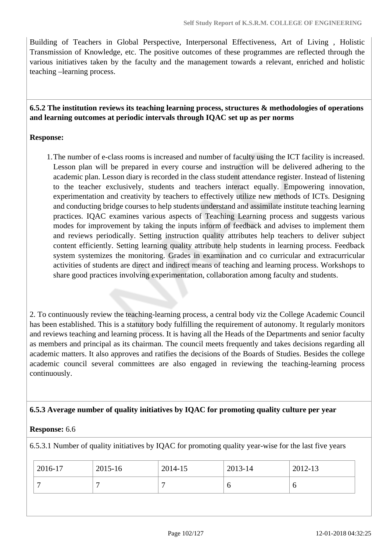Building of Teachers in Global Perspective, Interpersonal Effectiveness, Art of Living , Holistic Transmission of Knowledge, etc. The positive outcomes of these programmes are reflected through the various initiatives taken by the faculty and the management towards a relevant, enriched and holistic teaching –learning process.

## **6.5.2 The institution reviews its teaching learning process, structures & methodologies of operations and learning outcomes at periodic intervals through IQAC set up as per norms**

#### **Response:**

1.The number of e-class rooms is increased and number of faculty using the ICT facility is increased. Lesson plan will be prepared in every course and instruction will be delivered adhering to the academic plan. Lesson diary is recorded in the class student attendance register. Instead of listening to the teacher exclusively, students and teachers interact equally. Empowering innovation, experimentation and creativity by teachers to effectively utilize new methods of ICTs. Designing and conducting bridge courses to help students understand and assimilate institute teaching learning practices. IQAC examines various aspects of Teaching Learning process and suggests various modes for improvement by taking the inputs inform of feedback and advises to implement them and reviews periodically. Setting instruction quality attributes help teachers to deliver subject content efficiently. Setting learning quality attribute help students in learning process. Feedback system systemizes the monitoring. Grades in examination and co curricular and extracurricular activities of students are direct and indirect means of teaching and learning process. Workshops to share good practices involving experimentation, collaboration among faculty and students.

2. To continuously review the teaching-learning process, a central body viz the College Academic Council has been established. This is a statutory body fulfilling the requirement of autonomy. It regularly monitors and reviews teaching and learning process. It is having all the Heads of the Departments and senior faculty as members and principal as its chairman. The council meets frequently and takes decisions regarding all academic matters. It also approves and ratifies the decisions of the Boards of Studies. Besides the college academic council several committees are also engaged in reviewing the teaching-learning process continuously.

## **6.5.3 Average number of quality initiatives by IQAC for promoting quality culture per year**

#### **Response:** 6.6

6.5.3.1 Number of quality initiatives by IQAC for promoting quality year-wise for the last five years

| 2016-17 | 2015-16 | 2014-15 | 2013-14 | 2012-13 |
|---------|---------|---------|---------|---------|
|         |         |         | ◡       |         |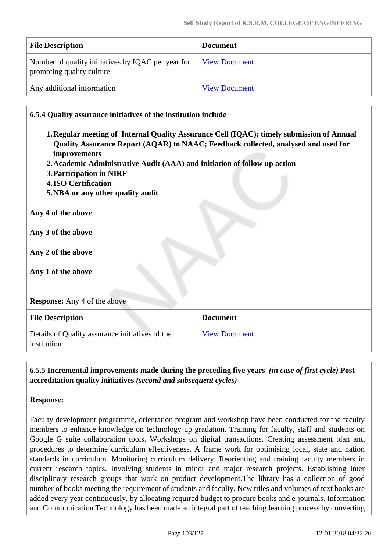| <b>File Description</b>                                                         | <b>Document</b>      |
|---------------------------------------------------------------------------------|----------------------|
| Number of quality initiatives by IQAC per year for<br>promoting quality culture | <b>View Document</b> |
| Any additional information                                                      | <b>View Document</b> |

| 6.5.4 Quality assurance initiatives of the institution include            |                                                                                                                                                                                 |
|---------------------------------------------------------------------------|---------------------------------------------------------------------------------------------------------------------------------------------------------------------------------|
| improvements                                                              | 1. Regular meeting of Internal Quality Assurance Cell (IQAC); timely submission of Annual<br>Quality Assurance Report (AQAR) to NAAC; Feedback collected, analysed and used for |
| 2. Academic Administrative Audit (AAA) and initiation of follow up action |                                                                                                                                                                                 |
| 3. Participation in NIRF                                                  |                                                                                                                                                                                 |
| <b>4.ISO Certification</b>                                                |                                                                                                                                                                                 |
| 5. NBA or any other quality audit                                         |                                                                                                                                                                                 |
| Any 4 of the above                                                        |                                                                                                                                                                                 |
| Any 3 of the above                                                        |                                                                                                                                                                                 |
| Any 2 of the above                                                        |                                                                                                                                                                                 |
| Any 1 of the above                                                        |                                                                                                                                                                                 |
| <b>Response:</b> Any 4 of the above                                       |                                                                                                                                                                                 |
| <b>File Description</b>                                                   | <b>Document</b>                                                                                                                                                                 |
| Details of Quality assurance initiatives of the<br>institution            | <b>View Document</b>                                                                                                                                                            |

## **6.5.5 Incremental improvements made during the preceding five years** *(in case of first cycle)* **Post accreditation quality initiatives** *(second and subsequent cycles)*

## **Response:**

Faculty development programme, orientation program and workshop have been conducted for the faculty members to enhance knowledge on technology up gradation. Training for faculty, staff and students on Google G suite collaboration tools. Workshops on digital transactions. Creating assessment plan and procedures to determine curriculum effectiveness. A frame work for optimising local, state and nation standards in curriculum. Monitoring curriculum delivery. Reorienting and training faculty members in current research topics. Involving students in minor and major research projects. Establishing inter disciplinary research groups that work on product development.The library has a collection of good number of books meeting the requirement of students and faculty. New titles and volumes of text books are added every year continuously, by allocating required budget to procure books and e-journals. Information and Communication Technology has been made an integral part of teaching learning process by converting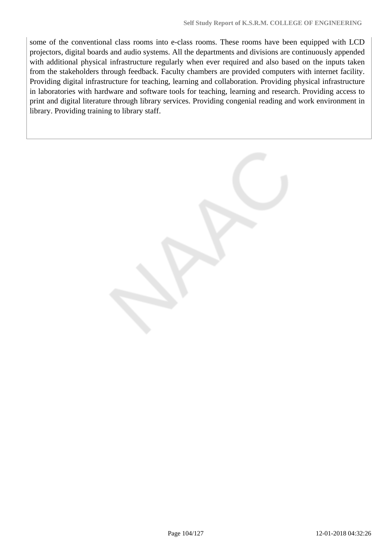some of the conventional class rooms into e-class rooms. These rooms have been equipped with LCD projectors, digital boards and audio systems. All the departments and divisions are continuously appended with additional physical infrastructure regularly when ever required and also based on the inputs taken from the stakeholders through feedback. Faculty chambers are provided computers with internet facility. Providing digital infrastructure for teaching, learning and collaboration. Providing physical infrastructure in laboratories with hardware and software tools for teaching, learning and research. Providing access to print and digital literature through library services. Providing congenial reading and work environment in library. Providing training to library staff.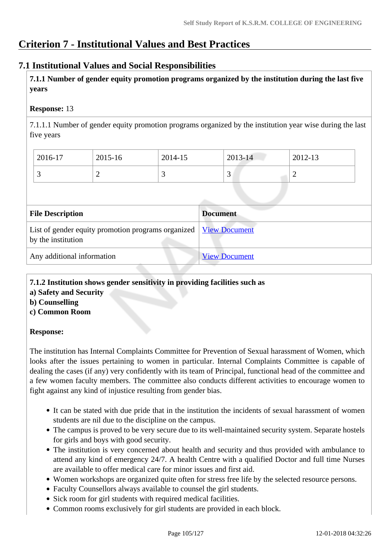# **Criterion 7 - Institutional Values and Best Practices**

## **7.1 Institutional Values and Social Responsibilities**

 **7.1.1 Number of gender equity promotion programs organized by the institution during the last five years** 

## **Response:** 13

7.1.1.1 Number of gender equity promotion programs organized by the institution year wise during the last five years

| 2016-17 | 2015-16 | 2014-15                  | $2013 - 14$ | 2012-13 |
|---------|---------|--------------------------|-------------|---------|
|         | -       | $\overline{\phantom{0}}$ |             |         |

| <b>File Description</b>                                                                  | <b>Document</b>      |
|------------------------------------------------------------------------------------------|----------------------|
| List of gender equity promotion programs organized   View Document<br>by the institution |                      |
| Any additional information                                                               | <b>View Document</b> |

## **7.1.2 Institution shows gender sensitivity in providing facilities such as**

- **a) Safety and Security**
- **b) Counselling**
- **c) Common Room**

## **Response:**

The institution has Internal Complaints Committee for Prevention of Sexual harassment of Women, which looks after the issues pertaining to women in particular. Internal Complaints Committee is capable of dealing the cases (if any) very confidently with its team of Principal, functional head of the committee and a few women faculty members. The committee also conducts different activities to encourage women to fight against any kind of injustice resulting from gender bias.

- It can be stated with due pride that in the institution the incidents of sexual harassment of women students are nil due to the discipline on the campus.
- The campus is proved to be very secure due to its well-maintained security system. Separate hostels for girls and boys with good security.
- The institution is very concerned about health and security and thus provided with ambulance to attend any kind of emergency 24/7. A health Centre with a qualified Doctor and full time Nurses are available to offer medical care for minor issues and first aid.
- Women workshops are organized quite often for stress free life by the selected resource persons.
- Faculty Counsellors always available to counsel the girl students.
- Sick room for girl students with required medical facilities.
- Common rooms exclusively for girl students are provided in each block.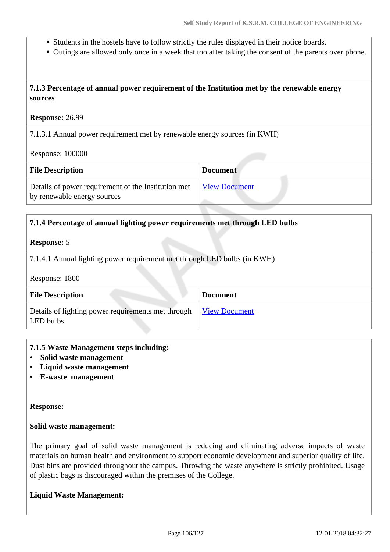- Students in the hostels have to follow strictly the rules displayed in their notice boards.
- Outings are allowed only once in a week that too after taking the consent of the parents over phone.

## **7.1.3 Percentage of annual power requirement of the Institution met by the renewable energy sources**

#### **Response:** 26.99

7.1.3.1 Annual power requirement met by renewable energy sources (in KWH)

#### Response: 100000

| <b>File Description</b>                                                            | <b>Document</b>      |
|------------------------------------------------------------------------------------|----------------------|
| Details of power requirement of the Institution met<br>by renewable energy sources | <b>View Document</b> |

#### **7.1.4 Percentage of annual lighting power requirements met through LED bulbs**

#### **Response:** 5

7.1.4.1 Annual lighting power requirement met through LED bulbs (in KWH)

Response: 1800

| <b>File Description</b>                                         | <b>Document</b>      |
|-----------------------------------------------------------------|----------------------|
| Details of lighting power requirements met through<br>LED bulbs | <b>View Document</b> |

#### **7.1.5 Waste Management steps including:**

- **Solid waste management**
- **Liquid waste management**
- **E-waste management**

**Response:** 

#### **Solid waste management:**

The primary goal of solid waste management is reducing and eliminating adverse impacts of waste materials on human health and environment to support economic development and superior quality of life. Dust bins are provided throughout the campus. Throwing the waste anywhere is strictly prohibited. Usage of plastic bags is discouraged within the premises of the College.

#### **Liquid Waste Management:**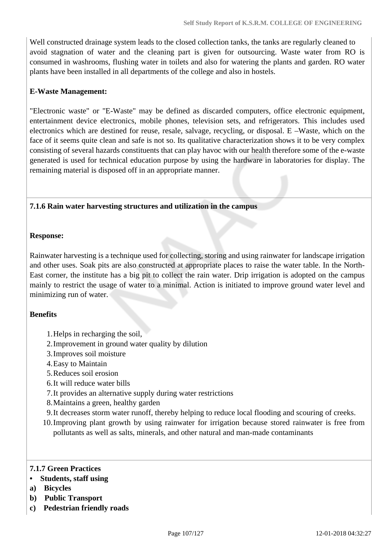Well constructed drainage system leads to the closed collection tanks, the tanks are regularly cleaned to avoid stagnation of water and the cleaning part is given for outsourcing. Waste water from RO is consumed in washrooms, flushing water in toilets and also for watering the plants and garden. RO water plants have been installed in all departments of the college and also in hostels.

## **E-Waste Management:**

"Electronic waste" or "E-Waste" may be defined as discarded computers, office electronic equipment, entertainment device electronics, mobile phones, television sets, and refrigerators. This includes used electronics which are destined for reuse, resale, salvage, recycling, or disposal. E –Waste, which on the face of it seems quite clean and safe is not so. Its qualitative characterization shows it to be very complex consisting of several hazards constituents that can play havoc with our health therefore some of the e-waste generated is used for technical education purpose by using the hardware in laboratories for display. The remaining material is disposed off in an appropriate manner.

## **7.1.6 Rain water harvesting structures and utilization in the campus**

#### **Response:**

Rainwater harvesting is a technique used for collecting, storing and using rainwater for landscape irrigation and other uses. Soak pits are also constructed at appropriate places to raise the water table. In the North-East corner, the institute has a big pit to collect the rain water. Drip irrigation is adopted on the campus mainly to restrict the usage of water to a minimal. Action is initiated to improve ground water level and minimizing run of water.

#### **Benefits**

- 1.Helps in recharging the soil,
- 2.Improvement in ground water quality by dilution
- 3.Improves soil moisture
- 4.Easy to Maintain
- 5.Reduces soil erosion
- 6.It will reduce water bills
- 7.It provides an alternative supply during water restrictions
- 8.Maintains a green, healthy garden
- 9.It decreases storm water runoff, thereby helping to reduce local flooding and scouring of creeks.
- 10.Improving plant growth by using rainwater for irrigation because stored rainwater is free from pollutants as well as salts, minerals, and other natural and man-made contaminants

#### **7.1.7 Green Practices**

- **Students, staff using**
- **a) Bicycles**
- **b) Public Transport**
- **c) Pedestrian friendly roads**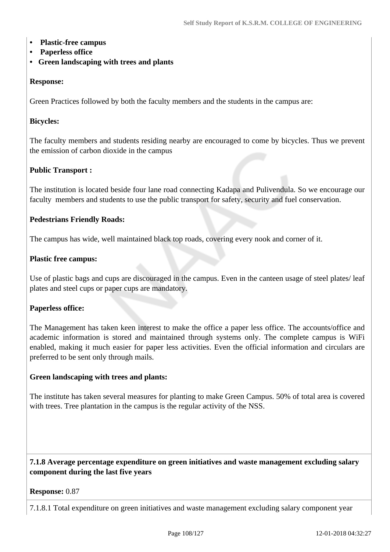#### **• Plastic-free campus**

- **Paperless office**
- **Green landscaping with trees and plants**

#### **Response:**

Green Practices followed by both the faculty members and the students in the campus are:

#### **Bicycles:**

The faculty members and students residing nearby are encouraged to come by bicycles. Thus we prevent the emission of carbon dioxide in the campus

## **Public Transport :**

The institution is located beside four lane road connecting Kadapa and Pulivendula. So we encourage our faculty members and students to use the public transport for safety, security and fuel conservation.

#### **Pedestrians Friendly Roads:**

The campus has wide, well maintained black top roads, covering every nook and corner of it.

#### **Plastic free campus:**

Use of plastic bags and cups are discouraged in the campus. Even in the canteen usage of steel plates/ leaf plates and steel cups or paper cups are mandatory.

## **Paperless office:**

The Management has taken keen interest to make the office a paper less office. The accounts/office and academic information is stored and maintained through systems only. The complete campus is WiFi enabled, making it much easier for paper less activities. Even the official information and circulars are preferred to be sent only through mails.

## **Green landscaping with trees and plants:**

The institute has taken several measures for planting to make Green Campus. 50% of total area is covered with trees. Tree plantation in the campus is the regular activity of the NSS.

## **7.1.8 Average percentage expenditure on green initiatives and waste management excluding salary component during the last five years**

#### **Response:** 0.87

7.1.8.1 Total expenditure on green initiatives and waste management excluding salary component year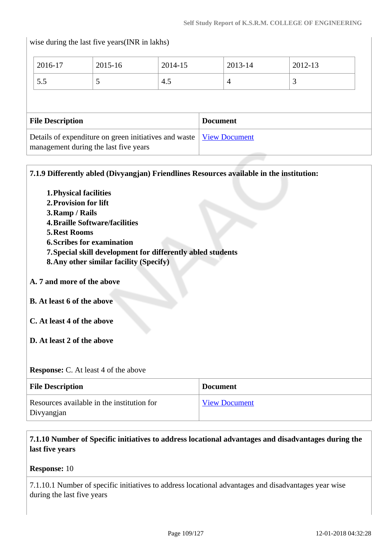|                                                                                                | wise during the last five years (INR in lakhs)                                           |         |                      |  |         |         |  |
|------------------------------------------------------------------------------------------------|------------------------------------------------------------------------------------------|---------|----------------------|--|---------|---------|--|
|                                                                                                | 2016-17                                                                                  | 2015-16 | 2014-15              |  | 2013-14 | 2012-13 |  |
|                                                                                                | 5.5                                                                                      | 5       | 4.5                  |  | 4       | 3       |  |
|                                                                                                |                                                                                          |         |                      |  |         |         |  |
|                                                                                                | <b>File Description</b><br><b>Document</b>                                               |         |                      |  |         |         |  |
| Details of expenditure on green initiatives and waste<br>management during the last five years |                                                                                          |         | <b>View Document</b> |  |         |         |  |
|                                                                                                |                                                                                          |         |                      |  |         |         |  |
|                                                                                                | 7.1.9 Differently abled (Divyangjan) Friendlines Resources available in the institution: |         |                      |  |         |         |  |

| <b>1. Physical facilities</b>                               |    |  |  |
|-------------------------------------------------------------|----|--|--|
| 2. Provision for lift                                       |    |  |  |
| 3. Ramp / Rails                                             |    |  |  |
| <b>4. Braille Software/facilities</b>                       |    |  |  |
| <b>5. Rest Rooms</b>                                        |    |  |  |
| <b>6. Scribes for examination</b>                           |    |  |  |
| 7. Special skill development for differently abled students |    |  |  |
| <b>8. Any other similar facility (Specify)</b>              |    |  |  |
|                                                             |    |  |  |
| A. 7 and more of the above                                  |    |  |  |
|                                                             |    |  |  |
| <b>B.</b> At least 6 of the above                           |    |  |  |
|                                                             |    |  |  |
| C. At least 4 of the above                                  |    |  |  |
|                                                             |    |  |  |
| D. At least 2 of the above                                  |    |  |  |
|                                                             |    |  |  |
|                                                             |    |  |  |
| <b>Response:</b> C. At least 4 of the above                 |    |  |  |
| $E_{11}$ $E_{22}$ $E_{33}$                                  | n. |  |  |

| <b>File Description</b>                                  | <b>Document</b>      |
|----------------------------------------------------------|----------------------|
| Resources available in the institution for<br>Divyangjan | <b>View Document</b> |

# **7.1.10 Number of Specific initiatives to address locational advantages and disadvantages during the last five years**

**Response:** 10

7.1.10.1 Number of specific initiatives to address locational advantages and disadvantages year wise during the last five years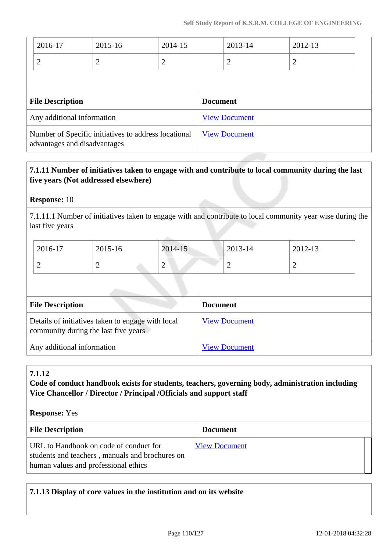| File Decerintion |         |         | Dogumant |             |  |
|------------------|---------|---------|----------|-------------|--|
|                  |         |         |          |             |  |
|                  |         |         |          |             |  |
|                  | ∽       |         |          | 2           |  |
| 2016-17          | 2015-16 | 2014-15 | 2013-14  | $2012 - 13$ |  |

| <b>File Description</b>                                                              | <b>Document</b>             |
|--------------------------------------------------------------------------------------|-----------------------------|
| Any additional information                                                           | <b>View Document</b>        |
| Number of Specific initiatives to address locational<br>advantages and disadvantages | <u><b>View Document</b></u> |

# **7.1.11 Number of initiatives taken to engage with and contribute to local community during the last five years (Not addressed elsewhere)**

#### **Response:** 10

7.1.11.1 Number of initiatives taken to engage with and contribute to local community year wise during the last five years

| 2016-17 | 2015-16 | 2014-15 | 2013-14 | 2012-13 |
|---------|---------|---------|---------|---------|
| ∼       | ∽       | ∼       |         |         |

| <b>File Description</b>                                                                   | <b>Document</b>      |
|-------------------------------------------------------------------------------------------|----------------------|
| Details of initiatives taken to engage with local<br>community during the last five years | <b>View Document</b> |
| Any additional information                                                                | <b>View Document</b> |

# **7.1.12**

**Code of conduct handbook exists for students, teachers, governing body, administration including Vice Chancellor / Director / Principal /Officials and support staff**

#### **Response:** Yes

| <b>File Description</b>                                                                                                           | <b>Document</b>      |
|-----------------------------------------------------------------------------------------------------------------------------------|----------------------|
| URL to Handbook on code of conduct for<br>students and teachers, manuals and brochures on<br>human values and professional ethics | <b>View Document</b> |

#### **7.1.13 Display of core values in the institution and on its website**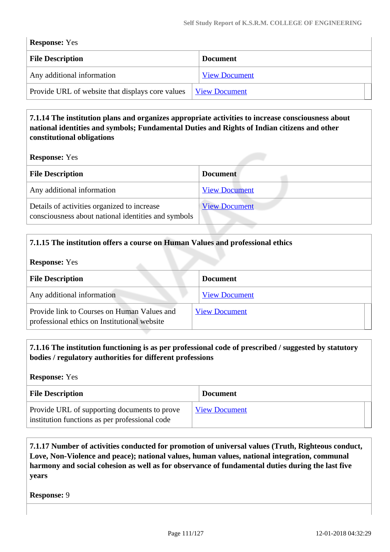| <b>Response:</b> Yes                             |                      |  |
|--------------------------------------------------|----------------------|--|
| <b>File Description</b>                          | <b>Document</b>      |  |
| Any additional information                       | <b>View Document</b> |  |
| Provide URL of website that displays core values | <b>View Document</b> |  |

## **7.1.14 The institution plans and organizes appropriate activities to increase consciousness about national identities and symbols; Fundamental Duties and Rights of Indian citizens and other constitutional obligations**

**Response:** Yes

| <b>Document</b>      |
|----------------------|
| <b>View Document</b> |
| <b>View Document</b> |
|                      |

#### **7.1.15 The institution offers a course on Human Values and professional ethics**

| <b>Response:</b> Yes                                                                        |                      |
|---------------------------------------------------------------------------------------------|----------------------|
| <b>File Description</b>                                                                     | <b>Document</b>      |
| Any additional information                                                                  | <b>View Document</b> |
| Provide link to Courses on Human Values and<br>professional ethics on Institutional website | <b>View Document</b> |

#### **7.1.16 The institution functioning is as per professional code of prescribed / suggested by statutory bodies / regulatory authorities for different professions**

| <b>Response:</b> Yes                                                                           |                      |  |  |
|------------------------------------------------------------------------------------------------|----------------------|--|--|
| <b>File Description</b>                                                                        | <b>Document</b>      |  |  |
| Provide URL of supporting documents to prove<br>institution functions as per professional code | <b>View Document</b> |  |  |

 **7.1.17 Number of activities conducted for promotion of universal values (Truth, Righteous conduct, Love, Non-Violence and peace); national values, human values, national integration, communal harmony and social cohesion as well as for observance of fundamental duties during the last five years**

**Response:** 9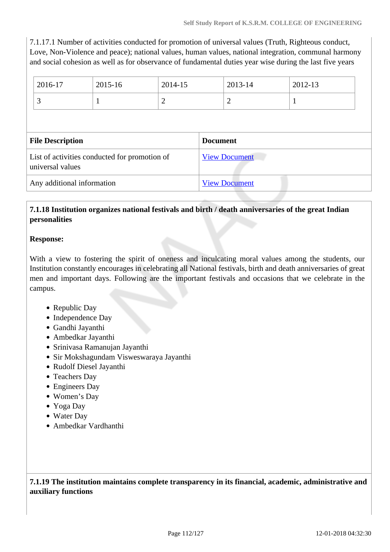7.1.17.1 Number of activities conducted for promotion of universal values (Truth, Righteous conduct, Love, Non-Violence and peace); national values, human values, national integration, communal harmony and social cohesion as well as for observance of fundamental duties year wise during the last five years

| 2016-17                 | 2015-16                                       | 2014-15        |                 | 2013-14              | 2012-13 |  |
|-------------------------|-----------------------------------------------|----------------|-----------------|----------------------|---------|--|
| 3                       |                                               | $\overline{2}$ |                 | 2                    | -1      |  |
|                         |                                               |                |                 |                      |         |  |
| <b>File Description</b> |                                               |                |                 |                      |         |  |
|                         |                                               |                | <b>Document</b> |                      |         |  |
| universal values        | List of activities conducted for promotion of |                |                 | <b>View Document</b> |         |  |

#### **7.1.18 Institution organizes national festivals and birth / death anniversaries of the great Indian personalities**

#### **Response:**

With a view to fostering the spirit of oneness and inculcating moral values among the students, our Institution constantly encourages in celebrating all National festivals, birth and death anniversaries of great men and important days. Following are the important festivals and occasions that we celebrate in the campus.

- Republic Day
- Independence Day
- Gandhi Jayanthi
- Ambedkar Jayanthi
- Srinivasa Ramanujan Jayanthi
- Sir Mokshagundam Visweswaraya Jayanthi
- Rudolf Diesel Jayanthi
- Teachers Day
- Engineers Day
- Women's Day
- Yoga Day
- Water Day
- Ambedkar Vardhanthi

 **7.1.19 The institution maintains complete transparency in its financial, academic, administrative and auxiliary functions**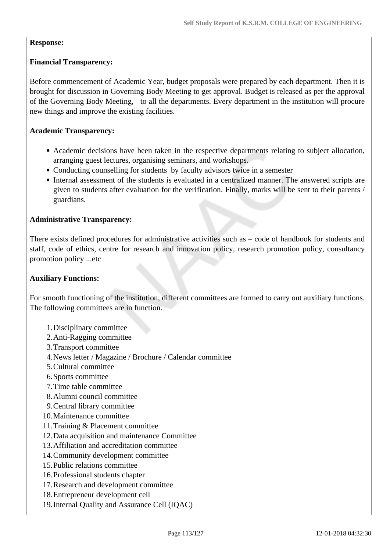#### **Response:**

#### **Financial Transparency:**

Before commencement of Academic Year, budget proposals were prepared by each department. Then it is brought for discussion in Governing Body Meeting to get approval. Budget is released as per the approval of the Governing Body Meeting, to all the departments. Every department in the institution will procure new things and improve the existing facilities.

#### **Academic Transparency:**

- Academic decisions have been taken in the respective departments relating to subject allocation, arranging guest lectures, organising seminars, and workshops.
- Conducting counselling for students by faculty advisors twice in a semester
- Internal assessment of the students is evaluated in a centralized manner. The answered scripts are given to students after evaluation for the verification. Finally, marks will be sent to their parents / guardians.

#### **Administrative Transparency:**

There exists defined procedures for administrative activities such as – code of handbook for students and staff, code of ethics, centre for research and innovation policy, research promotion policy, consultancy promotion policy ...etc

#### **Auxiliary Functions:**

For smooth functioning of the institution, different committees are formed to carry out auxiliary functions. The following committees are in function.

- 1.Disciplinary committee
- 2.Anti-Ragging committee
- 3.Transport committee
- 4.News letter / Magazine / Brochure / Calendar committee
- 5.Cultural committee
- 6.Sports committee
- 7.Time table committee
- 8.Alumni council committee
- 9.Central library committee
- 10.Maintenance committee
- 11.Training & Placement committee
- 12.Data acquisition and maintenance Committee
- 13.Affiliation and accreditation committee
- 14.Community development committee
- 15.Public relations committee
- 16.Professional students chapter
- 17.Research and development committee
- 18.Entrepreneur development cell
- 19.Internal Quality and Assurance Cell (IQAC)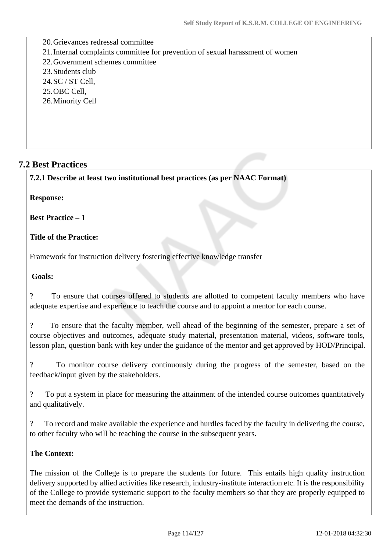20.Grievances redressal committee 21.Internal complaints committee for prevention of sexual harassment of women 22.Government schemes committee 23.Students club 24.SC / ST Cell, 25.OBC Cell, 26.Minority Cell

#### **7.2 Best Practices**

**7.2.1 Describe at least two institutional best practices (as per NAAC Format)**

**Response:** 

**Best Practice – 1**

**Title of the Practice:**

Framework for instruction delivery fostering effective knowledge transfer

#### **Goals:**

? To ensure that courses offered to students are allotted to competent faculty members who have adequate expertise and experience to teach the course and to appoint a mentor for each course.

? To ensure that the faculty member, well ahead of the beginning of the semester, prepare a set of course objectives and outcomes, adequate study material, presentation material, videos, software tools, lesson plan, question bank with key under the guidance of the mentor and get approved by HOD/Principal.

? To monitor course delivery continuously during the progress of the semester, based on the feedback/input given by the stakeholders.

? To put a system in place for measuring the attainment of the intended course outcomes quantitatively and qualitatively.

? To record and make available the experience and hurdles faced by the faculty in delivering the course, to other faculty who will be teaching the course in the subsequent years.

#### **The Context:**

The mission of the College is to prepare the students for future. This entails high quality instruction delivery supported by allied activities like research, industry-institute interaction etc. It is the responsibility of the College to provide systematic support to the faculty members so that they are properly equipped to meet the demands of the instruction.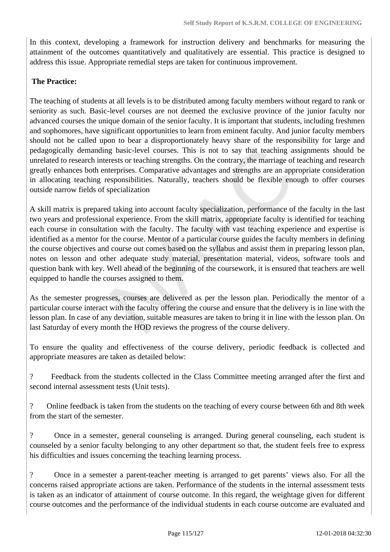In this context, developing a framework for instruction delivery and benchmarks for measuring the attainment of the outcomes quantitatively and qualitatively are essential. This practice is designed to address this issue. Appropriate remedial steps are taken for continuous improvement.

#### **The Practice:**

The teaching of students at all levels is to be distributed among faculty members without regard to rank or seniority as such. Basic-level courses are not deemed the exclusive province of the junior faculty nor advanced courses the unique domain of the senior faculty. It is important that students, including freshmen and sophomores, have significant opportunities to learn from eminent faculty. And junior faculty members should not be called upon to bear a disproportionately heavy share of the responsibility for large and pedagogically demanding basic-level courses. This is not to say that teaching assignments should be unrelated to research interests or teaching strengths. On the contrary, the marriage of teaching and research greatly enhances both enterprises. Comparative advantages and strengths are an appropriate consideration in allocating teaching responsibilities. Naturally, teachers should be flexible enough to offer courses outside narrow fields of specialization

A skill matrix is prepared taking into account faculty specialization, performance of the faculty in the last two years and professional experience. From the skill matrix, appropriate faculty is identified for teaching each course in consultation with the faculty. The faculty with vast teaching experience and expertise is identified as a mentor for the course. Mentor of a particular course guides the faculty members in defining the course objectives and course out comes based on the syllabus and assist them in preparing lesson plan, notes on lesson and other adequate study material, presentation material, videos, software tools and question bank with key. Well ahead of the beginning of the coursework, it is ensured that teachers are well equipped to handle the courses assigned to them.

As the semester progresses, courses are delivered as per the lesson plan. Periodically the mentor of a particular course interact with the faculty offering the course and ensure that the delivery is in line with the lesson plan. In case of any deviation, suitable measures are taken to bring it in line with the lesson plan. On last Saturday of every month the HOD reviews the progress of the course delivery.

To ensure the quality and effectiveness of the course delivery, periodic feedback is collected and appropriate measures are taken as detailed below:

? Feedback from the students collected in the Class Committee meeting arranged after the first and second internal assessment tests (Unit tests).

? Online feedback is taken from the students on the teaching of every course between 6th and 8th week from the start of the semester.

? Once in a semester, general counseling is arranged. During general counseling, each student is counseled by a senior faculty belonging to any other department so that, the student feels free to express his difficulties and issues concerning the teaching learning process.

? Once in a semester a parent-teacher meeting is arranged to get parents' views also. For all the concerns raised appropriate actions are taken. Performance of the students in the internal assessment tests is taken as an indicator of attainment of course outcome. In this regard, the weightage given for different course outcomes and the performance of the individual students in each course outcome are evaluated and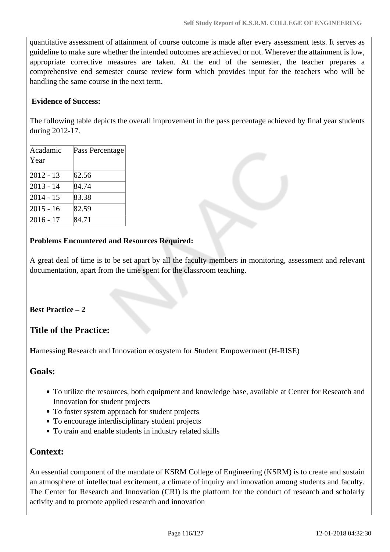quantitative assessment of attainment of course outcome is made after every assessment tests. It serves as guideline to make sure whether the intended outcomes are achieved or not. Wherever the attainment is low, appropriate corrective measures are taken. At the end of the semester, the teacher prepares a comprehensive end semester course review form which provides input for the teachers who will be handling the same course in the next term.

#### **Evidence of Success:**

The following table depicts the overall improvement in the pass percentage achieved by final year students during 2012-17.

| Acadamic<br>Year | Pass Percentage |
|------------------|-----------------|
| 2012 - 13        | 62.56           |
| $2013 - 14$      | 84.74           |
| 2014 - 15        | 83.38           |
| 2015 - 16        | 82.59           |
| 2016 - 17        | 84.71           |
|                  |                 |

#### **Problems Encountered and Resources Required:**

A great deal of time is to be set apart by all the faculty members in monitoring, assessment and relevant documentation, apart from the time spent for the classroom teaching.

#### **Best Practice – 2**

# **Title of the Practice:**

**H**arnessing **R**esearch and **I**nnovation ecosystem for **S**tudent **E**mpowerment (H-RISE)

#### **Goals:**

- To utilize the resources, both equipment and knowledge base, available at Center for Research and Innovation for student projects
- To foster system approach for student projects
- To encourage interdisciplinary student projects
- To train and enable students in industry related skills

# **Context:**

An essential component of the mandate of KSRM College of Engineering (KSRM) is to create and sustain an atmosphere of intellectual excitement, a climate of inquiry and innovation among students and faculty. The Center for Research and Innovation (CRI) is the platform for the conduct of research and scholarly activity and to promote applied research and innovation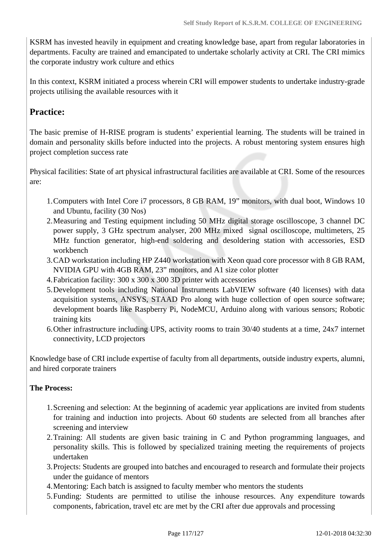KSRM has invested heavily in equipment and creating knowledge base, apart from regular laboratories in departments. Faculty are trained and emancipated to undertake scholarly activity at CRI. The CRI mimics the corporate industry work culture and ethics

In this context, KSRM initiated a process wherein CRI will empower students to undertake industry-grade projects utilising the available resources with it

# **Practice:**

The basic premise of H-RISE program is students' experiential learning. The students will be trained in domain and personality skills before inducted into the projects. A robust mentoring system ensures high project completion success rate

Physical facilities: State of art physical infrastructural facilities are available at CRI. Some of the resources are:

- 1.Computers with Intel Core i7 processors, 8 GB RAM, 19" monitors, with dual boot, Windows 10 and Ubuntu, facility (30 Nos)
- 2.Measuring and Testing equipment including 50 MHz digital storage oscilloscope, 3 channel DC power supply, 3 GHz spectrum analyser, 200 MHz mixed signal oscilloscope, multimeters, 25 MHz function generator, high-end soldering and desoldering station with accessories, ESD workbench
- 3.CAD workstation including HP Z440 workstation with Xeon quad core processor with 8 GB RAM, NVIDIA GPU with 4GB RAM, 23" monitors, and A1 size color plotter
- 4.Fabrication facility: 300 x 300 x 300 3D printer with accessories
- 5.Development tools including National Instruments LabVIEW software (40 licenses) with data acquisition systems, ANSYS, STAAD Pro along with huge collection of open source software; development boards like Raspberry Pi, NodeMCU, Arduino along with various sensors; Robotic training kits
- 6.Other infrastructure including UPS, activity rooms to train 30/40 students at a time, 24x7 internet connectivity, LCD projectors

Knowledge base of CRI include expertise of faculty from all departments, outside industry experts, alumni, and hired corporate trainers

#### **The Process:**

- 1.Screening and selection: At the beginning of academic year applications are invited from students for training and induction into projects. About 60 students are selected from all branches after screening and interview
- 2.Training: All students are given basic training in C and Python programming languages, and personality skills. This is followed by specialized training meeting the requirements of projects undertaken
- 3.Projects: Students are grouped into batches and encouraged to research and formulate their projects under the guidance of mentors
- 4.Mentoring: Each batch is assigned to faculty member who mentors the students
- 5.Funding: Students are permitted to utilise the inhouse resources. Any expenditure towards components, fabrication, travel etc are met by the CRI after due approvals and processing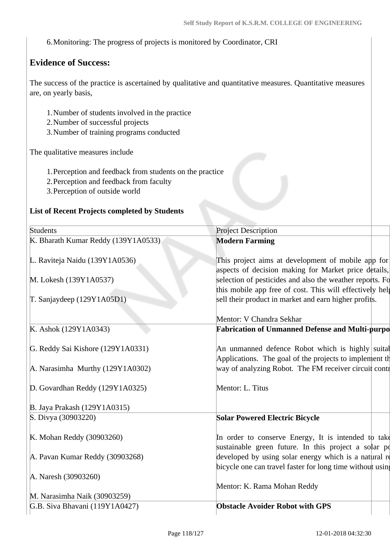6.Monitoring: The progress of projects is monitored by Coordinator, CRI

# **Evidence of Success:**

The success of the practice is ascertained by qualitative and quantitative measures. Quantitative measures are, on yearly basis,

- 1.Number of students involved in the practice
- 2.Number of successful projects
- 3.Number of training programs conducted

The qualitative measures include

- 1.Perception and feedback from students on the practice
- 2.Perception and feedback from faculty
- 3.Perception of outside world

#### **List of Recent Projects completed by Students**

| <b>Students</b>                     | <b>Project Description</b>                                |
|-------------------------------------|-----------------------------------------------------------|
| K. Bharath Kumar Reddy (139Y1A0533) | <b>Modern Farming</b>                                     |
|                                     |                                                           |
| L. Raviteja Naidu (139Y1A0536)      | This project aims at development of mobile app for        |
|                                     | aspects of decision making for Market price details,      |
| M. Lokesh (139Y1A0537)              | selection of pesticides and also the weather reports. Fo  |
|                                     | this mobile app free of cost. This will effectively help  |
| $T.$ Sanjaydeep (129Y1A05D1)        | sell their product in market and earn higher profits.     |
|                                     | Mentor: V Chandra Sekhar                                  |
| K. Ashok (129Y1A0343)               | <b>Fabrication of Unmanned Defense and Multi-purpo</b>    |
| G. Reddy Sai Kishore (129Y1A0331)   | An unmanned defence Robot which is highly suital          |
|                                     | Applications. The goal of the projects to implement the   |
| A. Narasimha Murthy (129Y1A0302)    | way of analyzing Robot. The FM receiver circuit contr     |
| D. Govardhan Reddy (129Y1A0325)     | Mentor: L. Titus                                          |
| B. Jaya Prakash (129Y1A0315)        |                                                           |
| S. Divya (30903220)                 | <b>Solar Powered Electric Bicycle</b>                     |
| K. Mohan Reddy (30903260)           | In order to conserve Energy, It is intended to take       |
|                                     | sustainable green future. In this project a solar po      |
| A. Pavan Kumar Reddy (30903268)     | developed by using solar energy which is a natural re     |
|                                     | bicycle one can travel faster for long time without using |
| A. Naresh (30903260)                |                                                           |
|                                     | Mentor: K. Rama Mohan Reddy                               |
| M. Narasimha Naik (30903259)        |                                                           |
| G.B. Siva Bhavani (119Y1A0427)      | <b>Obstacle Avoider Robot with GPS</b>                    |
|                                     |                                                           |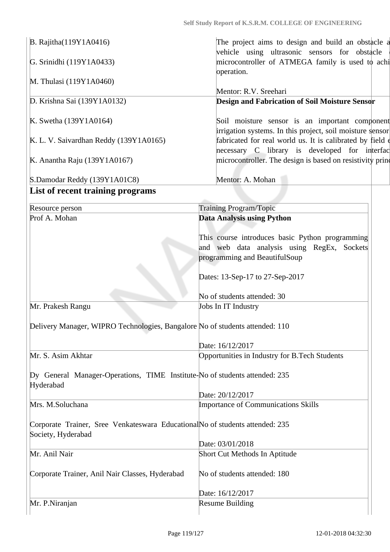| $B. \text{ Rajitha}(119Y1A0416)$       | The project aims to design and build an obstacle a<br>vehicle using ultrasonic sensors for obstacle |
|----------------------------------------|-----------------------------------------------------------------------------------------------------|
| G. Srinidhi (119Y1A0433)               | microcontroller of ATMEGA family is used to achi<br>operation.                                      |
| M. Thulasi (119Y1A0460)                |                                                                                                     |
|                                        | Mentor: R.V. Sreehari                                                                               |
| D. Krishna Sai (139Y1A0132)            | <b>Design and Fabrication of Soil Moisture Sensor</b>                                               |
|                                        |                                                                                                     |
| K. Swetha (139Y1A0164)                 | Soil moisture sensor is an important component                                                      |
|                                        | irrigation systems. In this project, soil moisture sensor                                           |
| K. L. V. Saivardhan Reddy (139Y1A0165) | fabricated for real world us. It is calibrated by field of                                          |
|                                        | necessary C library is developed for interfac                                                       |
| K. Anantha Raju (139Y1A0167)           | microcontroller. The design is based on resistivity princ                                           |
|                                        |                                                                                                     |
| S.Damodar Reddy (139Y1A01C8)           | Mentor: A. Mohan                                                                                    |
|                                        |                                                                                                     |

# **List of recent training programs**

| Resource person                                                              | <b>Training Program/Topic</b>                   |
|------------------------------------------------------------------------------|-------------------------------------------------|
| Prof A. Mohan                                                                | <b>Data Analysis using Python</b>               |
|                                                                              |                                                 |
|                                                                              | This course introduces basic Python programming |
|                                                                              | and web data analysis using RegEx, Sockets      |
|                                                                              | programming and BeautifulSoup                   |
|                                                                              | Dates: 13-Sep-17 to 27-Sep-2017                 |
|                                                                              |                                                 |
|                                                                              | No of students attended: 30                     |
| Mr. Prakesh Rangu                                                            | Jobs In IT Industry                             |
|                                                                              |                                                 |
| Delivery Manager, WIPRO Technologies, Bangalore No of students attended: 110 |                                                 |
|                                                                              |                                                 |
|                                                                              | Date: 16/12/2017                                |
| Mr. S. Asim Akhtar                                                           | Opportunities in Industry for B.Tech Students   |
| Dy General Manager-Operations, TIME Institute-No of students attended: 235   |                                                 |
| Hyderabad                                                                    |                                                 |
|                                                                              | Date: 20/12/2017                                |
| Mrs. M.Soluchana                                                             | <b>Importance of Communications Skills</b>      |
|                                                                              |                                                 |
| Corporate Trainer, Sree Venkateswara EducationalNo of students attended: 235 |                                                 |
| Society, Hyderabad                                                           |                                                 |
|                                                                              | Date: 03/01/2018                                |
| Mr. Anil Nair                                                                | Short Cut Methods In Aptitude                   |
|                                                                              |                                                 |
| Corporate Trainer, Anil Nair Classes, Hyderabad                              | No of students attended: 180                    |
|                                                                              | Date: 16/12/2017                                |
| Mr. P.Niranjan                                                               | <b>Resume Building</b>                          |
|                                                                              |                                                 |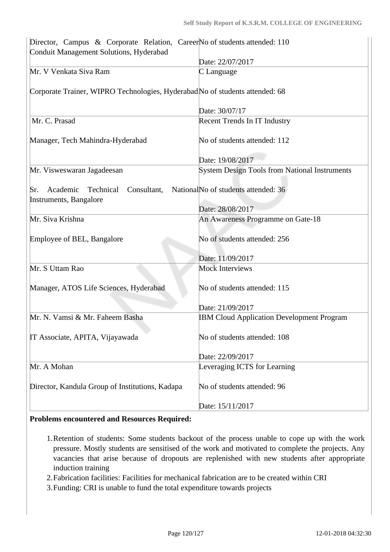| Director, Campus & Corporate Relation, CareerNo of students attended: 110<br>Conduit Management Solutions, Hyderabad |                                                      |
|----------------------------------------------------------------------------------------------------------------------|------------------------------------------------------|
|                                                                                                                      | Date: 22/07/2017                                     |
| Mr. V Venkata Siva Ram                                                                                               | C Language                                           |
| Corporate Trainer, WIPRO Technologies, Hyderabad No of students attended: 68                                         |                                                      |
|                                                                                                                      | Date: 30/07/17                                       |
| Mr. C. Prasad                                                                                                        | <b>Recent Trends In IT Industry</b>                  |
| Manager, Tech Mahindra-Hyderabad                                                                                     | No of students attended: 112                         |
|                                                                                                                      | Date: 19/08/2017                                     |
| Mr. Visweswaran Jagadeesan                                                                                           | <b>System Design Tools from National Instruments</b> |
| Academic<br>Consultant,<br>Technical<br>Sr.<br>Instruments, Bangalore                                                | National No of students attended: 36                 |
|                                                                                                                      | Date: 28/08/2017                                     |
| Mr. Siva Krishna                                                                                                     | An Awareness Programme on Gate-18                    |
| Employee of BEL, Bangalore                                                                                           | No of students attended: 256                         |
|                                                                                                                      | Date: 11/09/2017                                     |
| Mr. S Uttam Rao                                                                                                      | <b>Mock Interviews</b>                               |
| Manager, ATOS Life Sciences, Hyderabad                                                                               | No of students attended: 115                         |
|                                                                                                                      | Date: 21/09/2017                                     |
| Mr. N. Vamsi & Mr. Faheem Basha                                                                                      | IBM Cloud Application Development Program            |
| IT Associate, APITA, Vijayawada                                                                                      | No of students attended: 108                         |
|                                                                                                                      | Date: 22/09/2017                                     |
| Mr. A Mohan                                                                                                          | Leveraging ICTS for Learning                         |
| Director, Kandula Group of Institutions, Kadapa                                                                      | No of students attended: 96                          |
|                                                                                                                      | Date: 15/11/2017                                     |

#### **Problems encountered and Resources Required:**

- 1.Retention of students: Some students backout of the process unable to cope up with the work pressure. Mostly students are sensitised of the work and motivated to complete the projects. Any vacancies that arise because of dropouts are replenished with new students after appropriate induction training
- 2.Fabrication facilities: Facilities for mechanical fabrication are to be created within CRI
- 3.Funding: CRI is unable to fund the total expenditure towards projects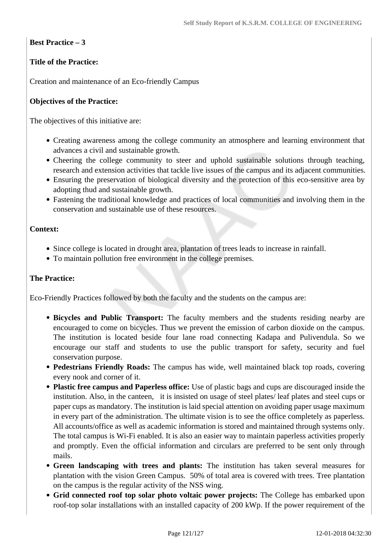#### **Best Practice – 3**

# **Title of the Practice:**

Creation and maintenance of an Eco-friendly Campus

#### **Objectives of the Practice:**

The objectives of this initiative are:

- Creating awareness among the college community an atmosphere and learning environment that advances a civil and sustainable growth.
- Cheering the college community to steer and uphold sustainable solutions through teaching, research and extension activities that tackle live issues of the campus and its adjacent communities.
- Ensuring the preservation of biological diversity and the protection of this eco-sensitive area by adopting thud and sustainable growth.
- Fastening the traditional knowledge and practices of local communities and involving them in the conservation and sustainable use of these resources.

#### **Context:**

- Since college is located in drought area, plantation of trees leads to increase in rainfall.
- To maintain pollution free environment in the college premises.

#### **The Practice:**

Eco-Friendly Practices followed by both the faculty and the students on the campus are:

- **Bicycles and Public Transport:** The faculty members and the students residing nearby are encouraged to come on bicycles. Thus we prevent the emission of carbon dioxide on the campus. The institution is located beside four lane road connecting Kadapa and Pulivendula. So we encourage our staff and students to use the public transport for safety, security and fuel conservation purpose.
- **Pedestrians Friendly Roads:** The campus has wide, well maintained black top roads, covering every nook and corner of it.
- **Plastic free campus and Paperless office:** Use of plastic bags and cups are discouraged inside the institution. Also, in the canteen, it is insisted on usage of steel plates/ leaf plates and steel cups or paper cups as mandatory. The institution is laid special attention on avoiding paper usage maximum in every part of the administration. The ultimate vision is to see the office completely as paperless. All accounts/office as well as academic information is stored and maintained through systems only. The total campus is Wi-Fi enabled. It is also an easier way to maintain paperless activities properly and promptly. Even the official information and circulars are preferred to be sent only through mails.
- **Green landscaping with trees and plants:** The institution has taken several measures for plantation with the vision Green Campus. 50% of total area is covered with trees. Tree plantation on the campus is the regular activity of the NSS wing.
- **Grid connected roof top solar photo voltaic power projects:** The College has embarked upon roof-top solar installations with an installed capacity of 200 kWp. If the power requirement of the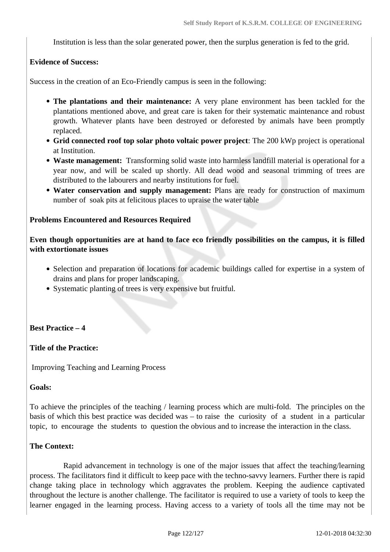Institution is less than the solar generated power, then the surplus generation is fed to the grid.

#### **Evidence of Success:**

Success in the creation of an Eco-Friendly campus is seen in the following:

- **The plantations and their maintenance:** A very plane environment has been tackled for the plantations mentioned above, and great care is taken for their systematic maintenance and robust growth. Whatever plants have been destroyed or deforested by animals have been promptly replaced.
- **Grid connected roof top solar photo voltaic power project**: The 200 kWp project is operational at Institution.
- **Waste management:** Transforming solid waste into harmless landfill material is operational for a year now, and will be scaled up shortly. All dead wood and seasonal trimming of trees are distributed to the labourers and nearby institutions for fuel.
- Water conservation and supply management: Plans are ready for construction of maximum number of soak pits at felicitous places to upraise the water table

#### **Problems Encountered and Resources Required**

**Even though opportunities are at hand to face eco friendly possibilities on the campus, it is filled with extortionate issues**

- Selection and preparation of locations for academic buildings called for expertise in a system of drains and plans for proper landscaping.
- Systematic planting of trees is very expensive but fruitful.

#### **Best Practice – 4**

**Title of the Practice:**

Improving Teaching and Learning Process

#### **Goals:**

To achieve the principles of the teaching / learning process which are multi-fold. The principles on the basis of which this best practice was decided was – to raise the curiosity of a student in a particular topic, to encourage the students to question the obvious and to increase the interaction in the class.

#### **The Context:**

 Rapid advancement in technology is one of the major issues that affect the teaching/learning process. The facilitators find it difficult to keep pace with the techno-savvy learners. Further there is rapid change taking place in technology which aggravates the problem. Keeping the audience captivated throughout the lecture is another challenge. The facilitator is required to use a variety of tools to keep the learner engaged in the learning process. Having access to a variety of tools all the time may not be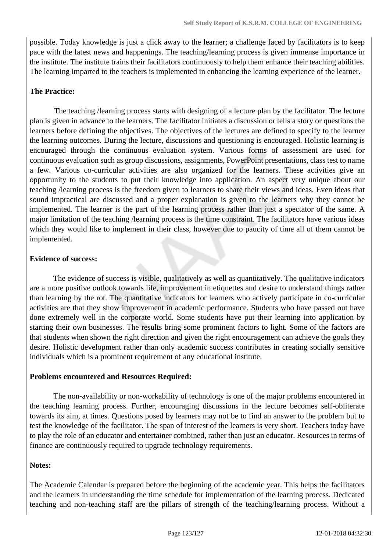possible. Today knowledge is just a click away to the learner; a challenge faced by facilitators is to keep pace with the latest news and happenings. The teaching/learning process is given immense importance in the institute. The institute trains their facilitators continuously to help them enhance their teaching abilities. The learning imparted to the teachers is implemented in enhancing the learning experience of the learner.

## **The Practice:**

 The teaching /learning process starts with designing of a lecture plan by the facilitator. The lecture plan is given in advance to the learners. The facilitator initiates a discussion or tells a story or questions the learners before defining the objectives. The objectives of the lectures are defined to specify to the learner the learning outcomes. During the lecture, discussions and questioning is encouraged. Holistic learning is encouraged through the continuous evaluation system. Various forms of assessment are used for continuous evaluation such as group discussions, assignments, PowerPoint presentations, class test to name a few. Various co-curricular activities are also organized for the learners. These activities give an opportunity to the students to put their knowledge into application. An aspect very unique about our teaching /learning process is the freedom given to learners to share their views and ideas. Even ideas that sound impractical are discussed and a proper explanation is given to the learners why they cannot be implemented. The learner is the part of the learning process rather than just a spectator of the same. A major limitation of the teaching /learning process is the time constraint. The facilitators have various ideas which they would like to implement in their class, however due to paucity of time all of them cannot be implemented.

#### **Evidence of success:**

 The evidence of success is visible, qualitatively as well as quantitatively. The qualitative indicators are a more positive outlook towards life, improvement in etiquettes and desire to understand things rather than learning by the rot. The quantitative indicators for learners who actively participate in co-curricular activities are that they show improvement in academic performance. Students who have passed out have done extremely well in the corporate world. Some students have put their learning into application by starting their own businesses. The results bring some prominent factors to light. Some of the factors are that students when shown the right direction and given the right encouragement can achieve the goals they desire. Holistic development rather than only academic success contributes in creating socially sensitive individuals which is a prominent requirement of any educational institute.

#### **Problems encountered and Resources Required:**

 The non-availability or non-workability of technology is one of the major problems encountered in the teaching learning process. Further, encouraging discussions in the lecture becomes self-obliterate towards its aim, at times. Questions posed by learners may not be to find an answer to the problem but to test the knowledge of the facilitator. The span of interest of the learners is very short. Teachers today have to play the role of an educator and entertainer combined, rather than just an educator. Resources in terms of finance are continuously required to upgrade technology requirements.

#### **Notes:**

The Academic Calendar is prepared before the beginning of the academic year. This helps the facilitators and the learners in understanding the time schedule for implementation of the learning process. Dedicated teaching and non-teaching staff are the pillars of strength of the teaching/learning process. Without a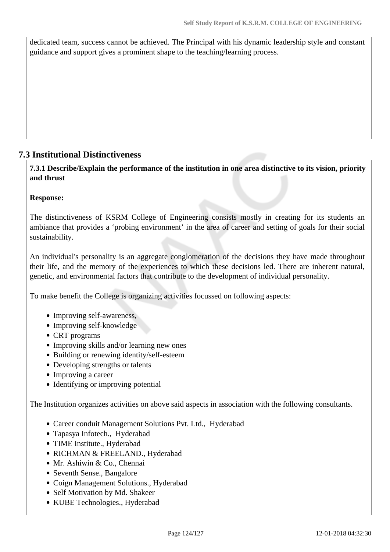dedicated team, success cannot be achieved. The Principal with his dynamic leadership style and constant guidance and support gives a prominent shape to the teaching/learning process.

# **7.3 Institutional Distinctiveness**

 **7.3.1 Describe/Explain the performance of the institution in one area distinctive to its vision, priority and thrust**

#### **Response:**

The distinctiveness of KSRM College of Engineering consists mostly in creating for its students an ambiance that provides a 'probing environment' in the area of career and setting of goals for their social sustainability.

An individual's personality is an aggregate conglomeration of the decisions they have made throughout their life, and the memory of the experiences to which these decisions led. There are inherent natural, genetic, and environmental factors that contribute to the development of individual personality.

To make benefit the College is organizing activities focussed on following aspects:

- Improving self-awareness,
- Improving self-knowledge
- CRT programs
- Improving skills and/or learning new ones
- Building or renewing identity/self-esteem
- Developing strengths or talents
- Improving a career
- Identifying or improving potential

The Institution organizes activities on above said aspects in association with the following consultants.

- Career conduit Management Solutions Pvt. Ltd., Hyderabad
- Tapasya Infotech., Hyderabad
- TIME Institute., Hyderabad
- RICHMAN & FREELAND., Hyderabad
- Mr. Ashiwin & Co., Chennai
- Seventh Sense., Bangalore
- Coign Management Solutions., Hyderabad
- Self Motivation by Md. Shakeer
- KUBE Technologies., Hyderabad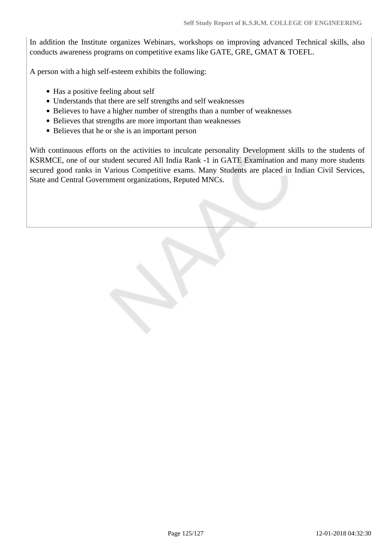In addition the Institute organizes Webinars, workshops on improving advanced Technical skills, also conducts awareness programs on competitive exams like GATE, GRE, GMAT & TOEFL.

A person with a high self-esteem exhibits the following:

- Has a positive feeling about self
- Understands that there are self strengths and self weaknesses
- Believes to have a higher number of strengths than a number of weaknesses
- Believes that strengths are more important than weaknesses
- Believes that he or she is an important person

With continuous efforts on the activities to inculcate personality Development skills to the students of KSRMCE, one of our student secured All India Rank -1 in GATE Examination and many more students secured good ranks in Various Competitive exams. Many Students are placed in Indian Civil Services, State and Central Government organizations, Reputed MNCs.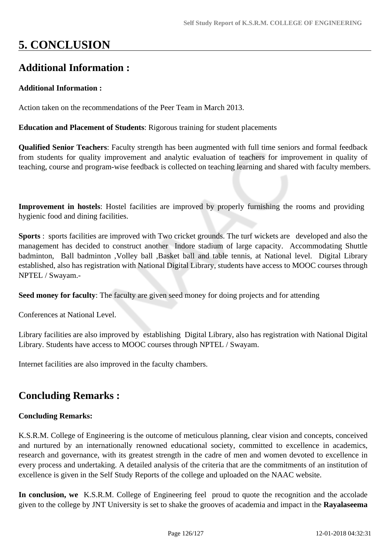# **5. CONCLUSION**

# **Additional Information :**

#### **Additional Information :**

Action taken on the recommendations of the Peer Team in March 2013.

**Education and Placement of Students**: Rigorous training for student placements

**Qualified Senior Teachers**: Faculty strength has been augmented with full time seniors and formal feedback from students for quality improvement and analytic evaluation of teachers for improvement in quality of teaching, course and program-wise feedback is collected on teaching learning and shared with faculty members.

**Improvement in hostels**: Hostel facilities are improved by properly furnishing the rooms and providing hygienic food and dining facilities.

**Sports** : sports facilities are improved with Two cricket grounds. The turf wickets are developed and also the management has decided to construct another Indore stadium of large capacity. Accommodating Shuttle badminton, Ball badminton ,Volley ball ,Basket ball and table tennis, at National level. Digital Library established, also has registration with National Digital Library, students have access to MOOC courses through NPTEL / Swayam.-

**Seed money for faculty**: The faculty are given seed money for doing projects and for attending

Conferences at National Level.

Library facilities are also improved by establishing Digital Library, also has registration with National Digital Library. Students have access to MOOC courses through NPTEL / Swayam.

Internet facilities are also improved in the faculty chambers.

# **Concluding Remarks :**

#### **Concluding Remarks:**

K.S.R.M. College of Engineering is the outcome of meticulous planning, clear vision and concepts, conceived and nurtured by an internationally renowned educational society, committed to excellence in academics, research and governance, with its greatest strength in the cadre of men and women devoted to excellence in every process and undertaking. A detailed analysis of the criteria that are the commitments of an institution of excellence is given in the Self Study Reports of the college and uploaded on the NAAC website.

**In conclusion, we** K.S.R.M. College of Engineering feel proud to quote the recognition and the accolade given to the college by JNT University is set to shake the grooves of academia and impact in the **Rayalaseema**